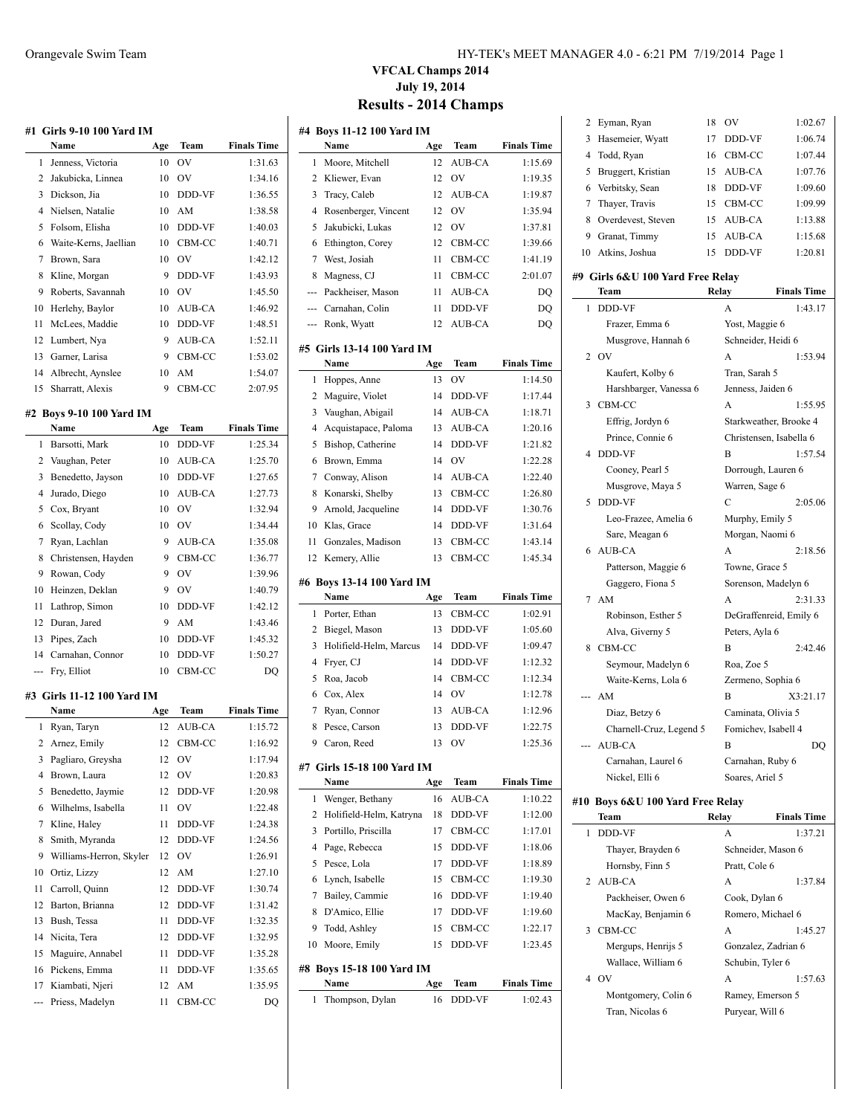|     | #1   Girls 9-10 100 Yard IM |     |               |                    |
|-----|-----------------------------|-----|---------------|--------------------|
|     | Name                        | Age | Team          | <b>Finals Time</b> |
| 1   | Jenness, Victoria           | 10  | OV            | 1:31.63            |
| 2   | Jakubicka, Linnea           | 10  | OV            | 1:34.16            |
| 3   | Dickson, Jia                | 10  | DDD-VF        | 1:36.55            |
| 4   | Nielsen, Natalie            | 10  | AM            | 1:38.58            |
| 5   | Folsom, Elisha              | 10  | DDD-VF        | 1:40.03            |
| 6   | Waite-Kerns, Jaellian       | 10  | CBM-CC        | 1:40.71            |
| 7   | Brown, Sara                 | 10  | OV            | 1:42.12            |
| 8   | Kline, Morgan               | 9   | DDD-VF        | 1:43.93            |
| 9   | Roberts, Savannah           | 10  | <b>OV</b>     | 1:45.50            |
| 10  | Herlehy, Baylor             | 10  | AUB-CA        | 1:46.92            |
|     |                             |     |               |                    |
| 11  | McLees, Maddie              | 10  | DDD-VF        | 1:48.51            |
| 12  | Lumbert, Nya                | 9   | AUB-CA        | 1:52.11            |
| 13  | Garner, Larisa              | 9   | CBM-CC        | 1:53.02            |
| 14  | Albrecht, Aynslee           | 10  | AM            | 1:54.07            |
| 15  | Sharratt, Alexis            | 9   | CBM-CC        | 2:07.95            |
|     | #2 Boys 9-10 100 Yard IM    |     |               |                    |
|     | Name                        | Age | Team          | <b>Finals Time</b> |
| 1   | Barsotti, Mark              | 10  | DDD-VF        | 1:25.34            |
| 2   | Vaughan, Peter              | 10  | AUB-CA        | 1:25.70            |
| 3   | Benedetto, Jayson           | 10  | DDD-VF        | 1:27.65            |
| 4   | Jurado, Diego               | 10  | AUB-CA        | 1:27.73            |
| 5   | Cox, Bryant                 | 10  | OV            | 1:32.94            |
| 6   | Scollay, Cody               | 10  | OV            | 1:34.44            |
| 7   | Ryan, Lachlan               | 9   | AUB-CA        | 1:35.08            |
| 8   | Christensen, Hayden         | 9   | CBM-CC        | 1:36.77            |
| 9   | Rowan, Cody                 | 9   | OV            | 1:39.96            |
| 10  | Heinzen, Deklan             | 9   | OV            | 1:40.79            |
| 11  | Lathrop, Simon              | 10  | DDD-VF        | 1:42.12            |
| 12  | Duran, Jared                | 9   | AM            | 1:43.46            |
| 13  | Pipes, Zach                 | 10  | DDD-VF        | 1:45.32            |
| 14  | Carnahan, Connor            | 10  | DDD-VF        | 1:50.27            |
| --- | Fry, Elliot                 | 10  | CBM-CC        | DQ                 |
|     |                             |     |               |                    |
|     | #3 Girls 11-12 100 Yard IM  |     |               |                    |
|     | Name                        | Age | Team          | <b>Finals Time</b> |
| 1   | Ryan, Taryn                 | 12  | <b>AUB-CA</b> | 1:15.72            |
|     | 2 Arnez, Emily              | 12  | CBM-CC        | 1:16.92            |
| 3   | Pagliaro, Greysha           | 12  | OV            | 1:17.94            |
| 4   | Brown, Laura                | 12  | OV            | 1:20.83            |
| 5   | Benedetto, Jaymie           | 12  | DDD-VF        | 1:20.98            |
| 6   | Wilhelms, Isabella          | 11  | OV            | 1:22.48            |
| 7   | Kline, Haley                | 11  | DDD-VF        | 1:24.38            |
| 8   | Smith, Myranda              | 12  | DDD-VF        | 1:24.56            |
| 9   | Williams-Herron, Skyler     | 12  | OV            | 1:26.91            |
| 10  | Ortiz, Lizzy                | 12  | AM            | 1:27.10            |
| 11  | Carroll, Quinn              | 12  | DDD-VF        | 1:30.74            |
| 12  | Barton, Brianna             | 12  | DDD-VF        | 1:31.42            |
| 13  | Bush, Tessa                 | 11  | DDD-VF        | 1:32.35            |
| 14  | Nicita, Tera                | 12  | DDD-VF        | 1:32.95            |
| 15  | Maguire, Annabel            | 11  | DDD-VF        | 1:35.28            |
| 16  | Pickens, Emma               | 11  | DDD-VF        | 1:35.65            |
| 17  | Kiambati, Njeri             | 12  | AM            | 1:35.95            |
|     | Priess, Madelyn             | 11  | CBM-CC        | DQ                 |
|     |                             |     |               |                    |

#### Orangevale Swim Team HY-TEK's MEET MANAGER 4.0 - 6:21 PM 7/19/2014 Page 1

### **VFCAL Champs 2014 July 19, 2014 Results - 2014 Champs**

| #4  | <b>Boys 11-12 100 Yard IM</b>         |     |                |                    |
|-----|---------------------------------------|-----|----------------|--------------------|
|     | Name                                  | Age | Team           | <b>Finals Time</b> |
| 1   | Moore, Mitchell                       | 12  | <b>AUB-CA</b>  | 1:15.69            |
| 2   | Kliewer, Evan                         | 12  | OV             | 1:19.35            |
| 3   | Tracy, Caleb                          | 12  | <b>AUB-CA</b>  | 1:19.87            |
| 4   | Rosenberger, Vincent                  | 12  | O <sub>V</sub> | 1:35.94            |
| 5   | Jakubicki, Lukas                      | 12  | O <sub>V</sub> | 1:37.81            |
| 6   | Ethington, Corey                      | 12  | CBM-CC         | 1:39.66            |
| 7   | West, Josiah                          | 11  | CBM-CC         | 1:41.19            |
| 8   | Magness, CJ                           | 11  | CBM-CC         | 2:01.07            |
| --- | Packheiser, Mason                     | 11  | <b>AUB-CA</b>  | DQ                 |
|     | Carnahan, Colin                       | 11  | DDD-VF         | DQ                 |
| --- | Ronk, Wyatt                           | 12  | <b>AUB-CA</b>  | DQ                 |
|     | #5 Girls 13-14 100 Yard IM            |     |                |                    |
|     | Name                                  | Age | Team           | <b>Finals Time</b> |
| 1   | Hoppes, Anne                          | 13  | OV             | 1:14.50            |
| 2   | Maguire, Violet                       | 14  | DDD-VF         | 1:17.44            |
| 3   | Vaughan, Abigail                      | 14  | <b>AUB-CA</b>  | 1:18.71            |
| 4   | Acquistapace, Paloma                  | 13  | AUB-CA         | 1:20.16            |
| 5   | Bishop, Catherine                     | 14  | DDD-VF         | 1:21.82            |
| 6   | Brown, Emma                           | 14  | OV             | 1:22.28            |
| 7   | Conway, Alison                        | 14  | AUB-CA         | 1:22.40            |
| 8   | Konarski, Shelby                      | 13  | CBM-CC         | 1:26.80            |
| 9   | Arnold, Jacqueline                    | 14  | DDD-VF         | 1:30.76            |
| 10  | Klas, Grace                           | 14  | DDD-VF         | 1:31.64            |
| 11  | Gonzales, Madison                     | 13  | CBM-CC         | 1:43.14            |
| 12  | Kemery, Allie                         | 13  | CBM-CC         | 1:45.34            |
|     | #6 Boys 13-14 100 Yard IM             |     |                |                    |
|     | Name                                  | Age | Team           | <b>Finals Time</b> |
| 1   | Porter, Ethan                         | 13  | CBM-CC         | 1:02.91            |
| 2   | Biegel, Mason                         | 13  | DDD-VF         | 1:05.60            |
| 3   | Holifield-Helm, Marcus                | 14  | DDD-VF         | 1:09.47            |
| 4   | Fryer, CJ                             | 14  | DDD-VF         | 1:12.32            |
| 5   | Roa, Jacob                            | 14  | CBM-CC         | 1:12.34            |
| 6   | Cox, Alex                             | 14  | OV             | 1:12.78            |
| 7   | Ryan, Connor                          | 13  | AUB-CA         | 1:12.96            |
| 8   | Pesce, Carson                         | 13  | DDD-VF         | 1:22.75            |
| 9   | Caron, Reed                           | 13  | OV             | 1:25.36            |
|     | #7 Girls 15-18 100 Yard IM            |     |                |                    |
|     | Name                                  | Age | Team           | <b>Finals Time</b> |
| 1   | Wenger, Bethany                       | 16  | AUB-CA         | 1:10.22            |
| 2   | Holifield-Helm, Katryna               | 18  | DDD-VF         | 1:12.00            |
| 3   | Portillo, Priscilla                   | 17  | CBM-CC         | 1:17.01            |
| 4   | Page, Rebecca                         | 15  | DDD-VF         | 1:18.06            |
| 5   | Pesce, Lola                           | 17  | DDD-VF         | 1:18.89            |
| 6   | Lynch, Isabelle                       | 15  | CBM-CC         | 1:19.30            |
| 7   | Bailey, Cammie                        | 16  | DDD-VF         | 1:19.40            |
| 8   | D'Amico, Ellie                        | 17  | DDD-VF         | 1:19.60            |
| 9   | Todd, Ashlev                          | 15  | CBM-CC         | 1:22.17            |
| 10  | Moore, Emily                          | 15  | DDD-VF         | 1:23.45            |
|     |                                       |     |                |                    |
| #8  | <b>Boys 15-18 100 Yard IM</b><br>Name | Age | Team           | <b>Finals Time</b> |
|     |                                       |     |                |                    |
| 1   | Thompson, Dylan                       | 16  | DDD-VF         | 1:02.43            |

| 2 | Eyman, Ryan                      | 18    | OV                      | 1:02.67                |
|---|----------------------------------|-------|-------------------------|------------------------|
| 3 | Hasemeier, Wyatt                 | 17    | DDD-VF                  | 1:06.74                |
| 4 | Todd, Ryan                       | 16    | CBM-CC                  | 1:07.44                |
| 5 | Bruggert, Kristian               | 15    | AUB-CA                  | 1:07.76                |
| 6 | Verbitsky, Sean                  | 18    | DDD-VF                  | 1:09.60                |
| 7 | Thayer, Travis                   | 15    | CBM-CC                  | 1:09.99                |
| 8 |                                  |       | AUB-CA                  |                        |
|   | Overdevest, Steven               | 15    |                         | 1:13.88                |
|   | 9 Granat, Timmy                  | 15    | AUB-CA<br>DDD-VF        | 1:15.68                |
|   | 10 Atkins, Joshua                | 15    |                         | 1:20.81                |
|   | #9 Girls 6&U 100 Yard Free Relay |       |                         |                        |
|   | Team                             | Relay |                         | <b>Finals Time</b>     |
| 1 | DDD-VF                           |       | A                       | 1:43.17                |
|   | Frazer, Emma 6                   |       | Yost, Maggie 6          |                        |
|   | Musgrove, Hannah 6               |       | Schneider, Heidi 6      |                        |
| 2 | <b>OV</b>                        |       | A                       | 1:53.94                |
|   | Kaufert, Kolby 6                 |       | Tran, Sarah 5           |                        |
|   | Harshbarger, Vanessa 6           |       | Jenness, Jaiden 6       |                        |
| 3 | CBM-CC                           |       | A                       | 1:55.95                |
|   | Effrig, Jordyn 6                 |       |                         | Starkweather, Brooke 4 |
|   | Prince, Connie 6                 |       | Christensen, Isabella 6 |                        |
| 4 | DDD-VF                           |       | B                       | 1:57.54                |
|   | Cooney, Pearl 5                  |       | Dorrough, Lauren 6      |                        |
|   | Musgrove, Maya 5                 |       | Warren, Sage 6          |                        |
| 5 | DDD-VF                           |       | С                       | 2:05.06                |
|   | Leo-Frazee, Amelia 6             |       | Murphy, Emily 5         |                        |
|   | Sare, Meagan 6                   |       | Morgan, Naomi 6         |                        |
| 6 | AUB-CA                           |       | A                       | 2:18.56                |
|   | Patterson, Maggie 6              |       | Towne, Grace 5          |                        |
|   | Gaggero, Fiona 5                 |       | Sorenson, Madelyn 6     |                        |
| 7 | AM                               |       | A                       | 2:31.33                |
|   | Robinson, Esther 5               |       |                         | DeGraffenreid, Emily 6 |
|   | Alva, Giverny 5                  |       | Peters, Ayla 6          |                        |
| 8 | CBM-CC                           |       | B                       | 2:42.46                |
|   | Seymour, Madelyn 6               |       | Roa, Zoe 5              |                        |
|   | Waite-Kerns, Lola 6              |       | Zermeno, Sophia 6       |                        |
|   | --- AM                           |       | B                       | X3:21.17               |
|   | Diaz, Betzy 6                    |       | Caminata, Olivia 5      |                        |
|   | Charnell-Cruz, Legend 5          |       | Fomichev, Isabell 4     |                        |
|   | --- AUB-CA                       |       | в                       | DQ                     |
|   | Carnahan, Laurel 6               |       | Carnahan, Ruby 6        |                        |
|   | Nickel, Elli 6                   |       | Soares, Ariel 5         |                        |
|   | #10 Boys 6&U 100 Yard Free Relay |       |                         |                        |
|   | Team                             | Relay |                         | <b>Finals Time</b>     |
| 1 | DDD-VF                           |       | A                       | 1:37.21                |
|   | Thayer, Brayden 6                |       | Schneider, Mason 6      |                        |
|   | Hornsby, Finn 5                  |       | Pratt, Cole 6           |                        |
| 2 | AUB-CA                           |       | A                       | 1:37.84                |
|   | Packheiser, Owen 6               |       | Cook, Dylan 6           |                        |
|   | MacKay, Benjamin 6               |       | Romero, Michael 6       |                        |
| 3 | CBM-CC                           |       | А                       | 1:45.27                |
|   | Mergups, Henrijs 5               |       | Gonzalez, Zadrian 6     |                        |
|   | Wallace, William 6               |       | Schubin, Tyler 6        |                        |
| 4 | - OV                             |       | A                       | 1:57.63                |
|   | Montgomery, Colin 6              |       | Ramey, Emerson 5        |                        |
|   |                                  |       |                         |                        |

Tran, Nicolas 6 Puryear, Will 6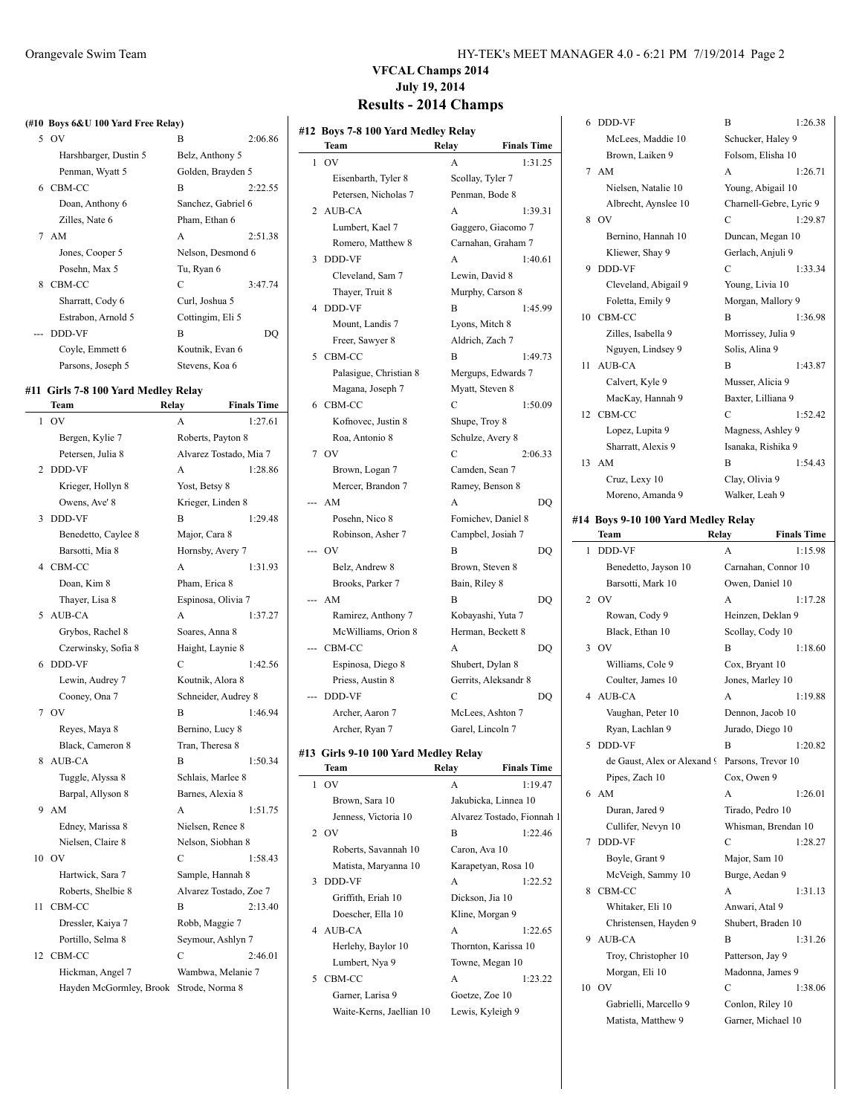#### **(#10 Boys 6&U 100 Yard Free Relay)**

|    | 5 OV                  | B                  | 2:06.86 |
|----|-----------------------|--------------------|---------|
|    | Harshbarger, Dustin 5 | Belz, Anthony 5    |         |
|    | Penman, Wyatt 5       | Golden, Brayden 5  |         |
|    | 6 CBM-CC              | B                  | 2:22.55 |
|    | Doan, Anthony 6       | Sanchez, Gabriel 6 |         |
|    | Zilles, Nate 6        | Pham, Ethan 6      |         |
|    | 7 AM                  | A                  | 2:51.38 |
|    | Jones, Cooper 5       | Nelson, Desmond 6  |         |
|    | Posehn, Max 5         | Tu, Ryan 6         |         |
| 8. | CBM-CC                | C                  | 3:47.74 |
|    | Sharratt, Cody 6      | Curl, Joshua 5     |         |
|    | Estrabon, Arnold 5    | Cottingim, Eli 5   |         |
|    | --- DDD-VF            | B                  | DO.     |
|    | Covle, Emmett 6       | Koutnik, Evan 6    |         |
|    | Parsons, Joseph 5     | Stevens, Koa 6     |         |

#### **#11 Girls 7-8 100 Yard Medley Relay**

|                | Team                    | Relay               | <b>Finals Time</b>     |
|----------------|-------------------------|---------------------|------------------------|
| 1              | OV                      | A                   | 1:27.61                |
|                | Bergen, Kylie 7         | Roberts, Payton 8   |                        |
|                | Petersen, Julia 8       |                     | Alvarez Tostado, Mia 7 |
| 2              | <b>DDD-VF</b>           | A                   | 1:28.86                |
|                | Krieger, Hollyn 8       | Yost, Betsy 8       |                        |
|                | Owens, Ave' 8           | Krieger, Linden 8   |                        |
| 3              | <b>DDD-VF</b>           | B                   | 1:29.48                |
|                | Benedetto, Caylee 8     | Major, Cara 8       |                        |
|                | Barsotti, Mia 8         | Hornsby, Avery 7    |                        |
| $\overline{4}$ | CBM-CC                  | A                   | 1:31.93                |
|                | Doan, Kim 8             | Pham, Erica 8       |                        |
|                | Thayer, Lisa 8          | Espinosa, Olivia 7  |                        |
| 5              | AUB-CA                  | A                   | 1:37.27                |
|                | Grybos, Rachel 8        | Soares, Anna 8      |                        |
|                | Czerwinsky, Sofia 8     | Haight, Laynie 8    |                        |
| 6              | <b>DDD-VF</b>           | C                   | 1:42.56                |
|                | Lewin, Audrey 7         | Koutnik, Alora 8    |                        |
|                | Cooney, Ona 7           | Schneider, Audrey 8 |                        |
| 7              | OV                      | B                   | 1:46.94                |
|                | Reyes, Maya 8           | Bernino, Lucy 8     |                        |
|                | Black, Cameron 8        | Tran, Theresa 8     |                        |
| 8              | AUB-CA                  | R                   | 1:50.34                |
|                | Tuggle, Alyssa 8        | Schlais, Marlee 8   |                        |
|                | Barpal, Allyson 8       | Barnes, Alexia 8    |                        |
| 9              | AM                      | A                   | 1:51.75                |
|                | Edney, Marissa 8        | Nielsen, Renee 8    |                        |
|                | Nielsen, Claire 8       | Nelson, Siobhan 8   |                        |
| 10             | O <sub>V</sub>          | C                   | 1:58.43                |
|                | Hartwick, Sara 7        | Sample, Hannah 8    |                        |
|                | Roberts, Shelbie 8      |                     | Alvarez Tostado, Zoe 7 |
| 11             | CBM-CC                  | B                   | 2:13.40                |
|                | Dressler, Kaiya 7       | Robb, Maggie 7      |                        |
|                | Portillo, Selma 8       | Seymour, Ashlyn 7   |                        |
| 12             | CBM-CC                  | C                   | 2:46.01                |
|                | Hickman, Angel 7        | Wambwa, Melanie 7   |                        |
|                | Hayden McGormley, Brook | Strode, Norma 8     |                        |
|                |                         |                     |                        |

| HY-TEK's MEET MANAGER 4.0 - 6:21 PM 7/19/2014 Page 2 |  |
|------------------------------------------------------|--|
|------------------------------------------------------|--|

# **VFCAL Champs 2014 July 19, 2014**

### **Results - 2014 Champs**

| #12 Boys 7-8 100 Yard Medley Relay<br>Team | Relay<br><b>Finals Time</b> | 6 DDD-VF<br>McLees, Maddie 10                  | B<br>Schucker, Haley 9  | 1:26.38            |
|--------------------------------------------|-----------------------------|------------------------------------------------|-------------------------|--------------------|
| $1$ OV                                     | A<br>1:31.25                | Brown, Laiken 9                                | Folsom, Elisha 10       |                    |
| Eisenbarth, Tyler 8                        | Scollay, Tyler 7            | 7 AM                                           | A                       | 1:26.71            |
| Petersen, Nicholas 7                       | Penman, Bode 8              | Nielsen, Natalie 10                            | Young, Abigail 10       |                    |
| 2 AUB-CA                                   | A<br>1:39.31                | Albrecht, Aynslee 10                           | Charnell-Gebre, Lyric 9 |                    |
| Lumbert, Kael 7                            | Gaggero, Giacomo 7          | 8 OV                                           | C                       | 1:29.87            |
| Romero, Matthew 8                          | Carnahan, Graham 7          | Bernino, Hannah 10                             | Duncan, Megan 10        |                    |
| 3 DDD-VF                                   | A<br>1:40.61                | Kliewer, Shay 9                                | Gerlach, Anjuli 9       |                    |
| Cleveland, Sam 7                           | Lewin, David 8              | 9 DDD-VF                                       | С                       | 1:33.34            |
| Thayer, Truit 8                            | Murphy, Carson 8            | Cleveland, Abigail 9                           | Young, Livia 10         |                    |
| 4 DDD-VF                                   | B<br>1:45.99                | Foletta, Emily 9                               | Morgan, Mallory 9       |                    |
| Mount, Landis 7                            | Lyons, Mitch 8              | 10 CBM-CC                                      | B                       | 1:36.98            |
| Freer, Sawyer 8                            | Aldrich, Zach 7             | Zilles, Isabella 9                             | Morrissey, Julia 9      |                    |
| 5 CBM-CC                                   | B<br>1:49.73                | Nguyen, Lindsey 9                              | Solis, Alina 9          |                    |
| Palasigue, Christian 8                     | Mergups, Edwards 7          | 11 AUB-CA                                      | B                       | 1:43.87            |
| Magana, Joseph 7                           | Myatt, Steven 8             | Calvert, Kyle 9                                | Musser, Alicia 9        |                    |
| 6 CBM-CC                                   | $\mathbf C$<br>1:50.09      | MacKay, Hannah 9                               | Baxter, Lilliana 9      |                    |
| Kofnovec, Justin 8                         | Shupe, Troy 8               | 12 CBM-CC                                      | C                       | 1:52.42            |
| Roa, Antonio 8                             | Schulze, Avery 8            | Lopez, Lupita 9                                | Magness, Ashley 9       |                    |
| 7 OV                                       | $\mathcal{C}$<br>2:06.33    | Sharratt, Alexis 9                             | Isanaka, Rishika 9      |                    |
| Brown, Logan 7                             | Camden, Sean 7              | 13 AM                                          | B                       | 1:54.43            |
| Mercer, Brandon 7                          | Ramey, Benson 8             | Cruz, Lexy 10                                  | Clay, Olivia 9          |                    |
| --- AM                                     | DQ<br>A                     | Moreno, Amanda 9                               | Walker, Leah 9          |                    |
| Posehn, Nico 8                             | Fomichev, Daniel 8          | #14 Boys 9-10 100 Yard Medley Relay            |                         |                    |
| Robinson, Asher 7                          | Campbel, Josiah 7           | Team                                           | Relay                   | <b>Finals Time</b> |
| $-$ OV                                     | B<br>DQ                     | 1 DDD-VF                                       | A                       | 1:15.98            |
| Belz, Andrew 8                             | Brown, Steven 8             | Benedetto, Jayson 10                           | Carnahan, Connor 10     |                    |
| Brooks, Parker 7                           | Bain, Riley 8               | Barsotti, Mark 10                              | Owen, Daniel 10         |                    |
| --- AM                                     | B<br>DQ                     | 2 OV                                           | A                       | 1:17.28            |
| Ramirez, Anthony 7                         | Kobayashi, Yuta 7           | Rowan, Cody 9                                  | Heinzen, Deklan 9       |                    |
| McWilliams, Orion 8                        | Herman, Beckett 8           | Black, Ethan 10                                | Scollay, Cody 10        |                    |
| --- CBM-CC                                 | DQ<br>A                     | $3$ OV                                         | B                       | 1:18.60            |
|                                            |                             |                                                |                         |                    |
| Espinosa, Diego 8                          | Shubert, Dylan 8            | Williams, Cole 9<br>Coulter, James 10          | Cox, Bryant 10          |                    |
| Priess, Austin 8                           | Gerrits, Aleksandr 8        |                                                | Jones, Marley 10        |                    |
| --- DDD-VF                                 | C<br>DQ                     | 4 AUB-CA                                       | A                       | 1:19.88            |
| Archer, Aaron 7                            | McLees, Ashton 7            | Vaughan, Peter 10                              | Dennon, Jacob 10        |                    |
| Archer, Ryan 7                             | Garel, Lincoln 7            | Ryan, Lachlan 9                                | Jurado, Diego 10        |                    |
| #13 Girls 9-10 100 Yard Medley Relay       |                             | 5 DDD-VF                                       | B                       | 1:20.82            |
| Team                                       | Relay<br><b>Finals Time</b> | de Gaust, Alex or Alexand 9 Parsons, Trevor 10 |                         |                    |
| $1$ OV                                     | A<br>1:19.47                | Pipes, Zach 10                                 | Cox, Owen 9             |                    |
| Brown, Sara 10                             | Jakubicka, Linnea 10        | 6 AM                                           | A                       | 1:26.01            |
| Jenness, Victoria 10                       | Alvarez Tostado, Fionnah 1  | Duran, Jared 9                                 | Tirado, Pedro 10        |                    |
| 2 OV                                       | B<br>1:22.46                | Cullifer, Nevyn 10                             | Whisman, Brendan 10     |                    |
| Roberts, Savannah 10                       | Caron, Ava 10               | 7 DDD-VF                                       | С                       | 1:28.27            |
| Matista, Maryanna 10                       | Karapetyan, Rosa 10         | Boyle, Grant 9                                 | Major, Sam 10           |                    |
|                                            | A<br>1:22.52                | McVeigh, Sammy 10                              | Burge, Aedan 9          |                    |
| 3 DDD-VF                                   |                             | 8 CBM-CC                                       | A                       | 1:31.13            |
| Griffith, Eriah 10                         | Dickson, Jia 10             | Whitaker, Eli 10                               | Anwari, Atal 9          |                    |
| Doescher, Ella 10                          | Kline, Morgan 9             | Christensen, Hayden 9                          | Shubert, Braden 10      |                    |
| 4 AUB-CA                                   | A<br>1:22.65                | 9 AUB-CA                                       | B                       | 1:31.26            |
| Herlehy, Baylor 10                         | Thornton, Karissa 10        | Troy, Christopher 10                           | Patterson, Jay 9        |                    |
| Lumbert, Nya 9                             | Towne, Megan 10             | Morgan, Eli 10                                 | Madonna, James 9        |                    |
| 5 CBM-CC                                   | A<br>1:23.22                | 10 OV                                          | C                       | 1:38.06            |
| Garner, Larisa 9                           | Goetze, Zoe 10              |                                                | Conlon, Riley 10        |                    |
| Waite-Kerns, Jaellian 10                   | Lewis, Kyleigh 9            | Gabrielli, Marcello 9                          |                         |                    |
|                                            |                             | Matista, Matthew 9                             | Garner, Michael 10      |                    |

|    | Team                        | Relay | <b>Finals Time</b>  |
|----|-----------------------------|-------|---------------------|
| 1  | <b>DDD-VF</b>               | A     | 1:15.98             |
|    | Benedetto, Jayson 10        |       | Carnahan, Connor 10 |
|    | Barsotti, Mark 10           |       | Owen, Daniel 10     |
| 2  | O <sub>V</sub>              | A     | 1:17.28             |
|    | Rowan, Cody 9               |       | Heinzen, Deklan 9   |
|    | Black, Ethan 10             |       | Scollay, Cody 10    |
| 3  | OV                          | B     | 1:18.60             |
|    | Williams, Cole 9            |       | Cox, Bryant 10      |
|    | Coulter, James 10           |       | Jones, Marley 10    |
| 4  | AUB-CA                      | A     | 1:19.88             |
|    | Vaughan, Peter 10           |       | Dennon, Jacob 10    |
|    | Ryan, Lachlan 9             |       | Jurado, Diego 10    |
| 5  | DDD-VF                      | B     | 1:20.82             |
|    | de Gaust, Alex or Alexand 9 |       | Parsons, Trevor 10  |
|    | Pipes, Zach 10              |       | Cox, Owen 9         |
| 6  | AM                          | A     | 1:26.01             |
|    | Duran, Jared 9              |       | Tirado, Pedro 10    |
|    | Cullifer, Nevyn 10          |       | Whisman, Brendan 10 |
| 7  | <b>DDD-VF</b>               | C     | 1:28.27             |
|    | Boyle, Grant 9              |       | Major, Sam 10       |
|    | McVeigh, Sammy 10           |       | Burge, Aedan 9      |
| 8  | CBM-CC                      | A     | 1:31.13             |
|    | Whitaker, Eli 10            |       | Anwari, Atal 9      |
|    | Christensen, Hayden 9       |       | Shubert, Braden 10  |
| 9  | <b>AUB-CA</b>               | B     | 1:31.26             |
|    | Troy, Christopher 10        |       | Patterson, Jay 9    |
|    | Morgan, Eli 10              |       | Madonna, James 9    |
| 10 | OV                          | C     | 1:38.06             |
|    | Gabrielli, Marcello 9       |       | Conlon, Riley 10    |
|    | Matista, Matthew 9          |       | Garner, Michael 10  |
|    |                             |       |                     |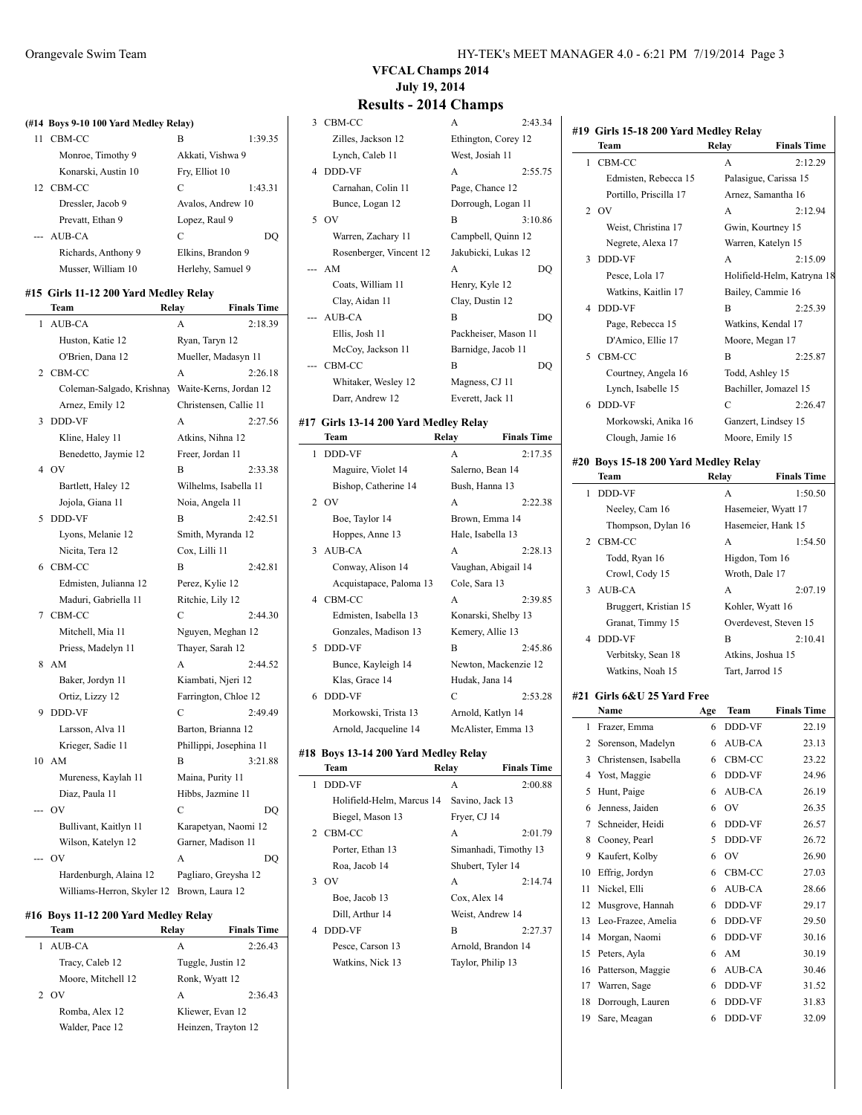### **(#14 Boys 9-10 100 Yard Medley Relay)** 11 CBM-CC B 1:39.35 Monroe, Timothy 9 Akkati, Vishwa 9 Konarski, Austin 10 Fry, Elliot 10 12 CBM-CC C 1:43.31 Dressler, Jacob 9 Avalos, Andrew 10 Prevatt, Ethan 9 Lopez, Raul 9 --- AUB-CA C DQ Richards, Anthony 9 Elkins, Brandon 9 Musser, William 10 Herlehy, Samuel 9 **#15 Girls 11-12 200 Yard Medley Relay Team Relay Finals Time** 1 AUB-CA A 2:18.39 Huston, Katie 12 Ryan, Taryn 12 O'Brien, Dana 12 Mueller, Madasyn 11 2 CBM-CC A 2:26.18

|    | Coleman-Salgado, Krishnay Waite-Kerns, Jordan 12 |                         |         |
|----|--------------------------------------------------|-------------------------|---------|
|    | Arnez, Emily 12                                  | Christensen, Callie 11  |         |
| 3  | DDD-VF                                           | А                       | 2:27.56 |
|    | Kline, Haley 11                                  | Atkins, Nihna 12        |         |
|    | Benedetto, Jaymie 12                             | Freer, Jordan 11        |         |
| 4  | <b>OV</b>                                        | B                       | 2:33.38 |
|    | Bartlett, Haley 12                               | Wilhelms, Isabella 11   |         |
|    | Jojola, Giana 11                                 | Noia, Angela 11         |         |
| 5  | <b>DDD-VF</b>                                    | В                       | 2:42.51 |
|    | Lyons, Melanie 12                                | Smith, Myranda 12       |         |
|    | Nicita, Tera 12                                  | Cox, Lilli 11           |         |
| 6  | CBM-CC                                           | B                       | 2:42.81 |
|    | Edmisten, Julianna 12                            | Perez, Kylie 12         |         |
|    | Maduri, Gabriella 11                             | Ritchie, Lily 12        |         |
| 7  | CBM-CC                                           | С                       | 2:44.30 |
|    | Mitchell, Mia 11                                 | Nguyen, Meghan 12       |         |
|    | Priess, Madelyn 11                               | Thayer, Sarah 12        |         |
| 8  | AM                                               | A                       | 2:44.52 |
|    | Baker, Jordyn 11                                 | Kiambati, Njeri 12      |         |
|    | Ortiz, Lizzy 12                                  | Farrington, Chloe 12    |         |
| 9  | <b>DDD-VF</b>                                    | С                       | 2:49.49 |
|    | Larsson, Alva 11                                 | Barton, Brianna 12      |         |
|    | Krieger, Sadie 11                                | Phillippi, Josephina 11 |         |
| 10 | AM                                               | B                       | 3:21.88 |
|    | Mureness, Kaylah 11                              | Maina, Purity 11        |         |
|    | Diaz, Paula 11                                   | Hibbs, Jazmine 11       |         |
|    | OV                                               | C                       | DQ      |
|    | Bullivant, Kaitlyn 11                            | Karapetyan, Naomi 12    |         |
|    | Wilson, Katelyn 12                               | Garner, Madison 11      |         |
|    | OV                                               | A                       | DQ      |
|    | Hardenburgh, Alaina 12                           | Pagliaro, Greysha 12    |         |
|    | Williams-Herron, Skyler 12                       | Brown, Laura 12         |         |

#### **#16 Boys 11-12 200 Yard Medley Relay**

| Team               | Relav          | <b>Finals Time</b>  |
|--------------------|----------------|---------------------|
| AUB-CA             | A              | 2:26.43             |
| Tracy, Caleb 12    |                | Tuggle, Justin 12   |
| Moore, Mitchell 12 | Ronk, Wyatt 12 |                     |
| O <sub>V</sub>     | А              | 2:36.43             |
| Romba, Alex 12     |                | Kliewer, Evan 12    |
| Walder, Pace 12    |                | Heinzen, Trayton 12 |
|                    |                |                     |

**#19 Girls 15-18 200 Yard Medley Relay**

**Team Relay Finals Time** 1 CBM-CC A 2:12.29 Edmisten, Rebecca 15 Palasigue, Carissa 15 Portillo, Priscilla 17 Arnez, Samantha 16 2 OV A 2:12.94 Weist, Christina 17 Gwin, Kourtney 15 Negrete, Alexa 17 Warren, Katelyn 15 3 DDD-VF A 2:15.09 Pesce, Lola 17 Holifield-Helm, Katryna 18 Watkins, Kaitlin 17 Bailey, Cammie 16 4 DDD-VF B 2:25.39 Page, Rebecca 15 Watkins, Kendal 17 D'Amico, Ellie 17 Moore, Megan 17 5 CBM-CC B 2:25.87 Courtney, Angela 16 Todd, Ashley 15 Lynch, Isabelle 15 Bachiller, Jomazel 15

### **VFCAL Champs 2014 July 19, 2014**

### **Results - 2014 Champs**

### 3 CBM-CC Zilles, Jackson 12 Lynch, Caleb 11 4 DDD-VF Carnahan, Colin 11 Bunce, Logan 12 5 OV B 3:10.86 Warren, Zachary 11 Rosenberger, Vincent 12  $-- AM$ Coats, William 11 Clay, Aidan 11 --- AUB-CA Ellis, Josh 11 McCoy, Jackson 11 --- CBM-CC

# Whitaker, Wesley 12 Darr, Andrew 12

#### **#17 Girls 13-14 200 Yard Medley Relay Team Relay Finals Time** 1 DDD-VF A 2:17.35 Maguire, Violet 14 Salerno, Bean 14 Bishop, Catherine 14 Bush, Hanna 13 2 OV A 2:22.38 Boe, Taylor 14 Brown, Emma 14 Hoppes, Anne 13 Hale, Isabella 13 3 AUB-CA A 2:28.13 Conway, Alison 14 Vaughan, Abigail 14 Acquistapace, Paloma 13 Cole, Sara 13 4 CBM-CC A 2:39.85 Edmisten, Isabella 13 Konarski, Shelby 13 Gonzales, Madison 13 Kemery, Allie 13 5 DDD-VF B 2:45.86 Bunce, Kayleigh 14 Newton, Mackenzie 12 Klas, Grace 14 Hudak, Jana 14 6 DDD-VF C 2:53.28 Morkowski, Trista 13 Arnold, Katlyn 14 Arnold, Jacqueline 14 McAlister, Emma 13

#### **#18 Boys 13-14 200 Yard Medley Relay**

|               | Team                      | Relay             | <b>Finals Time</b>    |
|---------------|---------------------------|-------------------|-----------------------|
| 1             | DDD-VF                    | A                 | 2:00.88               |
|               | Holifield-Helm, Marcus 14 | Savino, Jack 13   |                       |
|               | Biegel, Mason 13          | Fryer, CJ 14      |                       |
|               | 2 CBM-CC                  | A                 | 2:01.79               |
|               | Porter, Ethan 13          |                   | Simanhadi, Timothy 13 |
|               | Roa, Jacob 14             | Shubert, Tyler 14 |                       |
| $\mathcal{F}$ | OV                        | A                 | 2:14.74               |
|               | Boe, Jacob 13             | Cox, Alex 14      |                       |
|               | Dill, Arthur 14           | Weist, Andrew 14  |                       |
| 4             | DDD-VF                    | B                 | 2:27.37               |
|               | Pesce, Carson 13          |                   | Arnold, Brandon 14    |
|               | Watkins, Nick 13          | Taylor, Philip 13 |                       |

| $\overline{A}$       | 2:43.34 |
|----------------------|---------|
| Ethington, Corey 12  |         |
| West, Josiah 11      |         |
| A                    | 2:55.75 |
| Page, Chance 12      |         |
| Dorrough, Logan 11   |         |
| B                    | 3:10.86 |
| Campbell, Quinn 12   |         |
| Jakubicki, Lukas 12  |         |
|                      |         |
| A                    | DO      |
| Henry, Kyle 12       |         |
| Clay, Dustin 12      |         |
| B                    | DO      |
| Packheiser, Mason 11 |         |
| Barnidge, Jacob 11   |         |
| B                    | DO      |
| Magness, CJ 11       |         |

### 6 DDD-VF C 2:26.47 Morkowski, Anika 16 Ganzert, Lindsey 15 Clough, Jamie 16 Moore, Emily 15

### **#20 Boys 15-18 200 Yard Medley Relay**

|    | Team                  | Relay           | <b>Finals Time</b>    |
|----|-----------------------|-----------------|-----------------------|
| 1. | DDD-VF                | A               | 1:50.50               |
|    | Neeley, Cam 16        |                 | Hasemeier, Wyatt 17   |
|    | Thompson, Dylan 16    |                 | Hasemeier, Hank 15    |
|    | 2 CBM-CC              | A               | 1:54.50               |
|    | Todd, Ryan 16         |                 | Higdon, Tom 16        |
|    | Crowl, Cody 15        | Wroth, Dale 17  |                       |
|    | 3 AUB-CA              | A               | 2:07.19               |
|    | Bruggert, Kristian 15 |                 | Kohler, Wyatt 16      |
|    | Granat, Timmy 15      |                 | Overdevest, Steven 15 |
|    | 4 DDD-VF              | B               | 2:10.41               |
|    | Verbitsky, Sean 18    |                 | Atkins, Joshua 15     |
|    | Watkins, Noah 15      | Tart, Jarrod 15 |                       |
|    |                       |                 |                       |

### **#21 Girls 6&U 25 Yard Free**

|    | Name                  | Age | Team          | <b>Finals Time</b> |
|----|-----------------------|-----|---------------|--------------------|
| 1  | Frazer, Emma          | 6   | DDD-VF        | 22.19              |
| 2  | Sorenson, Madelyn     | 6   | AUB-CA        | 23.13              |
| 3  | Christensen, Isabella | 6   | CBM-CC        | 23.22              |
| 4  | Yost, Maggie          | 6   | DDD-VF        | 24.96              |
| 5  | Hunt, Paige           | 6   | AUB-CA        | 26.19              |
| 6  | Jenness, Jaiden       | 6   | OV            | 26.35              |
| 7  | Schneider, Heidi      | 6   | DDD-VF        | 26.57              |
| 8  | Cooney, Pearl         | 5   | DDD-VF        | 26.72              |
| 9  | Kaufert, Kolby        | 6   | OV            | 26.90              |
| 10 | Effrig, Jordyn        | 6   | CBM-CC        | 27.03              |
| 11 | Nickel, Elli          | 6   | AUB-CA        | 28.66              |
| 12 | Musgrove, Hannah      | 6   | DDD-VF        | 29.17              |
| 13 | Leo-Frazee, Amelia    | 6   | DDD-VF        | 29.50              |
| 14 | Morgan, Naomi         | 6   | DDD-VF        | 30.16              |
| 15 | Peters, Ayla          | 6   | AM            | 30.19              |
| 16 | Patterson, Maggie     | 6   | AUB-CA        | 30.46              |
| 17 | Warren, Sage          | 6   | DDD-VF        | 31.52              |
| 18 | Dorrough, Lauren      | 6   | DDD-VF        | 31.83              |
| 19 | Sare, Meagan          | 6   | <b>DDD-VF</b> | 32.09              |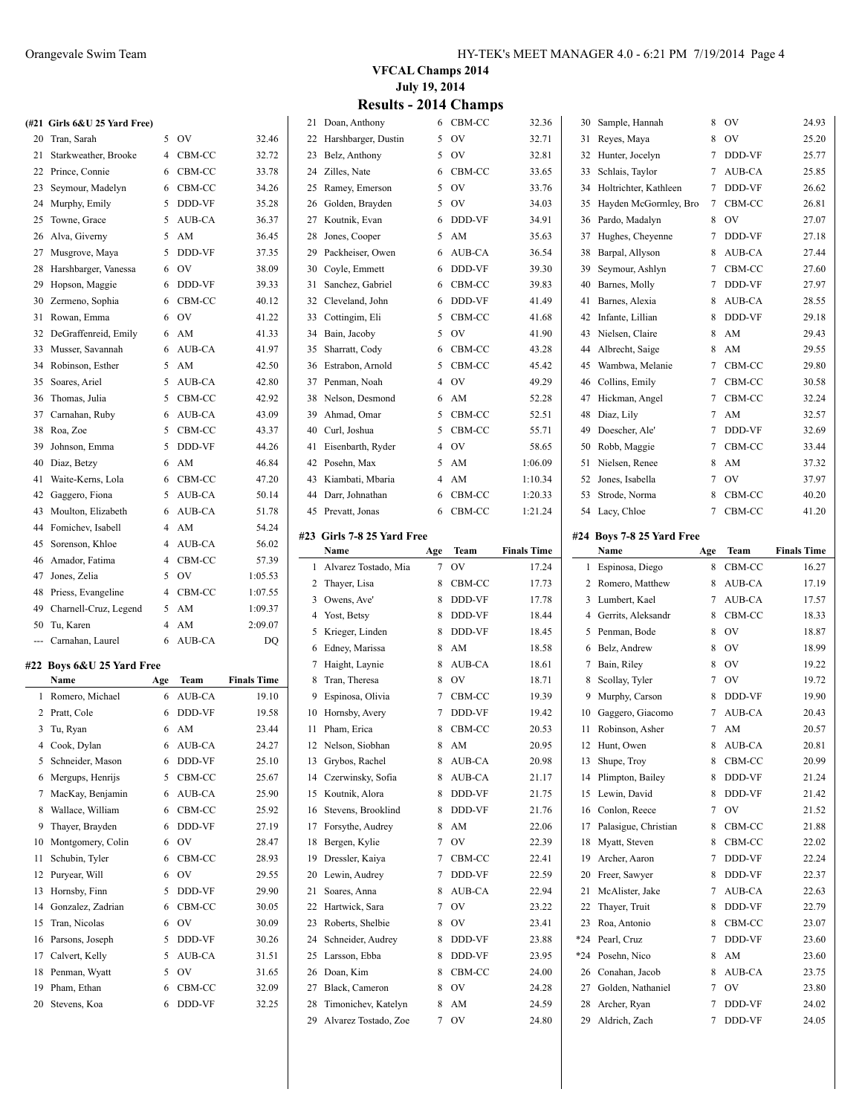|    | (#21 Girls 6&U 25 Yard Free) |   |           |         |
|----|------------------------------|---|-----------|---------|
| 20 | Tran, Sarah                  | 5 | OV        | 32.46   |
| 21 | Starkweather, Brooke         | 4 | CBM-CC    | 32.72   |
| 22 | Prince, Connie               | 6 | CBM-CC    | 33.78   |
| 23 | Seymour, Madelyn             | 6 | CBM-CC    | 34.26   |
| 24 | Murphy, Emily                | 5 | DDD-VF    | 35.28   |
| 25 | Towne, Grace                 | 5 | AUB-CA    | 36.37   |
| 26 | Alva, Giverny                | 5 | AM        | 36.45   |
| 27 | Musgrove, Maya               | 5 | DDD-VF    | 37.35   |
| 28 | Harshbarger, Vanessa         | 6 | <b>OV</b> | 38.09   |
| 29 | Hopson, Maggie               | 6 | DDD-VF    | 39.33   |
| 30 | Zermeno, Sophia              | 6 | CBM-CC    | 40.12   |
| 31 | Rowan, Emma                  | 6 | OV        | 41.22   |
| 32 | DeGraffenreid, Emily         | 6 | AM        | 41.33   |
| 33 | Musser, Savannah             | 6 | AUB-CA    | 41.97   |
| 34 | Robinson, Esther             | 5 | AM        | 42.50   |
| 35 | Soares, Ariel                | 5 | AUB-CA    | 42.80   |
| 36 | Thomas, Julia                | 5 | CBM-CC    | 42.92   |
| 37 | Carnahan, Ruby               | 6 | AUB-CA    | 43.09   |
| 38 | Roa, Zoe                     | 5 | CBM-CC    | 43.37   |
| 39 | Johnson, Emma                | 5 | DDD-VF    | 44.26   |
| 40 | Diaz, Betzy                  | 6 | AM        | 46.84   |
| 41 | Waite-Kerns, Lola            | 6 | CBM-CC    | 47.20   |
| 42 | Gaggero, Fiona               | 5 | AUB-CA    | 50.14   |
| 43 | Moulton, Elizabeth           | 6 | AUB-CA    | 51.78   |
| 44 | Fomichev, Isabell            | 4 | AM        | 54.24   |
| 45 | Sorenson, Khloe              | 4 | AUB-CA    | 56.02   |
| 46 | Amador, Fatima               | 4 | CBM-CC    | 57.39   |
| 47 | Jones, Zelia                 | 5 | OV.       | 1:05.53 |
| 48 | Priess, Evangeline           | 4 | CBM-CC    | 1:07.55 |
| 49 | Charnell-Cruz, Legend        | 5 | AM        | 1:09.37 |
| 50 | Tu, Karen                    | 4 | AM        | 2:09.07 |

#### **#22 Boys 6&U 25 Yard Free**

|    | Name              | Age | Team          | <b>Finals Time</b> |
|----|-------------------|-----|---------------|--------------------|
| 1  | Romero, Michael   | 6   | <b>AUB-CA</b> | 19.10              |
| 2  | Pratt, Cole       | 6   | DDD-VF        | 19.58              |
| 3  | Tu, Ryan          | 6   | AM            | 23.44              |
| 4  | Cook, Dylan       | 6   | <b>AUB-CA</b> | 24.27              |
| 5  | Schneider, Mason  | 6   | DDD-VF        | 25.10              |
| 6  | Mergups, Henrijs  | 5   | CBM-CC        | 25.67              |
| 7  | MacKay, Benjamin  | 6   | AUB-CA        | 25.90              |
| 8  | Wallace, William  | 6   | CBM-CC        | 25.92              |
| 9  | Thayer, Brayden   | 6   | DDD-VF        | 27.19              |
| 10 | Montgomery, Colin | 6   | OV            | 28.47              |
| 11 | Schubin, Tyler    | 6   | CBM-CC        | 28.93              |
| 12 | Puryear, Will     | 6   | OV            | 29.55              |
| 13 | Hornsby, Finn     | 5   | DDD-VF        | 29.90              |
| 14 | Gonzalez, Zadrian | 6   | CBM-CC        | 30.05              |
| 15 | Tran, Nicolas     | 6   | OV            | 30.09              |
| 16 | Parsons, Joseph   | 5   | DDD-VF        | 30.26              |
| 17 | Calvert, Kelly    | 5   | AUB-CA        | 31.51              |
| 18 | Penman, Wyatt     | 5   | OV            | 31.65              |
| 19 | Pham, Ethan       | 6   | CBM-CC        | 32.09              |
| 20 | Stevens, Koa      | 6   | DDD-VF        | 32.25              |

--- Carnahan, Laurel 6 AUB-CA DQ

### **VFCAL Champs 2014 July 19, 2014 Results - 2014 Champs**

|    | 21 Doan, Anthony                            | 6   | CBM-CC    | 32.36              |     | 30 Sample, Hannah                 | 8   | 0V        | 24.93              |
|----|---------------------------------------------|-----|-----------|--------------------|-----|-----------------------------------|-----|-----------|--------------------|
| 22 | Harshbarger, Dustin                         | 5   | ov        | 32.71              | 31  | Reyes, Maya                       | 8   | OV        | 25.20              |
| 23 | Belz, Anthony                               | 5   | OV        | 32.81              | 32  | Hunter, Jocelyn                   | 7   | DDD-VF    | 25.77              |
| 24 | Zilles, Nate                                | 6   | CBM-CC    | 33.65              | 33  | Schlais, Taylor                   | 7   | AUB-CA    | 25.85              |
| 25 | Ramey, Emerson                              | 5   | OV        | 33.76              |     | 34 Holtrichter, Kathleen          | 7   | DDD-VF    | 26.62              |
| 26 | Golden, Brayden                             | 5   | OV        | 34.03              | 35  | Hayden McGormley, Bro             | 7   | CBM-CC    | 26.81              |
| 27 | Koutnik, Evan                               | 6   | DDD-VF    | 34.91              | 36  | Pardo, Madalyn                    | 8   | ov        | 27.07              |
|    |                                             | 5   | AM        |                    |     |                                   | 7   |           |                    |
| 28 | Jones, Cooper                               |     |           | 35.63              | 37  | Hughes, Cheyenne                  |     | DDD-VF    | 27.18              |
| 29 | Packheiser, Owen                            | 6   | AUB-CA    | 36.54              | 38  | Barpal, Allyson                   | 8   | AUB-CA    | 27.44              |
| 30 | Coyle, Emmett                               | 6   | DDD-VF    | 39.30              | 39  | Seymour, Ashlyn                   | 7   | CBM-CC    | 27.60              |
| 31 | Sanchez, Gabriel                            | 6   | CBM-CC    | 39.83              | 40  | Barnes, Molly                     | 7   | DDD-VF    | 27.97              |
| 32 | Cleveland, John                             | 6   | DDD-VF    | 41.49              | 41  | Barnes, Alexia                    | 8   | AUB-CA    | 28.55              |
| 33 | Cottingim, Eli                              | 5   | CBM-CC    | 41.68              | 42  | Infante, Lillian                  | 8   | DDD-VF    | 29.18              |
| 34 | Bain, Jacoby                                | 5   | OV        | 41.90              | 43  | Nielsen, Claire                   | 8   | AM        | 29.43              |
| 35 | Sharratt, Cody                              | 6   | CBM-CC    | 43.28              | 44  | Albrecht, Saige                   | 8   | AM        | 29.55              |
| 36 | Estrabon, Arnold                            | 5   | CBM-CC    | 45.42              | 45  | Wambwa, Melanie                   | 7   | CBM-CC    | 29.80              |
| 37 | Penman, Noah                                | 4   | OV        | 49.29              | 46  | Collins, Emily                    | 7   | CBM-CC    | 30.58              |
| 38 | Nelson, Desmond                             | 6   | AM        | 52.28              | 47  | Hickman, Angel                    | 7   | CBM-CC    | 32.24              |
| 39 | Ahmad, Omar                                 | 5   | CBM-CC    | 52.51              | 48  | Diaz, Lily                        | 7   | AM        | 32.57              |
| 40 | Curl, Joshua                                | 5   | CBM-CC    | 55.71              | 49  | Doescher, Ale'                    | 7   | DDD-VF    | 32.69              |
| 41 | Eisenbarth, Ryder                           | 4   | OV        | 58.65              | 50  | Robb, Maggie                      | 7   | CBM-CC    | 33.44              |
| 42 | Posehn, Max                                 | 5   | AM        | 1:06.09            | 51  | Nielsen, Renee                    | 8   | AM        | 37.32              |
| 43 | Kiambati, Mbaria                            | 4   | AM        | 1:10.34            | 52  | Jones, Isabella                   | 7   | <b>OV</b> | 37.97              |
| 44 | Darr, Johnathan                             | 6   | CBM-CC    | 1:20.33            | 53  | Strode, Norma                     | 8   | CBM-CC    | 40.20              |
|    | 45 Prevatt, Jonas                           | 6   | CBM-CC    | 1:21.24            |     | 54 Lacy, Chloe                    | 7   | CBM-CC    | 41.20              |
|    | #23 Girls 7-8 25 Yard Free                  |     |           |                    |     |                                   |     |           |                    |
|    | Name                                        | Age | Team      | <b>Finals Time</b> |     | #24 Boys 7-8 25 Yard Free<br>Name | Age | Team      | <b>Finals Time</b> |
| 1  | Alvarez Tostado, Mia                        | 7   | OV        | 17.24              |     | 1 Espinosa, Diego                 |     | CBM-CC    | 16.27              |
|    |                                             |     |           |                    |     |                                   |     |           |                    |
|    |                                             |     |           |                    |     |                                   | 8   |           |                    |
| 2  | Thayer, Lisa                                | 8   | CBM-CC    | 17.73              | 2   | Romero, Matthew                   | 8   | AUB-CA    | 17.19              |
| 3  | Owens, Ave'                                 | 8   | DDD-VF    | 17.78              | 3   | Lumbert, Kael                     | 7   | AUB-CA    | 17.57              |
| 4  | Yost, Betsy                                 | 8   | DDD-VF    | 18.44              | 4   | Gerrits, Aleksandr                | 8   | CBM-CC    | 18.33              |
| 5  | Krieger, Linden                             | 8   | DDD-VF    | 18.45              | 5   | Penman, Bode                      | 8   | <b>OV</b> | 18.87              |
| 6  | Edney, Marissa                              | 8   | AM        | 18.58              | 6   | Belz, Andrew                      | 8   | 0V        | 18.99              |
| 7  | Haight, Laynie                              | 8   | AUB-CA    | 18.61              | 7   | Bain, Riley                       | 8   | OV        | 19.22              |
| 8  | Tran, Theresa                               | 8   | <b>OV</b> | 18.71              | 8   | Scollay, Tyler                    | 7   | 0V        | 19.72              |
| 9  | Espinosa, Olivia                            | 7   | CBM-CC    | 19.39              | 9   | Murphy, Carson                    | 8   | DDD-VF    | 19.90              |
| 10 | Hornsby, Avery                              | 7   | DDD-VF    | 19.42              | 10  | Gaggero, Giacomo                  | 7   | AUB-CA    | 20.43              |
|    | 11 Pham, Erica                              | 8   | CBM-CC    | 20.53              | 11  | Robinson, Asher                   | 7   | AM        | 20.57              |
|    | 12 Nelson, Siobhan                          | 8   | AM        | 20.95              | 12  | Hunt, Owen                        | 8   | AUB-CA    | 20.81              |
| 13 | Grybos, Rachel                              | 8   | AUB-CA    | 20.98              | 13  | Shupe, Troy                       | 8   | CBM-CC    | 20.99              |
| 14 | Czerwinsky, Sofia                           | 8   | AUB-CA    | 21.17              | 14  | Plimpton, Bailey                  | 8   | DDD-VF    | 21.24              |
| 15 | Koutnik, Alora                              | 8   | DDD-VF    | 21.75              | 15  | Lewin, David                      | 8   | DDD-VF    | 21.42              |
| 16 | Stevens, Brooklind                          | 8   | DDD-VF    | 21.76              | 16  | Conlon, Reece                     | 7   | OV        | 21.52              |
| 17 | Forsythe, Audrey                            | 8   | AM        | 22.06              | 17  | Palasigue, Christian              | 8   | CBM-CC    | 21.88              |
| 18 | Bergen, Kylie                               | 7   | OV        | 22.39              | 18  | Myatt, Steven                     | 8   | CBM-CC    | 22.02              |
| 19 | Dressler, Kaiya                             | 7   | CBM-CC    | 22.41              | 19  | Archer, Aaron                     | 7   | DDD-VF    | 22.24              |
| 20 | Lewin, Audrey                               | 7   | DDD-VF    | 22.59              | 20  | Freer, Sawyer                     | 8   | DDD-VF    | 22.37              |
| 21 | Soares, Anna                                | 8   | AUB-CA    | 22.94              | 21  | McAlister, Jake                   | 7   | AUB-CA    | 22.63              |
| 22 | Hartwick, Sara                              | 7   | OV        | 23.22              | 22  | Thayer, Truit                     | 8   | DDD-VF    | 22.79              |
| 23 | Roberts, Shelbie                            | 8   | OV        | 23.41              | 23  | Roa, Antonio                      | 8   | CBM-CC    | 23.07              |
| 24 | Schneider, Audrey                           | 8   | DDD-VF    | 23.88              |     | *24 Pearl, Cruz                   | 7   | DDD-VF    | 23.60              |
| 25 | Larsson, Ebba                               | 8   | DDD-VF    | 23.95              | *24 | Posehn, Nico                      | 8   | AM        | 23.60              |
| 26 | Doan, Kim                                   | 8   | CBM-CC    | 24.00              | 26  | Conahan, Jacob                    | 8   | AUB-CA    | 23.75              |
| 27 | Black, Cameron                              | 8   | OV        | 24.28              | 27  | Golden, Nathaniel                 | 7   | OV        | 23.80              |
| 28 | Timonichev, Katelyn<br>Alvarez Tostado, Zoe | 8   | AM        | 24.59              | 28  | Archer, Ryan                      | 7   | DDD-VF    | 24.02<br>24.05     |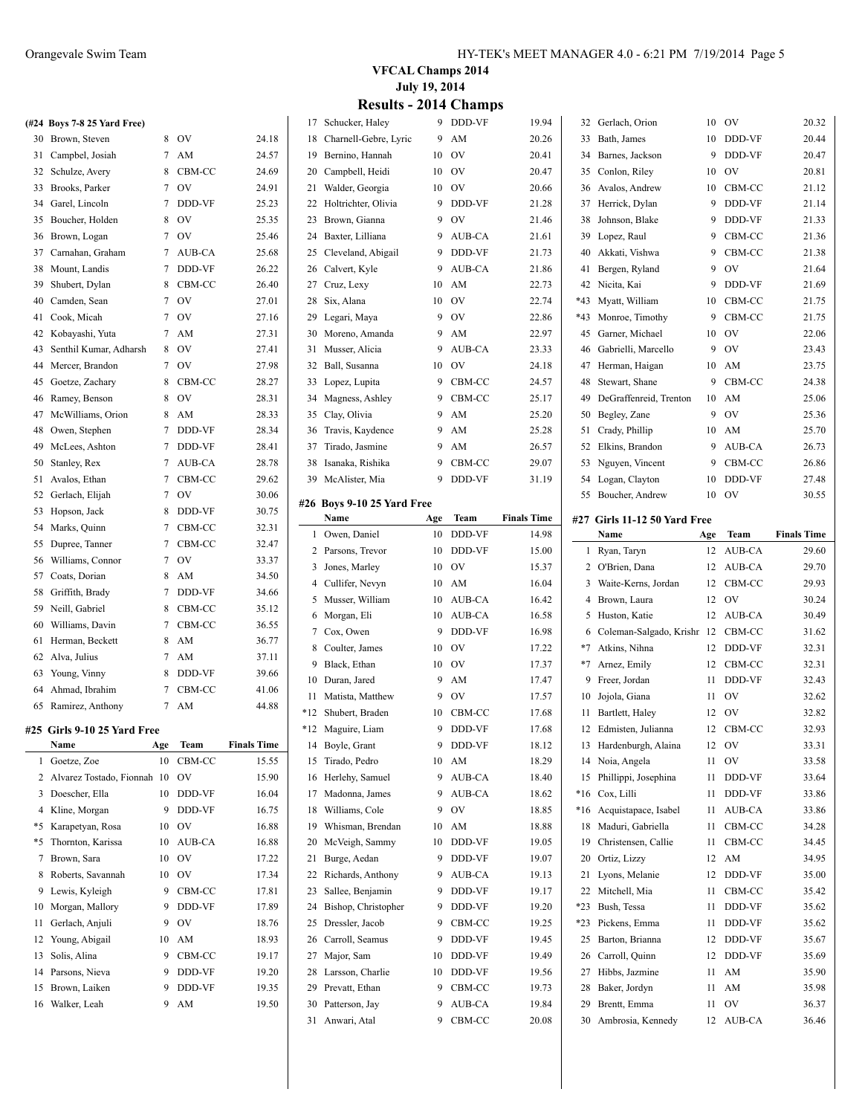| (#24 Boys 7-8 25 Yard Free) |    |          |       |
|-----------------------------|----|----------|-------|
| 30 Brown, Steven            | 8. | OV       | 24.18 |
| 31 Campbel, Josiah          |    | 7 AM     | 24.57 |
| 32 Schulze, Avery           |    | 8 CBM-CC | 24.69 |
| 33 Brooks, Parker           |    | 7 OV     | 24.91 |
| 34 Garel, Lincoln           |    | 7 DDD-VF | 25.23 |
| 35 Boucher, Holden          | 8  | OV       | 25.35 |
|                             |    |          |       |

| 35 | Boucher, Holden        | 8 | OV     | 25.35 |
|----|------------------------|---|--------|-------|
|    |                        | 7 |        |       |
| 36 | Brown, Logan           |   | OV     | 25.46 |
| 37 | Carnahan, Graham       | 7 | AUB-CA | 25.68 |
| 38 | Mount, Landis          | 7 | DDD-VF | 26.22 |
| 39 | Shubert, Dylan         | 8 | CBM-CC | 26.40 |
| 40 | Camden, Sean           | 7 | OV     | 27.01 |
| 41 | Cook, Micah            | 7 | OV     | 27.16 |
| 42 | Kobayashi, Yuta        | 7 | AM     | 27.31 |
| 43 | Senthil Kumar, Adharsh | 8 | OV     | 27.41 |
| 44 | Mercer, Brandon        | 7 | OV     | 27.98 |
| 45 | Goetze, Zachary        | 8 | CBM-CC | 28.27 |
| 46 | Ramey, Benson          | 8 | OV     | 28.31 |
| 47 | McWilliams, Orion      | 8 | AM     | 28.33 |
| 48 | Owen, Stephen          | 7 | DDD-VF | 28.34 |
| 49 | McLees, Ashton         | 7 | DDD-VF | 28.41 |
| 50 | Stanley, Rex           | 7 | AUB-CA | 28.78 |
| 51 | Avalos, Ethan          | 7 | CBM-CC | 29.62 |
| 52 | Gerlach, Elijah        | 7 | OV     | 30.06 |
| 53 | Hopson, Jack           | 8 | DDD-VF | 30.75 |
| 54 | Marks, Quinn           | 7 | CBM-CC | 32.31 |
| 55 | Dupree, Tanner         | 7 | CBM-CC | 32.47 |
| 56 | Williams, Connor       | 7 | OV     | 33.37 |
| 57 | Coats, Dorian          | 8 | AM     | 34.50 |
| 58 | Griffith, Brady        | 7 | DDD-VF | 34.66 |
| 59 | Neill, Gabriel         | 8 | CBM-CC | 35.12 |
| 60 | Williams, Davin        | 7 | CBM-CC | 36.55 |
| 61 | Herman, Beckett        | 8 | AM     | 36.77 |
| 62 | Alva, Julius           | 7 | AM     | 37.11 |
| 63 | Young, Vinny           | 8 | DDD-VF | 39.66 |
| 64 | Ahmad, Ibrahim         | 7 | CBM-CC | 41.06 |
| 65 | Ramirez, Anthony       | 7 | AM     | 44.88 |

**#26 Boys 9-10 25 Yard Free**

#### **#25 Girls 9-10 25 Yard Free**

 $\overline{a}$ 

|              | Name                     | Age | Team          | <b>Finals Time</b> |
|--------------|--------------------------|-----|---------------|--------------------|
| $\mathbf{1}$ | Goetze, Zoe              | 10  | CBM-CC        | 15.55              |
| 2            | Alvarez Tostado, Fionnah | 10  | OV            | 15.90              |
| 3            | Doescher, Ella           | 10  | <b>DDD-VF</b> | 16.04              |
| 4            | Kline, Morgan            | 9   | <b>DDD-VF</b> | 16.75              |
| *5           | Karapetyan, Rosa         | 10  | OV            | 16.88              |
| $*5$         | Thornton, Karissa        | 10  | AUB-CA        | 16.88              |
| 7            | Brown, Sara              | 10  | OV            | 17.22              |
| 8            | Roberts, Savannah        | 10  | OV            | 17.34              |
| 9            | Lewis, Kyleigh           | 9   | CBM-CC        | 17.81              |
| 10           | Morgan, Mallory          | 9   | <b>DDD-VF</b> | 17.89              |
| 11           | Gerlach, Anjuli          | 9   | OV            | 18.76              |
| 12           | Young, Abigail           | 10  | AM            | 18.93              |
| 13           | Solis, Alina             | 9   | CBM-CC        | 19.17              |
| 14           | Parsons, Nieva           | 9   | DDD-VF        | 19.20              |
| 15           | Brown, Laiken            | 9   | DDD-VF        | 19.35              |
| 16           | Walker, Leah             | 9   | AM            | 19.50              |

#### **VFCAL Champs 2014 July 19, 2014 Results** 2014 Ch

|  |  | <b>Results - 2014 Champs</b> |
|--|--|------------------------------|
|--|--|------------------------------|

| 17  | Schucker, Haley           | 9   | DDD-VF        | 19.94              |                | 32 Gerlach, Orion            | 10  | OV            | 20.32              |
|-----|---------------------------|-----|---------------|--------------------|----------------|------------------------------|-----|---------------|--------------------|
| 18  | Charnell-Gebre, Lyric     | 9   | AM            | 20.26              | 33             | Bath, James                  | 10  | DDD-VF        | 20.44              |
| 19  | Bernino, Hannah           | 10  | OV            | 20.41              | 34             | Barnes, Jackson              | 9   | DDD-VF        | 20.47              |
| 20  | Campbell, Heidi           | 10  | <b>OV</b>     | 20.47              | 35             | Conlon, Riley                | 10  | OV            | 20.81              |
| 21  | Walder, Georgia           | 10  | <b>OV</b>     | 20.66              | 36             | Avalos, Andrew               | 10  | CBM-CC        | 21.12              |
| 22  | Holtrichter, Olivia       | 9   | DDD-VF        | 21.28              | 37             | Herrick, Dylan               | 9   | DDD-VF        | 21.14              |
| 23  | Brown, Gianna             | 9   | OV            | 21.46              | 38             | Johnson, Blake               | 9   | DDD-VF        | 21.33              |
| 24  | Baxter, Lilliana          | 9   | AUB-CA        | 21.61              | 39             | Lopez, Raul                  | 9   | CBM-CC        | 21.36              |
| 25  | Cleveland, Abigail        | 9   | DDD-VF        | 21.73              | 40             | Akkati, Vishwa               | 9   | CBM-CC        | 21.38              |
|     |                           | 9   | AUB-CA        | 21.86              | 41             |                              | 9   | <b>OV</b>     | 21.64              |
| 26  | Calvert, Kyle             |     |               |                    |                | Bergen, Ryland               |     |               |                    |
| 27  | Cruz, Lexy                | 10  | AM            | 22.73              |                | 42 Nicita, Kai               | 9   | <b>DDD-VF</b> | 21.69              |
| 28  | Six, Alana                | 10  | OV            | 22.74              | *43            | Myatt, William               | 10  | CBM-CC        | 21.75              |
| 29  | Legari, Maya              | 9   | OV            | 22.86              | *43            | Monroe, Timothy              | 9   | CBM-CC        | 21.75              |
| 30  | Moreno, Amanda            | 9   | AM            | 22.97              | 45             | Garner, Michael              | 10  | <b>OV</b>     | 22.06              |
| 31  | Musser, Alicia            | 9   | AUB-CA        | 23.33              | 46             | Gabrielli, Marcello          | 9   | OV            | 23.43              |
| 32  | Ball, Susanna             | 10  | OV            | 24.18              | 47             | Herman, Haigan               | 10  | AM            | 23.75              |
| 33  | Lopez, Lupita             | 9   | CBM-CC        | 24.57              | 48             | Stewart, Shane               | 9   | CBM-CC        | 24.38              |
| 34  | Magness, Ashley           | 9   | CBM-CC        | 25.17              | 49             | DeGraffenreid, Trenton       | 10  | AM            | 25.06              |
| 35  | Clay, Olivia              | 9   | AM            | 25.20              | 50             | Begley, Zane                 | 9   | <b>OV</b>     | 25.36              |
| 36  | Travis, Kaydence          | 9   | AM            | 25.28              | 51             | Crady, Phillip               | 10  | AM            | 25.70              |
| 37  | Tirado, Jasmine           | 9   | AM            | 26.57              | 52             | Elkins, Brandon              | 9   | AUB-CA        | 26.73              |
| 38  | Isanaka, Rishika          | 9   | CBM-CC        | 29.07              | 53             | Nguyen, Vincent              | 9   | CBM-CC        | 26.86              |
| 39  | McAlister, Mia            | 9   | <b>DDD-VF</b> | 31.19              | 54             | Logan, Clayton               | 10  | <b>DDD-VF</b> | 27.48              |
|     |                           |     |               |                    | 55             | Boucher, Andrew              | 10  | <b>OV</b>     | 30.55              |
|     | 26 Boys 9-10 25 Yard Free |     |               |                    |                |                              |     |               |                    |
|     | Name                      | Age | Team          | <b>Finals Time</b> |                | #27 Girls 11-12 50 Yard Free |     |               |                    |
|     | 1 Owen, Daniel            | 10  | DDD-VF        | 14.98              |                | Name                         | Age | <b>Team</b>   | <b>Finals Time</b> |
|     | 2 Parsons, Trevor         | 10  | DDD-VF        | 15.00              |                | 1 Ryan, Taryn                | 12  | AUB-CA        | 29.60              |
| 3   | Jones, Marley             | 10  | OV            | 15.37              | $\overline{2}$ | O'Brien, Dana                | 12  | AUB-CA        | 29.70              |
| 4   | Cullifer, Nevyn           | 10  | AM            | 16.04              | 3              | Waite-Kerns, Jordan          | 12  | CBM-CC        | 29.93              |
| 5   | Musser, William           | 10  | AUB-CA        | 16.42              | 4              | Brown, Laura                 | 12  | <b>OV</b>     | 30.24              |
| 6   | Morgan, Eli               | 10  | AUB-CA        | 16.58              | 5              | Huston, Katie                | 12  | AUB-CA        | 30.49              |
| 7   | Cox, Owen                 | 9   | DDD-VF        | 16.98              | 6              | Coleman-Salgado, Krishr 12   |     | CBM-CC        | 31.62              |
| 8   | Coulter, James            | 10  | OV            | 17.22              | *7             | Atkins, Nihna                | 12  | DDD-VF        | 32.31              |
| 9   | Black, Ethan              | 10  | <b>OV</b>     | 17.37              | $*7$           | Arnez, Emily                 | 12  | CBM-CC        | 32.31              |
| 10  | Duran, Jared              | 9   | AM            | 17.47              | 9              | Freer, Jordan                | 11  | DDD-VF        | 32.43              |
| 11  | Matista, Matthew          | 9   | OV            | 17.57              | 10             | Jojola, Giana                | 11  | <b>OV</b>     | 32.62              |
| *12 | Shubert, Braden           | 10  | CBM-CC        | 17.68              | 11             | Bartlett, Haley              | 12  | <b>OV</b>     | 32.82              |
|     | *12 Maguire, Liam         | 9   | DDD-VF        | 17.68              |                | 12 Edmisten, Julianna        |     | 12 CBM-CC     | 32.93              |
| 14  | Boyle, Grant              | 9   | DDD-VF        | 18.12              | 13             | Hardenburgh, Alaina          | 12  | OV            | 33.31              |
| 15  | Tirado, Pedro             | 10  | AM            | 18.29              | 14             | Noia, Angela                 | 11  | OV            | 33.58              |
| 16  | Herlehy, Samuel           | 9   | AUB-CA        | 18.40              | 15             | Phillippi, Josephina         | 11  | DDD-VF        | 33.64              |
| 17  | Madonna, James            | 9   | AUB-CA        | 18.62              | $*16$          | Cox, Lilli                   | 11  | DDD-VF        | 33.86              |
| 18  | Williams, Cole            | 9   | OV            | 18.85              | $*16$          | Acquistapace, Isabel         | 11  | AUB-CA        | 33.86              |
| 19  | Whisman, Brendan          | 10  | AM            | 18.88              | 18             | Maduri, Gabriella            | 11  | CBM-CC        | 34.28              |
| 20  | McVeigh, Sammy            | 10  | DDD-VF        | 19.05              | 19             | Christensen, Callie          | 11  | CBM-CC        | 34.45              |
| 21  | Burge, Aedan              | 9   | DDD-VF        | 19.07              | 20             | Ortiz, Lizzy                 | 12  | AM            | 34.95              |
| 22  | Richards, Anthony         | 9   | AUB-CA        | 19.13              | 21             | Lyons, Melanie               | 12  | DDD-VF        | 35.00              |
|     | Sallee, Benjamin          | 9   |               |                    | 22             | Mitchell, Mia                | 11  | CBM-CC        | 35.42              |
| 23  |                           |     | DDD-VF        | 19.17              |                |                              |     |               |                    |
| 24  | Bishop, Christopher       | 9   | DDD-VF        | 19.20              | $*23$          | Bush, Tessa                  | 11  | DDD-VF        | 35.62              |
| 25  | Dressler, Jacob           | 9   | CBM-CC        | 19.25              | *23            | Pickens, Emma                | 11  | DDD-VF        | 35.62              |
| 26  | Carroll, Seamus           | 9   | DDD-VF        | 19.45              | 25             | Barton, Brianna              | 12  | DDD-VF        | 35.67              |
| 27  | Major, Sam                | 10  | DDD-VF        | 19.49              | 26             | Carroll, Quinn               | 12  | DDD-VF        | 35.69              |
| 28  | Larsson, Charlie          | 10  | DDD-VF        | 19.56              | 27             | Hibbs, Jazmine               | 11  | AM            | 35.90              |
| 29  | Prevatt, Ethan            | 9   | CBM-CC        | 19.73              | 28             | Baker, Jordyn                | 11  | AM            | 35.98              |
| 30  | Patterson, Jay            | 9   | AUB-CA        | 19.84              | 29             | Brentt, Emma                 | 11  | OV            | 36.37              |
| 31  | Anwari, Atal              | 9   | CBM-CC        | 20.08              | 30             | Ambrosia, Kennedy            | 12  | AUB-CA        | 36.46              |
|     |                           |     |               |                    |                |                              |     |               |                    |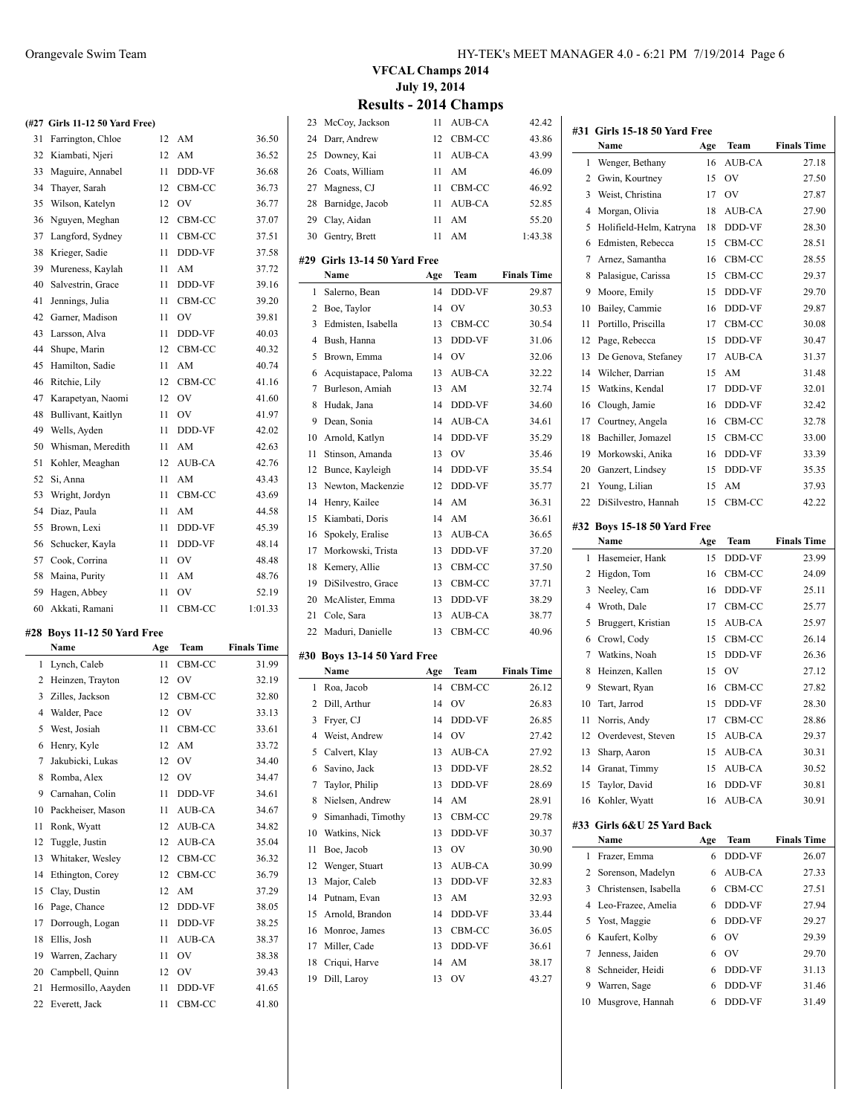|    | (#27 Girls 11-12 50 Yard Free) |    |           |       |
|----|--------------------------------|----|-----------|-------|
| 31 | Farrington, Chloe              | 12 | AM        | 36.50 |
| 32 | Kiambati, Njeri                | 12 | AM        | 36.52 |
| 33 | Maguire, Annabel               | 11 | DDD-VF    | 36.68 |
| 34 | Thaver, Sarah                  | 12 | CBM-CC    | 36.73 |
| 35 | Wilson, Katelyn                | 12 | OV        | 36.77 |
| 36 | Nguyen, Meghan                 | 12 | CBM-CC    | 37.07 |
| 37 | Langford, Sydney               | 11 | CBM-CC    | 37.51 |
| 38 | Krieger, Sadie                 | 11 | DDD-VF    | 37.58 |
| 39 | Mureness, Kaylah               | 11 | AM        | 37.72 |
| 40 | Salvestrin, Grace              | 11 | DDD-VF    | 39.16 |
| 41 | Jennings, Julia                | 11 | CBM-CC    | 39.20 |
| 42 | Garner, Madison                | 11 | <b>OV</b> | 39.81 |
| 43 | Larsson, Alva                  | 11 | DDD-VF    | 40.03 |
| 44 | Shupe, Marin                   | 12 | CBM-CC    | 40.32 |
| 45 | Hamilton, Sadie                | 11 | AM        | 40.74 |
| 46 | Ritchie, Lily                  | 12 | CBM-CC    | 41.16 |
| 47 | Karapetyan, Naomi              | 12 | OV        | 41.60 |
| 48 | Bullivant, Kaitlyn             | 11 | OV        | 41.97 |
| 49 | Wells, Ayden                   | 11 | DDD-VF    | 42.02 |
| 50 | Whisman, Meredith              | 11 | AM        | 42.63 |
| 51 | Kohler, Meaghan                | 12 | AUB-CA    | 42.76 |
| 52 | Si, Anna                       | 11 | AM        | 43.43 |
| 53 | Wright, Jordyn                 | 11 | CBM-CC    | 43.69 |
| 54 | Diaz, Paula                    | 11 | AM        | 44.58 |
| 55 | Brown, Lexi                    | 11 | DDD-VF    | 45.39 |
| 56 | Schucker, Kayla                | 11 | DDD-VF    | 48.14 |
| 57 | Cook, Corrina                  | 11 | OV        | 48.48 |
| 58 | Maina, Purity                  | 11 | AM        | 48.76 |
| 59 | Hagen, Abbey                   | 11 | OV        | 52.19 |

#### **#28 Boys 11-12 50 Yard Free**

 $\overline{a}$ 

|    | Name                | Age | Team   | <b>Finals Time</b> |
|----|---------------------|-----|--------|--------------------|
| 1  | Lynch, Caleb        | 11  | CBM-CC | 31.99              |
| 2  | Heinzen, Trayton    | 12  | OV     | 32.19              |
| 3  | Zilles, Jackson     | 12  | CBM-CC | 32.80              |
| 4  | Walder, Pace        | 12  | OV     | 33.13              |
| 5  | West, Josiah        | 11  | CBM-CC | 33.61              |
| 6  | Henry, Kyle         | 12  | AM     | 33.72              |
| 7  | Jakubicki, Lukas    | 12  | OV     | 34.40              |
| 8  | Romba, Alex         | 12  | OV     | 34.47              |
| 9  | Carnahan, Colin     | 11  | DDD-VF | 34.61              |
| 10 | Packheiser, Mason   | 11  | AUB-CA | 34.67              |
| 11 | Ronk, Wyatt         | 12  | AUB-CA | 34.82              |
| 12 | Tuggle, Justin      | 12  | AUB-CA | 35.04              |
|    | 13 Whitaker, Wesley | 12  | CBM-CC | 36.32              |
| 14 | Ethington, Corey    | 12  | CBM-CC | 36.79              |
| 15 | Clay, Dustin        | 12  | AM     | 37.29              |
| 16 | Page, Chance        | 12  | DDD-VF | 38.05              |
| 17 | Dorrough, Logan     | 11  | DDD-VF | 38.25              |
| 18 | Ellis, Josh         | 11  | AUB-CA | 38.37              |
| 19 | Warren, Zachary     | 11  | OV     | 38.38              |
| 20 | Campbell, Quinn     | 12  | OV     | 39.43              |
| 21 | Hermosillo, Aayden  | 11  | DDD-VF | 41.65              |
| 22 | Everett, Jack       | 11  | CBM-CC | 41.80              |

Akkati, Ramani 11 CBM-CC 1:01.33

#### **VFCAL Champs 2014 July 19, 2014 Results - 2014 Ch**

 $\overline{\phantom{0}}$ 

 $\overline{\phantom{0}}$ 

| 23             | McCoy, Jackson              | 11  | AUB-CA      | 42.42              |
|----------------|-----------------------------|-----|-------------|--------------------|
| 24             | Darr, Andrew                | 12  | CBM-CC      | 43.86              |
| 25             | Downey, Kai                 | 11  | AUB-CA      | 43.99              |
| 26             | Coats, William              | 11  | AM          | 46.09              |
|                | 27 Magness, CJ              | 11  | CBM-CC      | 46.92              |
| 28             | Barnidge, Jacob             | 11  | AUB-CA      | 52.85              |
| 29             | Clay, Aidan                 | 11  | AM          | 55.20              |
| 30             | Gentry, Brett               | 11  | AM          | 1:43.38            |
| #29            | Girls 13-14 50 Yard Free    |     |             |                    |
|                | Name                        | Age | Team        | <b>Finals Time</b> |
| 1              | Salerno, Bean               | 14  | DDD-VF      | 29.87              |
|                | 2 Boe, Taylor               | 14  | OV          | 30.53              |
| 3              | Edmisten, Isabella          | 13  | CBM-CC      | 30.54              |
| 4              | Bush, Hanna                 | 13  | DDD-VF      | 31.06              |
| 5              | Brown, Emma                 | 14  | <b>OV</b>   | 32.06              |
| 6              | Acquistapace, Paloma        | 13  | AUB-CA      | 32.22              |
| 7              | Burleson, Amiah             | 13  | AM          | 32.74              |
| 8              | Hudak, Jana                 | 14  | DDD-VF      | 34.60              |
| 9              | Dean, Sonia                 | 14  | AUB-CA      | 34.61              |
| 10             | Arnold, Katlyn              | 14  | DDD-VF      | 35.29              |
| 11             | Stinson, Amanda             | 13  | OV          | 35.46              |
| 12             | Bunce, Kayleigh             | 14  | DDD-VF      | 35.54              |
| 13             | Newton, Mackenzie           | 12  | DDD-VF      | 35.77              |
| 14             | Henry, Kailee               | 14  | AM          | 36.31              |
| 15             | Kiambati, Doris             | 14  | AM          | 36.61              |
| 16             | Spokely, Eralise            | 13  | AUB-CA      | 36.65              |
|                | 17 Morkowski, Trista        | 13  | DDD-VF      | 37.20              |
| 18             | Kemery, Allie               | 13  | CBM-CC      | 37.50              |
| 19             | DiSilvestro, Grace          | 13  | CBM-CC      | 37.71              |
| 20             | McAlister, Emma             | 13  | DDD-VF      | 38.29              |
| 21             | Cole, Sara                  | 13  | AUB-CA      | 38.77              |
| 22             | Maduri, Danielle            | 13  | CBM-CC      | 40.96              |
|                | #30 Boys 13-14 50 Yard Free |     |             |                    |
|                | Name                        | Age | Team        | <b>Finals Time</b> |
| 1              | Roa, Jacob                  | 14  | CBM-CC      | 26.12              |
|                | 2 Dill, Arthur              | 14  | $\hbox{OV}$ | 26.83              |
| 3              | Fryer, CJ                   | 14  | DDD-VF      | 26.85              |
| $\overline{4}$ | Weist, Andrew               | 14  | OV          | 27.42              |
| 5              | Calvert, Klay               | 13  | AUB-CA      | 27.92              |
| 6              | Savino, Jack                | 13  | DDD-VF      | 28.52              |
| 7              | Taylor, Philip              | 13  | DDD-VF      | 28.69              |
| 8              | Nielsen, Andrew             | 14  | AM          | 28.91              |
| 9              | Simanhadi, Timothy          | 13  | CBM-CC      | 29.78              |
| 10             | Watkins, Nick               | 13  | DDD-VF      | 30.37              |
| 11             | Boe, Jacob                  | 13  | OV          | 30.90              |
| 12             | Wenger, Stuart              | 13  | AUB-CA      | 30.99              |
| 13             | Major, Caleb                | 13  | DDD-VF      | 32.83              |
| 14             | Putnam, Evan                | 13  | AM          | 32.93              |
| 15             | Arnold, Brandon             | 14  | DDD-VF      | 33.44              |
| 16             | Monroe, James               | 13  | CBM-CC      | 36.05              |
| 17             | Miller, Cade                | 13  | DDD-VF      | 36.61              |
| 18             | Criqui, Harve               | 14  | AM          | 38.17              |
| 19             | Dill, Laroy                 | 13  | OV          | 43.27              |
|                |                             |     |             |                    |

| #31 Girls 15-18 50 Yard Free |                                    |          |                  |                    |  |
|------------------------------|------------------------------------|----------|------------------|--------------------|--|
|                              | Name                               | Age      | Team             | <b>Finals Time</b> |  |
| 1                            | Wenger, Bethany                    | 16       | AUB-CA           | 27.18              |  |
| 2                            | Gwin, Kourtney                     | 15       | OV               | 27.50              |  |
| 3                            | Weist, Christina                   | 17       | OV               | 27.87              |  |
| 4                            | Morgan, Olivia                     | 18       | AUB-CA           | 27.90              |  |
| 5                            | Holifield-Helm, Katryna            | 18       | DDD-VF           | 28.30              |  |
| 6                            | Edmisten, Rebecca                  | 15       | CBM-CC           | 28.51              |  |
| 7                            | Arnez, Samantha                    | 16       | CBM-CC           | 28.55              |  |
| 8                            | Palasigue, Carissa                 | 15       | CBM-CC           | 29.37              |  |
| 9                            | Moore, Emily                       | 15       | DDD-VF           | 29.70              |  |
| 10                           | Bailey, Cammie                     | 16       | DDD-VF           | 29.87              |  |
| 11                           | Portillo, Priscilla                | 17       | CBM-CC           | 30.08              |  |
| 12                           | Page, Rebecca                      | 15       | DDD-VF           | 30.47              |  |
| 13                           | De Genova, Stefaney                | 17       | AUB-CA           | 31.37              |  |
| 14                           | Wilcher, Darrian                   | 15       | AM               | 31.48              |  |
| 15                           | Watkins, Kendal                    | 17       | DDD-VF           | 32.01              |  |
| 16                           | Clough, Jamie                      | 16       | DDD-VF           | 32.42              |  |
| 17                           | Courtney, Angela                   | 16       | CBM-CC           | 32.78              |  |
| 18                           | Bachiller, Jomazel                 | 15       | CBM-CC           | 33.00              |  |
| 19                           | Morkowski, Anika                   | 16       | DDD-VF           | 33.39              |  |
| 20                           | Ganzert, Lindsey                   | 15       | DDD-VF           | 35.35              |  |
| 21                           | Young, Lilian                      | 15       | AM               | 37.93              |  |
| 22                           | DiSilvestro, Hannah                | 15       | CBM-CC           | 42.22              |  |
|                              | #32 Boys 15-18 50 Yard Free        |          |                  |                    |  |
|                              | Name                               | Age      | Team             | <b>Finals Time</b> |  |
| 1                            | Hasemeier, Hank                    | 15       | DDD-VF           | 23.99              |  |
| 2                            | Higdon, Tom                        | 16       | CBM-CC           | 24.09              |  |
| 3                            | Neeley, Cam                        | 16       | DDD-VF           | 25.11              |  |
| 4                            | Wroth, Dale                        | 17       | CBM-CC           | 25.77              |  |
| 5                            | Bruggert, Kristian                 | 15       | AUB-CA           | 25.97              |  |
| 6                            | Crowl, Cody                        | 15       | CBM-CC           | 26.14              |  |
| 7                            | Watkins, Noah                      | 15       | DDD-VF           | 26.36              |  |
| 8                            | Heinzen, Kallen                    | 15       | OV               | 27.12              |  |
| 9                            | Stewart, Ryan                      | 16       | CBM-CC           | 27.82              |  |
| 10                           | Tart, Jarrod                       | 15       | DDD-VF           | 28.30              |  |
| 11                           | Norris, Andy                       | 17       | CBM-CC           | 28.86              |  |
| 12                           | Overdevest, Steven                 | 15       | AUB-CA           | 29.37              |  |
|                              | 13 Sharp, Aaron                    |          | 15 AUB-CA        | 30.31              |  |
|                              | 14 Granat, Timmy                   | 15       | AUB-CA           | 30.52              |  |
| 15                           | Taylor, David                      | 16       | DDD-VF           | 30.81              |  |
| 16                           | Kohler, Wyatt                      | 16       | AUB-CA           | 30.91              |  |
|                              |                                    |          |                  |                    |  |
|                              | #33 Girls 6&U 25 Yard Back<br>Name |          | Team             | <b>Finals Time</b> |  |
| 1                            | Frazer, Emma                       | Age<br>6 | DDD-VF           | 26.07              |  |
| 2                            | Sorenson, Madelyn                  | 6        | AUB-CA           | 27.33              |  |
| 3                            | Christensen, Isabella              | 6        |                  |                    |  |
| 4                            | Leo-Frazee, Amelia                 | 6        | CBM-CC<br>DDD-VF | 27.51<br>27.94     |  |
| 5                            | Yost, Maggie                       | 6        | DDD-VF           | 29.27              |  |
| 6                            | Kaufert, Kolby                     | 6        | OV               |                    |  |
| 7                            | Jenness, Jaiden                    | 6        | OV               | 29.39              |  |
| 8                            | Schneider, Heidi                   | 6        | DDD-VF           | 29.70<br>31.13     |  |
| 9                            | Warren, Sage                       | 6        | DDD-VF           | 31.46              |  |
| 10                           | Musgrove, Hannah                   | 6        | DDD-VF           | 31.49              |  |
|                              |                                    |          |                  |                    |  |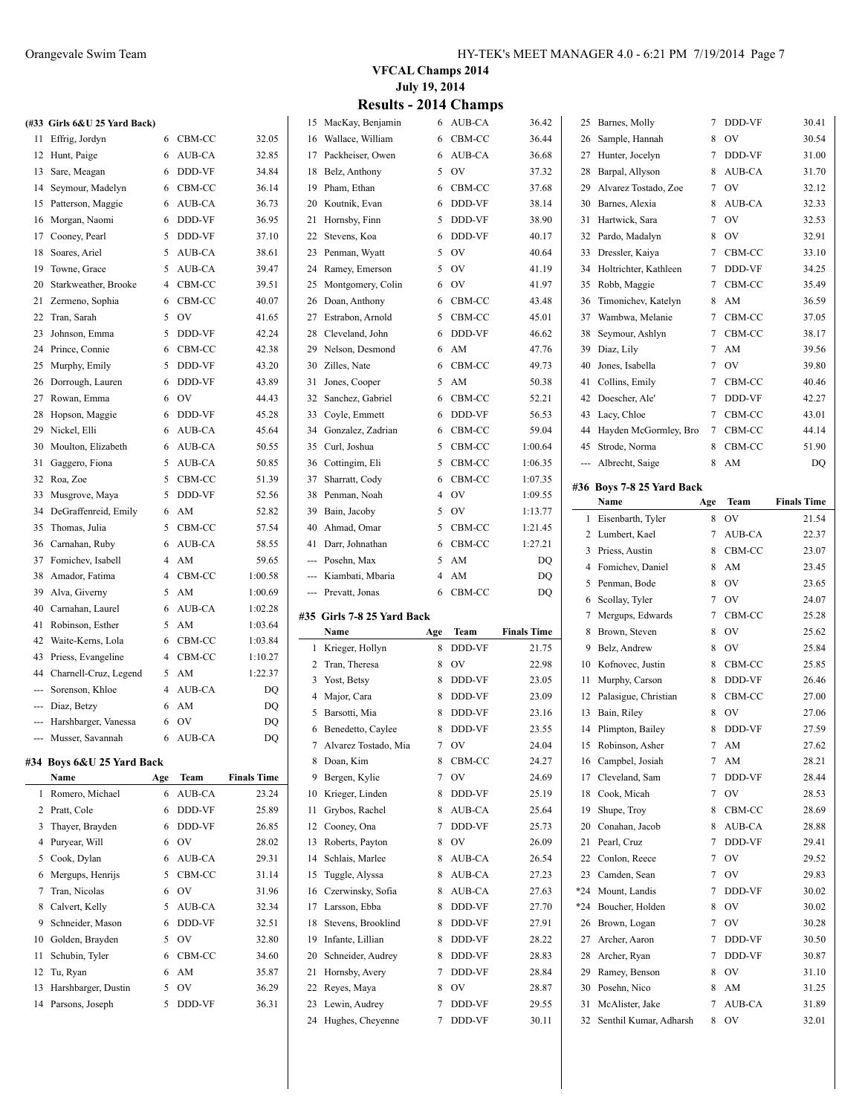|              | (#33 Girls 6&U 25 Yard Back) |                |        |                    |
|--------------|------------------------------|----------------|--------|--------------------|
| 11           | Effrig, Jordyn               | 6              | CBM-CC | 32.05              |
| 12           | Hunt, Paige                  | 6              | AUB-CA | 32.85              |
| 13           | Sare, Meagan                 | 6              | DDD-VF | 34.84              |
| 14           | Seymour, Madelyn             | 6              | CBM-CC | 36.14              |
| 15           | Patterson, Maggie            | 6              | AUB-CA | 36.73              |
| 16           | Morgan, Naomi                | 6              | DDD-VF | 36.95              |
| 17           | Cooney, Pearl                | 5              | DDD-VF | 37.10              |
| 18           | Soares, Ariel                | 5              | AUB-CA | 38.61              |
| 19           | Towne, Grace                 | 5              | AUB-CA | 39.47              |
| 20           | Starkweather, Brooke         | $\overline{4}$ | CBM-CC | 39.51              |
| 21           | Zermeno, Sophia              | 6              | CBM-CC | 40.07              |
| 22           | Tran, Sarah                  | 5              | OV     | 41.65              |
| 23           | Johnson, Emma                | 5              | DDD-VF | 42.24              |
| 24           | Prince, Connie               | 6              | CBM-CC | 42.38              |
| 25           | Murphy, Emily                | 5              | DDD-VF | 43.20              |
| 26           | Dorrough, Lauren             | 6              | DDD-VF | 43.89              |
| 27           | Rowan, Emma                  | 6              | OV     | 44.43              |
| 28           | Hopson, Maggie               | 6              | DDD-VF | 45.28              |
| 29           | Nickel, Elli                 | 6              | AUB-CA | 45.64              |
| 30           | Moulton, Elizabeth           | 6              | AUB-CA | 50.55              |
| 31           | Gaggero, Fiona               | 5              | AUB-CA | 50.85              |
| 32           | Roa, Zoe                     | 5              | CBM-CC | 51.39              |
| 33           | Musgrove, Maya               | 5              | DDD-VF | 52.56              |
| 34           | DeGraffenreid, Emily         | 6              | AM     | 52.82              |
| 35           | Thomas, Julia                | 5              | CBM-CC | 57.54              |
| 36           | Carnahan, Ruby               | 6              | AUB-CA | 58.55              |
| 37           | Fomichev, Isabell            | $\overline{4}$ | AM     | 59.65              |
| 38           | Amador, Fatima               | $\overline{4}$ | CBM-CC | 1:00.58            |
| 39           | Alva, Giverny                | 5              | AM     | 1:00.69            |
| 40           | Carnahan, Laurel             | 6              | AUB-CA | 1:02.28            |
| 41           | Robinson, Esther             | 5              | AM     | 1:03.64            |
| 42           | Waite-Kerns, Lola            | 6              | CBM-CC | 1:03.84            |
| 43           | Priess, Evangeline           | 4              | CBM-CC | 1:10.27            |
|              | 44 Charnell-Cruz, Legend     | 5              | AM     | 1:22.37            |
| ---          | Sorenson, Khloe              | $\overline{4}$ | AUB-CA | DQ                 |
| ---          | Diaz, Betzy                  | 6              | AM     | DQ                 |
|              | --- Harshbarger, Vanessa     | 6              | OV     | DQ                 |
| ---          | Musser, Savannah             | 6              | AUB-CA | DQ                 |
|              | #34 Boys 6&U 25 Yard Back    |                |        |                    |
|              | Name                         | Age            | Team   | <b>Finals Time</b> |
| $\mathbf{1}$ | Romero, Michael              | 6              | AUB-CA | 23.24              |

| $\mathbf{1}$ | Romero, Michael        | 6 | AUB-CA        | 23.24 |
|--------------|------------------------|---|---------------|-------|
|              | 2 Pratt, Cole          | 6 | DDD-VF        | 25.89 |
|              | 3 Thayer, Brayden      | 6 | <b>DDD-VF</b> | 26.85 |
|              | 4 Puryear, Will        | 6 | OV            | 28.02 |
|              | 5 Cook, Dylan          | 6 | AUB-CA        | 29.31 |
|              | 6 Mergups, Henrijs     | 5 | CBM-CC        | 31.14 |
|              | 7 Tran, Nicolas        | 6 | OV            | 31.96 |
|              | 8 Calvert, Kelly       | 5 | AUB-CA        | 32.34 |
| 9            | Schneider, Mason       | 6 | <b>DDD-VF</b> | 32.51 |
|              | 10 Golden, Brayden     | 5 | OV            | 32.80 |
|              | 11 Schubin, Tyler      | 6 | CBM-CC        | 34.60 |
|              | 12 Tu, Ryan            | 6 | AM            | 35.87 |
|              | 13 Harshbarger, Dustin | 5 | OV            | 36.29 |
|              | 14 Parsons, Joseph     | 5 | <b>DDD-VF</b> | 36.31 |

**VFCAL Champs 2014 July 19, 2014**

|  | <b>Results - 2014 Champs</b> |  |
|--|------------------------------|--|
|  |                              |  |

|    | 15 MacKay, Benjamin                  | 6      | AUB-CA           | 36.42              |          | 25 Barnes, Molly                          | 7      | DDD-VF       | 30.41              |
|----|--------------------------------------|--------|------------------|--------------------|----------|-------------------------------------------|--------|--------------|--------------------|
| 16 | Wallace, William                     | 6      | CBM-CC           | 36.44              | 26       | Sample, Hannah                            | 8      | OV           | 30.54              |
| 17 | Packheiser, Owen                     | 6      | AUB-CA           | 36.68              | 27       | Hunter, Jocelyn                           | 7      | DDD-VF       | 31.00              |
| 18 | Belz, Anthony                        | 5      | OV               | 37.32              | 28       | Barpal, Allyson                           | 8      | AUB-CA       | 31.70              |
| 19 | Pham, Ethan                          | 6      | CBM-CC           | 37.68              | 29       | Alvarez Tostado, Zoe                      | 7      | OV           | 32.12              |
| 20 | Koutnik, Evan                        | 6      | <b>DDD-VF</b>    | 38.14              | 30       | Barnes, Alexia                            | 8      | AUB-CA       | 32.33              |
| 21 | Hornsby, Finn                        | 5      | DDD-VF           | 38.90              | 31       | Hartwick, Sara                            | 7      | OV           | 32.53              |
| 22 | Stevens, Koa                         | 6      | DDD-VF           | 40.17              | 32       | Pardo, Madalyn                            | 8      | OV           | 32.91              |
| 23 | Penman, Wyatt                        | 5      | OV               | 40.64              | 33       | Dressler, Kaiya                           | 7      | CBM-CC       | 33.10              |
| 24 | Ramey, Emerson                       | 5      | OV               | 41.19              | 34       | Holtrichter, Kathleen                     | 7      | DDD-VF       | 34.25              |
|    |                                      | 6      | OV               |                    |          |                                           | 7      | CBM-CC       | 35.49              |
| 25 | Montgomery, Colin                    |        |                  | 41.97              | 35       | Robb, Maggie                              |        |              |                    |
| 26 | Doan, Anthony                        | 6      | CBM-CC           | 43.48              | 36       | Timonichev, Katelyn                       | 8      | AM           | 36.59              |
| 27 | Estrabon, Arnold                     | 5      | CBM-CC           | 45.01              | 37       | Wambwa, Melanie                           | 7      | CBM-CC       | 37.05              |
| 28 | Cleveland, John                      | 6      | DDD-VF           | 46.62              | 38       | Seymour, Ashlyn                           | 7      | CBM-CC       | 38.17              |
| 29 | Nelson, Desmond                      | 6      | AM               | 47.76              | 39       | Diaz, Lily                                | 7      | AM           | 39.56              |
| 30 | Zilles, Nate                         | 6      | CBM-CC           | 49.73              | 40       | Jones, Isabella                           | 7      | OV           | 39.80              |
| 31 | Jones, Cooper                        | 5      | AM               | 50.38              | 41       | Collins, Emily                            | 7      | CBM-CC       | 40.46              |
| 32 | Sanchez, Gabriel                     | 6      | CBM-CC           | 52.21              | 42       | Doescher, Ale'                            | 7      | DDD-VF       | 42.27              |
| 33 | Coyle, Emmett                        | 6      | DDD-VF           | 56.53              | 43       | Lacy, Chloe                               | 7      | CBM-CC       | 43.01              |
| 34 | Gonzalez, Zadrian                    | 6      | CBM-CC           | 59.04              | 44       | Hayden McGormley, Bro                     | 7      | CBM-CC       | 44.14              |
| 35 | Curl, Joshua                         | 5      | CBM-CC           | 1:00.64            | 45       | Strode, Norma                             | 8      | CBM-CC       | 51.90              |
| 36 | Cottingim, Eli                       | 5      | CBM-CC           | 1:06.35            |          | Albrecht, Saige                           | 8      | AM           | DQ                 |
| 37 | Sharratt, Cody                       | 6      | CBM-CC           | 1:07.35            |          | #36 Boys 7-8 25 Yard Back                 |        |              |                    |
| 38 | Penman, Noah                         | 4      | OV               | 1:09.55            |          | Name                                      | Age    | Team         | <b>Finals Time</b> |
| 39 | Bain, Jacoby                         | 5      | OV               | 1:13.77            |          | 1 Eisenbarth, Tyler                       | 8      | <b>OV</b>    | 21.54              |
| 40 | Ahmad, Omar                          | 5      | CBM-CC           | 1:21.45            |          | 2 Lumbert, Kael                           | 7      | AUB-CA       | 22.37              |
| 41 | Darr, Johnathan                      | 6      | CBM-CC           | 1:27.21            | 3        | Priess, Austin                            | 8      | CBM-CC       | 23.07              |
|    | Posehn, Max                          | 5      | AM               | DQ                 |          | Fomichev, Daniel                          | 8      | AM           | 23.45              |
|    | Kiambati, Mbaria                     | 4      | AM               | DQ                 | 4        |                                           | 8      |              |                    |
|    |                                      |        |                  |                    | 5        | Penman, Bode                              |        | OV           | 23.65              |
|    | Prevatt, Jonas                       | 6      | CBM-CC           | DQ                 |          |                                           |        |              |                    |
|    |                                      |        |                  |                    | 6        | Scollay, Tyler                            | 7      | OV           | 24.07              |
|    | #35 Girls 7-8 25 Yard Back           |        |                  |                    | 7        | Mergups, Edwards                          | 7      | CBM-CC       | 25.28              |
|    | Name                                 | Age    | Team             | <b>Finals Time</b> | 8        | Brown, Steven                             | 8      | OV           | 25.62              |
|    | 1 Krieger, Hollyn                    | 8      | DDD-VF           | 21.75              | 9        | Belz, Andrew                              | 8      | OV           | 25.84              |
| 2  | Tran, Theresa                        | 8      | OV               | 22.98              | 10       | Kofnovec, Justin                          | 8      | CBM-CC       | 25.85              |
| 3  | Yost, Betsy                          | 8      | DDD-VF           | 23.05              | 11       | Murphy, Carson                            | 8      | DDD-VF       | 26.46              |
| 4  | Major, Cara                          | 8      | DDD-VF           | 23.09              | 12       | Palasigue, Christian                      | 8      | CBM-CC       | 27.00              |
| 5  | Barsotti, Mia                        | 8      | DDD-VF           | 23.16              | 13       | Bain, Riley                               | 8      | OV           | 27.06              |
| 6  | Benedetto, Caylee                    | 8      | DDD-VF           | 23.55              | 14       | Plimpton, Bailey                          | 8      | DDD-VF       | 27.59              |
| 7  | Alvarez Tostado, Mia                 | 7      | OV               | 24.04              | 15       | Robinson, Asher                           | 7      | AM           | 27.62              |
| 8  | Doan, Kim                            | 8      | CBM-CC           | 24.27              | 16       | Campbel, Josiah                           | 7      | AM           | 28.21              |
| 9  | Bergen, Kylie                        | 7      | OV               | 24.69              | 17       | Cleveland, Sam                            | 7      | DDD-VF       | 28.44              |
| 10 | Krieger, Linden                      | 8      | DDD-VF           | 25.19              | 18       | Cook, Micah                               | 7      | <b>OV</b>    | 28.53              |
| 11 | Grybos, Rachel                       | 8      | AUB-CA           | 25.64              | 19       | Shupe, Troy                               | 8      | CBM-CC       | 28.69              |
| 12 | Cooney, Ona                          | 7      | DDD-VF           | 25.73              | 20       | Conahan, Jacob                            | 8      | AUB-CA       | 28.88              |
| 13 | Roberts, Payton                      | 8      | OV               | 26.09              | 21       | Pearl, Cruz                               | 7      | DDD-VF       | 29.41              |
| 14 | Schlais, Marlee                      | 8      | AUB-CA           | 26.54              | 22       | Conlon, Reece                             | 7      | <b>OV</b>    | 29.52              |
| 15 | Tuggle, Alyssa                       | 8      | AUB-CA           | 27.23              | 23       | Camden, Sean                              | 7      | OV           | 29.83              |
| 16 | Czerwinsky, Sofia                    | 8      | AUB-CA           | 27.63              | *24      | Mount, Landis                             | 7      | DDD-VF       | 30.02              |
| 17 | Larsson, Ebba                        | 8      | DDD-VF           | 27.70              | *24      | Boucher, Holden                           | 8      | OV           | 30.02              |
| 18 | Stevens, Brooklind                   | 8      | DDD-VF           | 27.91              |          | 26 Brown, Logan                           | 7      | OV           | 30.28              |
| 19 | Infante, Lillian                     | 8      | DDD-VF           | 28.22              | 27       | Archer, Aaron                             | 7      | DDD-VF       | 30.50              |
| 20 |                                      | 8      |                  |                    | 28       | Archer, Ryan                              | 7      |              |                    |
| 21 | Schneider, Audrey                    | 7      | DDD-VF<br>DDD-VF | 28.83              | 29       |                                           | 8      | DDD-VF<br>OV | 30.87              |
| 22 | Hornsby, Avery                       | 8      |                  | 28.84              |          | Ramey, Benson                             |        |              | 31.10              |
|    | Reyes, Maya                          |        | OV               | 28.87              | 30       | Posehn, Nico                              | 8      | AM           | 31.25              |
| 23 | Lewin, Audrey<br>24 Hughes, Cheyenne | 7<br>7 | DDD-VF<br>DDD-VF | 29.55<br>30.11     | 31<br>32 | McAlister, Jake<br>Senthil Kumar, Adharsh | 7<br>8 | AUB-CA<br>0V | 31.89<br>32.01     |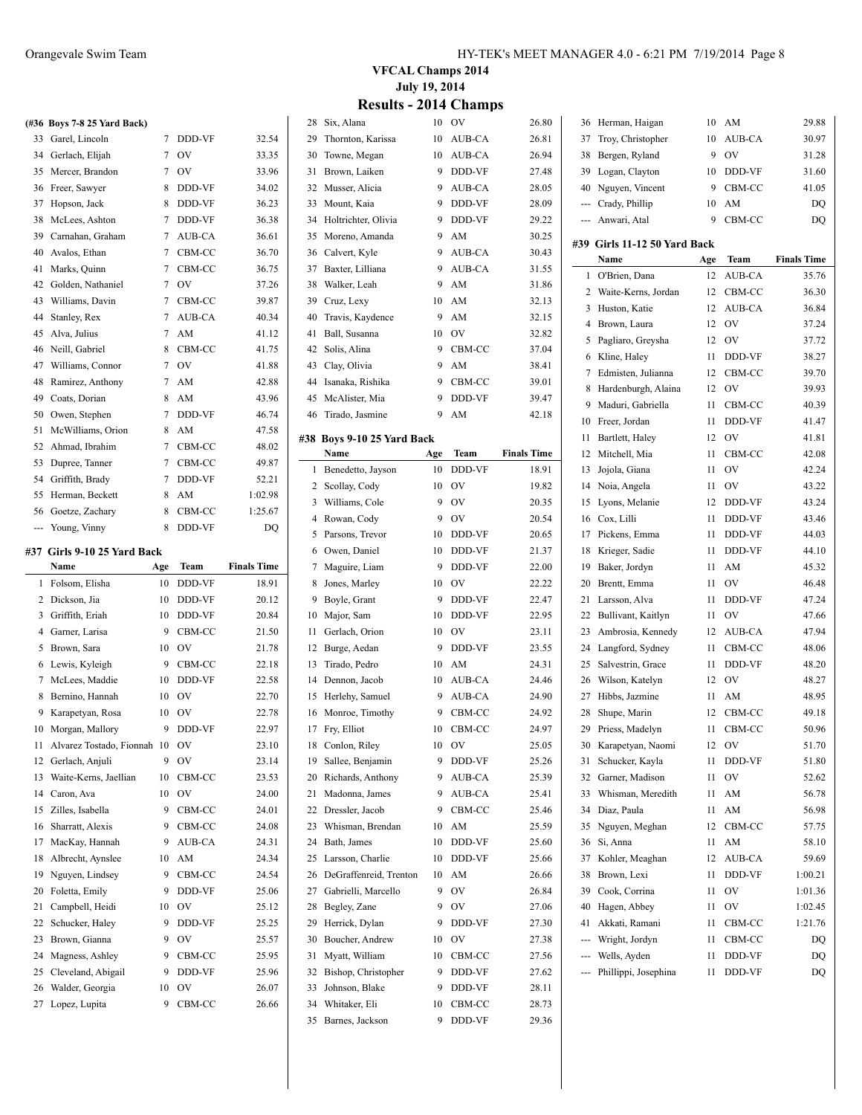|     | (#36 Boys 7-8 25 Yard Back) |                |           |                    |
|-----|-----------------------------|----------------|-----------|--------------------|
| 33  | Garel, Lincoln              | $\overline{7}$ | DDD-VF    | 32.54              |
| 34  | Gerlach, Elijah             | 7              | OV        | 33.35              |
| 35  | Mercer, Brandon             | 7              | OV        | 33.96              |
| 36  | Freer, Sawyer               | 8              | DDD-VF    | 34.02              |
| 37  | Hopson, Jack                | 8              | DDD-VF    | 36.23              |
| 38  | McLees, Ashton              | 7              | DDD-VF    | 36.38              |
| 39  | Carnahan, Graham            | 7              | AUB-CA    | 36.61              |
| 40  | Avalos, Ethan               | 7              | CBM-CC    | 36.70              |
| 41  | Marks, Quinn                | 7              | CBM-CC    | 36.75              |
| 42  | Golden, Nathaniel           | $\overline{7}$ | OV        | 37.26              |
| 43  | Williams, Davin             | 7              | CBM-CC    | 39.87              |
| 44  | Stanley, Rex                | 7              | AUB-CA    | 40.34              |
| 45  | Alva, Julius                | 7              | AM        | 41.12              |
| 46  | Neill, Gabriel              | 8              | CBM-CC    | 41.75              |
| 47  | Williams, Connor            | 7              | <b>OV</b> | 41.88              |
| 48  | Ramirez, Anthony            | 7              | AM        | 42.88              |
| 49  | Coats, Dorian               | 8              | AM        | 43.96              |
| 50  | Owen, Stephen               | 7              | DDD-VF    | 46.74              |
| 51  | McWilliams, Orion           | 8              | AM        | 47.58              |
| 52  | Ahmad, Ibrahim              | 7              | CBM-CC    | 48.02              |
| 53  | Dupree, Tanner              | 7              | CBM-CC    | 49.87              |
| 54  | Griffith, Brady             | 7              | DDD-VF    | 52.21              |
| 55  | Herman, Beckett             | 8              | AM        | 1:02.98            |
| 56  | Goetze, Zachary             | 8              | CBM-CC    | 1:25.67            |
| --- | Young, Vinny                | 8              | DDD-VF    | DO                 |
|     | #37 Girls 9-10 25 Yard Back |                |           |                    |
|     | Name                        | Age            | Team      | <b>Finals Time</b> |
| 1   | Folsom, Elisha              | 10             | DDD-VF    | 18.91              |

|    | Name                     | Age | Team   | <b>Finals Time</b> |
|----|--------------------------|-----|--------|--------------------|
| 1  | Folsom, Elisha           | 10  | DDD-VF | 18.91              |
| 2  | Dickson, Jia             | 10  | DDD-VF | 20.12              |
| 3  | Griffith, Eriah          | 10  | DDD-VF | 20.84              |
| 4  | Garner, Larisa           | 9   | CBM-CC | 21.50              |
| 5  | Brown, Sara              | 10  | OV     | 21.78              |
| 6  | Lewis, Kyleigh           | 9   | CBM-CC | 22.18              |
| 7  | McLees, Maddie           | 10  | DDD-VF | 22.58              |
| 8  | Bernino, Hannah          | 10  | OV     | 22.70              |
| 9  | Karapetyan, Rosa         | 10  | OV     | 22.78              |
| 10 | Morgan, Mallory          | 9   | DDD-VF | 22.97              |
| 11 | Alvarez Tostado, Fionnah | 10  | OV     | 23.10              |
| 12 | Gerlach, Anjuli          | 9   | OV     | 23.14              |
| 13 | Waite-Kerns, Jaellian    | 10  | CBM-CC | 23.53              |
| 14 | Caron, Ava               | 10  | OV     | 24.00              |
| 15 | Zilles, Isabella         | 9   | CBM-CC | 24.01              |
| 16 | Sharratt, Alexis         | 9   | CBM-CC | 24.08              |
| 17 | MacKay, Hannah           | 9   | AUB-CA | 24.31              |
| 18 | Albrecht, Aynslee        | 10  | AM     | 24.34              |
| 19 | Nguyen, Lindsey          | 9   | CBM-CC | 24.54              |
| 20 | Foletta, Emily           | 9   | DDD-VF | 25.06              |
| 21 | Campbell, Heidi          | 10  | OV     | 25.12              |
| 22 | Schucker, Haley          | 9   | DDD-VF | 25.25              |
| 23 | Brown, Gianna            | 9   | OV     | 25.57              |
| 24 | Magness, Ashley          | 9   | CBM-CC | 25.95              |
| 25 | Cleveland, Abigail       | 9   | DDD-VF | 25.96              |
| 26 | Walder, Georgia          | 10  | OV     | 26.07              |
| 27 | Lopez, Lupita            | 9   | CBM-CC | 26.66              |

### Orangevale Swim Team HY-TEK's MEET MANAGER 4.0 - 6:21 PM 7/19/2014 Page 8

**VFCAL Champs 2014 July 19, 2014**

### **Results - 2014 Champs**

| 28     | Six, Alana                 | 10  | OV        | 26.80              |
|--------|----------------------------|-----|-----------|--------------------|
| 29     | Thornton, Karissa          | 10  | AUB-CA    | 26.81              |
| 30     | Towne, Megan               | 10  | AUB-CA    | 26.94              |
| 31     | Brown, Laiken              | 9   | DDD-VF    | 27.48              |
| 32     | Musser, Alicia             | 9   | AUB-CA    | 28.05              |
| 33     | Mount, Kaia                | 9   | DDD-VF    | 28.09              |
| 34     | Holtrichter, Olivia        | 9   | DDD-VF    | 29.22              |
| 35     | Moreno, Amanda             | 9   | AM        | 30.25              |
| 36     | Calvert, Kyle              | 9   | AUB-CA    | 30.43              |
| 37     | Baxter, Lilliana           | 9   | AUB-CA    | 31.55              |
| 38     | Walker, Leah               | 9   | AM        | 31.86              |
| 39     | Cruz, Lexy                 | 10  | AM        | 32.13              |
| 40     | Travis, Kaydence           | 9   | AM        | 32.15              |
| 41     | Ball, Susanna              | 10  | OV        | 32.82              |
| 42     | Solis, Alina               | 9   | CBM-CC    | 37.04              |
| 43     | Clay, Olivia               | 9   | AM        | 38.41              |
| 44     | Isanaka, Rishika           | 9   | CBM-CC    | 39.01              |
| 45     | McAlister, Mia             | 9   | DDD-VF    | 39.47              |
| 46     | Tirado, Jasmine            | 9   | AM        | 42.18              |
|        |                            |     |           |                    |
|        | #38 Boys 9-10 25 Yard Back |     |           |                    |
|        | Name                       | Age | Team      | <b>Finals Time</b> |
| 1      | Benedetto, Jayson          | 10  | DDD-VF    | 18.91              |
| 2      | Scollay, Cody              | 10  | <b>OV</b> | 19.82              |
| 3      | Williams, Cole             | 9   | OV        | 20.35              |
| 4      | Rowan, Cody                | 9   | <b>OV</b> | 20.54              |
| 5      | Parsons, Trevor            | 10  | DDD-VF    | 20.65              |
| 6      | Owen, Daniel               | 10  | DDD-VF    | 21.37              |
| $\tau$ | Maguire, Liam              | 9   | DDD-VF    | 22.00              |
| 8      | Jones, Marley              | 10  | <b>OV</b> | 22.22              |
| 9      | Boyle, Grant               | 9   | DDD-VF    | 22.47              |
| 10     | Major, Sam                 | 10  | DDD-VF    | 22.95              |
| 11     | Gerlach, Orion             | 10  | <b>OV</b> | 23.11              |
| 12     | Burge, Aedan               | 9   | DDD-VF    | 23.55              |
| 13     | Tirado, Pedro              | 10  | AM        | 24.31              |
| 14     | Dennon, Jacob              | 10  | AUB-CA    | 24.46              |
| 15     | Herlehy, Samuel            | 9   | AUB-CA    | 24.90              |
| 16     | Monroe, Timothy            | 9   | CBM-CC    | 24.92              |
| 17     | Fry, Elliot                | 10  | CBM-CC    | 24.97              |
|        | 18 Conlon, Riley           | 10  | OV        | 25.05              |
| 19     | Sallee, Benjamin           | 9   | DDD-VF    | 25.26              |
| 20     | Richards, Anthony          | 9   | AUB-CA    | 25.39              |
| 21     | Madonna, James             | 9   | AUB-CA    | 25.41              |
| 22     | Dressler, Jacob            | 9   | CBM-CC    | 25.46              |
| 23     | Whisman, Brendan           | 10  | AM        | 25.59              |
| 24     | Bath, James                | 10  | DDD-VF    | 25.60              |
| 25     | Larsson, Charlie           | 10  | DDD-VF    | 25.66              |
| 26     | DeGraffenreid, Trenton     | 10  | AM        | 26.66              |
| 27     | Gabrielli, Marcello        | 9   | OV        | 26.84              |
| 28     | Begley, Zane               | 9   | OV        | 27.06              |
|        |                            |     |           |                    |
| 29     | Herrick, Dylan             | 9   | DDD-VF    | 27.30              |
| 30     | Boucher, Andrew            | 10  | OV        | 27.38              |
| 31     | Myatt, William             | 10  | CBM-CC    | 27.56              |
| 32     | Bishop, Christopher        | 9   | DDD-VF    | 27.62              |
| 33     | Johnson, Blake             | 9   | DDD-VF    | 28.11              |
| 34     | Whitaker, Eli              | 10  | CBM-CC    | 28.73              |

| 36       | Herman, Haigan                   | 10  | AM                     | 29.88              |
|----------|----------------------------------|-----|------------------------|--------------------|
| 37       | Troy, Christopher                | 10  | AUB-CA                 | 30.97              |
| 38       | Bergen, Ryland                   | 9   | <b>OV</b>              | 31.28              |
| 39       | Logan, Clayton                   | 10  | DDD-VF                 | 31.60              |
| 40       | Nguyen, Vincent                  | 9   | CBM-CC                 | 41.05              |
| ---      | Crady, Phillip                   | 10  | AM                     | DO                 |
| ---      | Anwari, Atal                     | 9   | CBM-CC                 | DQ                 |
|          | #39 Girls 11-12 50 Yard Back     |     |                        |                    |
|          | Name                             | Age | Team                   | <b>Finals Time</b> |
| 1        | O'Brien, Dana                    | 12  | AUB-CA                 | 35.76              |
| 2        | Waite-Kerns, Jordan              | 12  | CBM-CC                 | 36.30              |
| 3        | Huston, Katie                    | 12  | AUB-CA                 | 36.84              |
| 4        | Brown, Laura                     | 12  | OV                     | 37.24              |
| 5        | Pagliaro, Greysha                | 12  | OV                     | 37.72              |
| 6        | Kline, Haley                     | 11  | DDD-VF                 | 38.27              |
| 7        | Edmisten, Julianna               | 12  | CBM-CC                 | 39.70              |
| 8        | Hardenburgh, Alaina              | 12  | <b>OV</b>              | 39.93              |
| 9        | Maduri, Gabriella                | 11  | CBM-CC                 | 40.39              |
|          |                                  | 11  | DDD-VF                 |                    |
| 10<br>11 | Freer, Jordan                    | 12  | <b>OV</b>              | 41.47<br>41.81     |
| 12       | Bartlett, Haley<br>Mitchell, Mia | 11  |                        |                    |
|          |                                  |     | CBM-CC                 | 42.08<br>42.24     |
| 13       | Jojola, Giana                    | 11  | <b>OV</b>              |                    |
| 14       | Noia, Angela                     | 11  | OV                     | 43.22              |
| 15       | Lyons, Melanie                   | 12  | DDD-VF                 | 43.24              |
| 16       | Cox, Lilli                       | 11  | DDD-VF                 | 43.46              |
| 17       | Pickens, Emma                    | 11  | DDD-VF                 | 44.03              |
| 18       | Krieger, Sadie                   | 11  | DDD-VF                 | 44.10              |
| 19       | Baker, Jordyn                    | 11  | AM                     | 45.32              |
| 20       | Brentt, Emma                     | 11  | OV                     | 46.48              |
| 21       | Larsson, Alva                    | 11  | DDD-VF                 | 47.24              |
| 22       | Bullivant, Kaitlyn               | 11  | OV                     | 47.66              |
| 23       | Ambrosia, Kennedy                | 12  | AUB-CA                 | 47.94              |
| 24       | Langford, Sydney                 | 11  | CBM-CC                 | 48.06              |
| 25       | Salvestrin, Grace                | 11  | DDD-VF                 | 48.20              |
| 26       | Wilson, Katelyn                  | 12  | <b>OV</b>              | 48.27              |
| 27       | Hibbs, Jazmine                   | 11  | AM                     | 48.95              |
| 28       | Shupe, Marin                     | 12  | CBM-CC                 | 49.18              |
| 29       | Priess, Madelyn                  | 11  | CBM-CC                 | 50.96              |
| 30       | Karapetyan, Naomi                | 12  | OV                     | 51.70              |
| 31       | Schucker, Kayla                  | 11  | DDD-VF                 | 51.80              |
| 32       | Garner, Madison                  | 11  | OV                     | 52.62              |
| 33       | Whisman, Meredith                | 11  | AM                     | 56.78              |
| 34       | Diaz, Paula                      | 11  | AM                     | 56.98              |
| 35       | Nguyen, Meghan                   | 12  | CBM-CC                 | 57.75              |
| 36       | Si, Anna                         | 11  | $\mathbf{A}\mathbf{M}$ | 58.10              |
| 37       | Kohler, Meaghan                  | 12  | AUB-CA                 | 59.69              |
| 38       | Brown, Lexi                      | 11  | DDD-VF                 | 1:00.21            |
| 39       | Cook, Corrina                    | 11  | OV                     | 1:01.36            |
| 40       | Hagen, Abbey                     | 11  | OV                     | 1:02.45            |
| 41       | Akkati, Ramani                   | 11  | CBM-CC                 | 1:21.76            |
| ---      | Wright, Jordyn                   | 11  | CBM-CC                 | DQ                 |
| ---      | Wells, Ayden                     | 11  | DDD-VF                 | DQ                 |
|          | Phillippi, Josephina             | 11  | DDD-VF                 | DQ                 |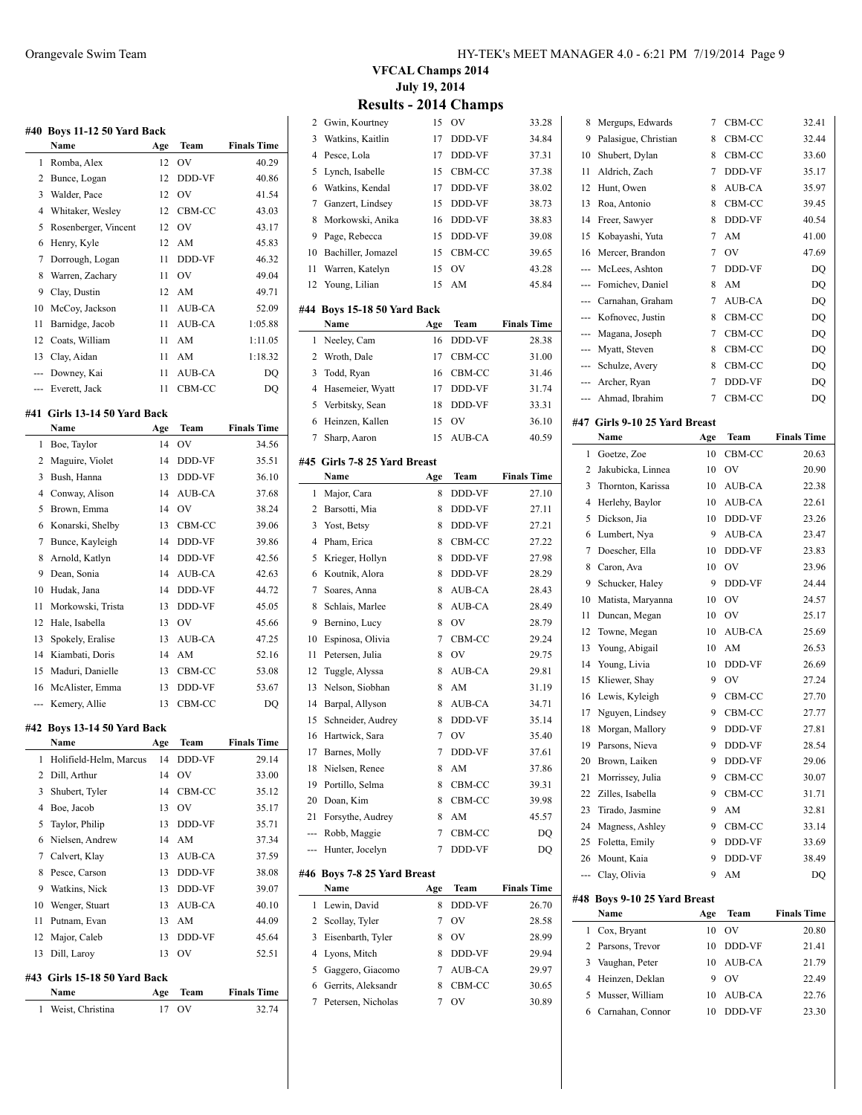|     | #40 Boys 11-12 50 Yard Back<br>Name | Age | Team   | <b>Finals Time</b> |
|-----|-------------------------------------|-----|--------|--------------------|
| 1   | Romba, Alex                         | 12  | OV     | 40.29              |
| 2   | Bunce, Logan                        | 12  | DDD-VF | 40.86              |
| 3   | Walder, Pace                        | 12  | OV     | 41.54              |
| 4   | Whitaker, Wesley                    | 12  | CBM-CC | 43.03              |
| 5   | Rosenberger, Vincent                | 12  | OV     | 43.17              |
| 6   | Henry, Kyle                         | 12  | AM     | 45.83              |
| 7   | Dorrough, Logan                     | 11  | DDD-VF | 46.32              |
| 8   | Warren, Zachary                     | 11  | OV     | 49.04              |
| 9   | Clay, Dustin                        | 12  | AM     | 49.71              |
| 10  | McCoy, Jackson                      | 11  | AUB-CA | 52.09              |
| 11  | Barnidge, Jacob                     | 11  | AUB-CA | 1:05.88            |
| 12  | Coats, William                      | 11  | AM     | 1:11.05            |
| 13  | Clay, Aidan                         | 11  | AM     | 1:18.32            |
| --- | Downey, Kai                         | 11  | AUB-CA | DQ                 |
| --- | Everett, Jack                       | 11  | CBM-CC | DQ                 |
|     |                                     |     |        |                    |
| #41 | Girls 13-14 50 Yard Back<br>Name    | Age | Team   | <b>Finals Time</b> |
| 1   | Boe, Taylor                         | 14  | OV     | 34.56              |
| 2   | Maguire, Violet                     | 14  | DDD-VF | 35.51              |
| 3   | Bush, Hanna                         | 13  | DDD-VF | 36.10              |
| 4   | Conway, Alison                      | 14  | AUB-CA | 37.68              |
| 5   | Brown, Emma                         | 14  | OV     | 38.24              |
| 6   | Konarski, Shelby                    | 13  | CBM-CC | 39.06              |
| 7   | Bunce, Kayleigh                     | 14  | DDD-VF | 39.86              |
| 8   | Arnold, Katlyn                      | 14  | DDD-VF | 42.56              |
| 9   | Dean, Sonia                         | 14  | AUB-CA | 42.63              |
| 10  | Hudak, Jana                         | 14  | DDD-VF | 44.72              |
| 11  | Morkowski, Trista                   | 13  | DDD-VF | 45.05              |
| 12  | Hale, Isabella                      | 13  | OV     | 45.66              |
| 13  | Spokely, Eralise                    | 13  | AUB-CA | 47.25              |
| 14  | Kiambati, Doris                     | 14  | AM     | 52.16              |
| 15  | Maduri, Danielle                    | 13  | CBM-CC | 53.08              |
| 16  | McAlister, Emma                     | 13  | DDD-VF | 53.67              |
| --- | Kemery, Allie                       | 13  | CBM-CC | DQ                 |
| #42 | Boys 13-14 50 Yard Back             |     |        |                    |
|     | Name                                | Age | Team   | <b>Finals Time</b> |
| 1   | Holifield-Helm, Marcus              | 14  | DDD-VF | 29.14              |
| 2   | Dill, Arthur                        | 14  | OV     | 33.00              |
| 3   | Shubert, Tyler                      | 14  | CBM-CC | 35.12              |
| 4   | Boe, Jacob                          | 13  | OV     | 35.17              |
| 5   | Taylor, Philip                      | 13  | DDD-VF | 35.71              |
| 6   | Nielsen, Andrew                     | 14  | AM     | 37.34              |
| 7   | Calvert, Klay                       | 13  | AUB-CA | 37.59              |
| 8   | Pesce, Carson                       | 13  | DDD-VF | 38.08              |
| 9   | Watkins, Nick                       | 13  | DDD-VF | 39.07              |
| 10  | Wenger, Stuart                      | 13  | AUB-CA | 40.10              |
| 11  | Putnam, Evan                        | 13  | AM     | 44.09              |
| 12  | Major, Caleb                        | 13  | DDD-VF | 45.64              |
| 13  | Dill, Laroy                         | 13  | OV     | 52.51              |
| #43 | Girls 15-18 50 Yard Back            |     |        |                    |
|     | Name                                | Age | Team   | <b>Finals Time</b> |
| 1   | Weist, Christina                    | 17  | OV     | 32.74              |
|     |                                     |     |        |                    |

### **VFCAL Champs 2014 July 19, 2014 Results - 2014 Champs**

| 2              | Gwin, Kourtney                      | 15       | OV          | 33.28              |
|----------------|-------------------------------------|----------|-------------|--------------------|
| 3              | Watkins, Kaitlin                    | 17       | DDD-VF      | 34.84              |
| $\overline{4}$ | Pesce, Lola                         | 17       | DDD-VF      | 37.31              |
| 5              | Lynch, Isabelle                     | 15       | CBM-CC      | 37.38              |
| 6              | Watkins, Kendal                     | 17       | DDD-VF      | 38.02              |
| 7              | Ganzert, Lindsey                    | 15       | DDD-VF      | 38.73              |
| 8              | Morkowski, Anika                    | 16       | DDD-VF      | 38.83              |
| 9              | Page, Rebecca                       | 15       | DDD-VF      | 39.08              |
| 10             | Bachiller, Jomazel                  | 15       | CBM-CC      | 39.65              |
| 11             | Warren, Katelyn                     | 15       | OV          | 43.28              |
| 12             | Young, Lilian                       | 15       | AM          | 45.84              |
|                |                                     |          |             |                    |
|                | #44 Boys 15-18 50 Yard Back<br>Name | Age      | Team        | <b>Finals Time</b> |
| 1              | Neeley, Cam                         | 16       | DDD-VF      | 28.38              |
| 2              | Wroth, Dale                         | 17       | CBM-CC      | 31.00              |
| 3              | Todd, Ryan                          | 16       | CBM-CC      | 31.46              |
| 4              | Hasemeier, Wyatt                    | 17       | DDD-VF      | 31.74              |
|                |                                     |          | DDD-VF      |                    |
| 5              | Verbitsky, Sean                     | 18       |             | 33.31              |
| 6              | Heinzen, Kallen                     | 15<br>15 | OV          | 36.10              |
| 7              | Sharp, Aaron                        |          | AUB-CA      | 40.59              |
|                | #45 Girls 7-8 25 Yard Breast        |          |             |                    |
|                | Name                                | Age      | <b>Team</b> | <b>Finals Time</b> |
| 1              | Major, Cara                         | 8        | DDD-VF      | 27.10              |
| 2              | Barsotti, Mia                       | 8        | DDD-VF      | 27.11              |
| 3              | Yost, Betsy                         | 8        | DDD-VF      | 27.21              |
| 4              | Pham, Erica                         | 8        | CBM-CC      | 27.22              |
| 5              | Krieger, Hollyn                     | 8        | DDD-VF      | 27.98              |
| 6              | Koutnik, Alora                      | 8        | DDD-VF      | 28.29              |
| 7              | Soares, Anna                        | 8        | AUB-CA      | 28.43              |
| 8              | Schlais, Marlee                     | 8        | AUB-CA      | 28.49              |
| 9              | Bernino, Lucy                       | 8        | OV          | 28.79              |
| 10             | Espinosa, Olivia                    | 7        | CBM-CC      | 29.24              |
| 11             | Petersen, Julia                     | 8        | OV          | 29.75              |
| 12             | Tuggle, Alyssa                      | 8        | AUB-CA      | 29.81              |
| 13             | Nelson, Siobhan                     | 8        | AM          | 31.19              |
| 14             | Barpal, Allyson                     | 8        | AUB-CA      | 34.71              |
| 15             | Schneider, Audrey                   | 8        | DDD-VF      | 35.14              |
| 16             | Hartwick, Sara                      | 7        | OV          | 35.40              |
| 17             | Barnes, Molly                       | 7        | DDD-VF      | 37.61              |
| 18             | Nielsen, Renee                      | 8        | AM          | 37.86              |
| 19             | Portillo, Selma                     | 8        | CBM-CC      | 39.31              |
| 20             | Doan, Kim                           | 8        | CBM-CC      | 39.98              |
| 21             | Forsythe, Audrey                    | 8        | AM          | 45.57              |
| ---            | Robb, Maggie                        | 7        | CBM-CC      | DQ                 |
|                | Hunter, Jocelyn                     | 7        | DDD-VF      | DQ                 |
|                | #46 Boys 7-8 25 Yard Breast         |          |             |                    |
|                | Name                                | Age      | Team        | <b>Finals Time</b> |
| 1              | Lewin, David                        | 8        | DDD-VF      | 26.70              |
| 2              | Scollay, Tyler                      | 7        | OV          | 28.58              |
| 3              | Eisenbarth, Tyler                   | 8        | OV          | 28.99              |
| 4              | Lyons, Mitch                        | 8        | DDD-VF      | 29.94              |
| 5              | Gaggero, Giacomo                    | 7        | AUB-CA      | 29.97              |
| 6              | Gerrits, Aleksandr                  | 8        | CBM-CC      | 30.65              |
| 7              | Petersen, Nicholas                  | 7        | OV          | 30.89              |
|                |                                     |          |             |                    |

| 8        | Mergups, Edwards              | 7   | CBM-CC    | 32.41              |
|----------|-------------------------------|-----|-----------|--------------------|
| 9        | Palasigue, Christian          | 8   | CBM-CC    | 32.44              |
| 10       | Shubert, Dylan                | 8   | CBM-CC    | 33.60              |
| 11       | Aldrich, Zach                 | 7   | DDD-VF    | 35.17              |
| 12       | Hunt, Owen                    | 8   | AUB-CA    | 35.97              |
| 13       | Roa, Antonio                  | 8   | CBM-CC    | 39.45              |
| 14       | Freer, Sawyer                 | 8   | DDD-VF    | 40.54              |
| 15       | Kobayashi, Yuta               | 7   | AM        | 41.00              |
| 16       | Mercer, Brandon               | 7   | <b>OV</b> | 47.69              |
| ---      | McLees, Ashton                | 7   | DDD-VF    | DQ                 |
| $\cdots$ | Fomichev, Daniel              | 8   | AM        | DQ                 |
| ---      | Carnahan, Graham              | 7   | AUB-CA    | DQ                 |
| ---      | Kofnovec, Justin              | 8   | CBM-CC    | DQ                 |
|          | --- Magana, Joseph            | 7   | CBM-CC    | DQ                 |
|          |                               |     |           |                    |
|          | --- Myatt, Steven             | 8   | CBM-CC    | DQ                 |
|          | --- Schulze, Avery            | 8   | CBM-CC    | DQ                 |
|          | --- Archer, Ryan              | 7   | DDD-VF    | DQ                 |
|          | --- Ahmad, Ibrahim            | 7   | CBM-CC    | DQ                 |
|          | #47 Girls 9-10 25 Yard Breast |     |           |                    |
|          | Name                          | Age | Team      | <b>Finals Time</b> |
| 1        | Goetze, Zoe                   | 10  | CBM-CC    | 20.63              |
| 2        | Jakubicka, Linnea             | 10  | OV        | 20.90              |
| 3        | Thornton, Karissa             | 10  | AUB-CA    | 22.38              |
| 4        | Herlehy, Baylor               | 10  | AUB-CA    | 22.61              |
| 5        | Dickson, Jia                  | 10  | DDD-VF    | 23.26              |
| 6        | Lumbert, Nya                  | 9   | AUB-CA    | 23.47              |
| 7        | Doescher, Ella                | 10  | DDD-VF    | 23.83              |
| 8        | Caron, Ava                    | 10  | <b>OV</b> | 23.96              |
| 9        | Schucker, Haley               | 9   | DDD-VF    | 24.44              |
| 10       | Matista, Maryanna             | 10  | OV        | 24.57              |
| 11       | Duncan, Megan                 | 10  | OV        | 25.17              |
| 12       | Towne, Megan                  | 10  | AUB-CA    | 25.69              |
| 13       | Young, Abigail                | 10  | AM        | 26.53              |
| 14       | Young, Livia                  | 10  | DDD-VF    | 26.69              |
| 15       | Kliewer, Shay                 | 9   | OV        | 27.24              |
|          |                               | 9   |           |                    |
| 16       | Lewis, Kyleigh                |     | CBM-CC    | 27.70              |
| 17       | Nguyen, Lindsey               | 9   | CBM-CC    | 27.77              |
| 18       | Morgan, Mallory               | 9   | DDD-VF    | 27.81              |
| 19       | Parsons, Nieva                | 9   | DDD-VF    | 28.54              |
| 20       | Brown, Laiken                 | 9   | DDD-VF    | 29.06              |
| 21       | Morrissey, Julia              | 9   | CBM-CC    | 30.07              |
| 22       | Zilles, Isabella              | 9   | CBM-CC    | 31.71              |
| 23       | Tirado, Jasmine               | 9   | AM        | 32.81              |
| 24       | Magness, Ashley               | 9   | CBM-CC    | 33.14              |
| 25       | Foletta, Emily                | 9   | DDD-VF    | 33.69              |
| 26       | Mount, Kaia                   | 9   | DDD-VF    | 38.49              |
| ---      | Clay, Olivia                  | 9   | AM        | DQ                 |
|          | #48 Boys 9-10 25 Yard Breast  |     |           |                    |
|          | Name                          | Age | Team      | <b>Finals Time</b> |
| 1        | Cox, Bryant                   | 10  | OV        | 20.80              |
| 2        | Parsons, Trevor               | 10  | DDD-VF    | 21.41              |
| 3        | Vaughan, Peter                | 10  | AUB-CA    | 21.79              |
| 4        | Heinzen, Deklan               | 9   | OV        | 22.49              |
| 5        | Musser, William               | 10  | AUB-CA    | 22.76              |
| 6        | Carnahan, Connor              | 10  | DDD-VF    | 23.30              |
|          |                               |     |           |                    |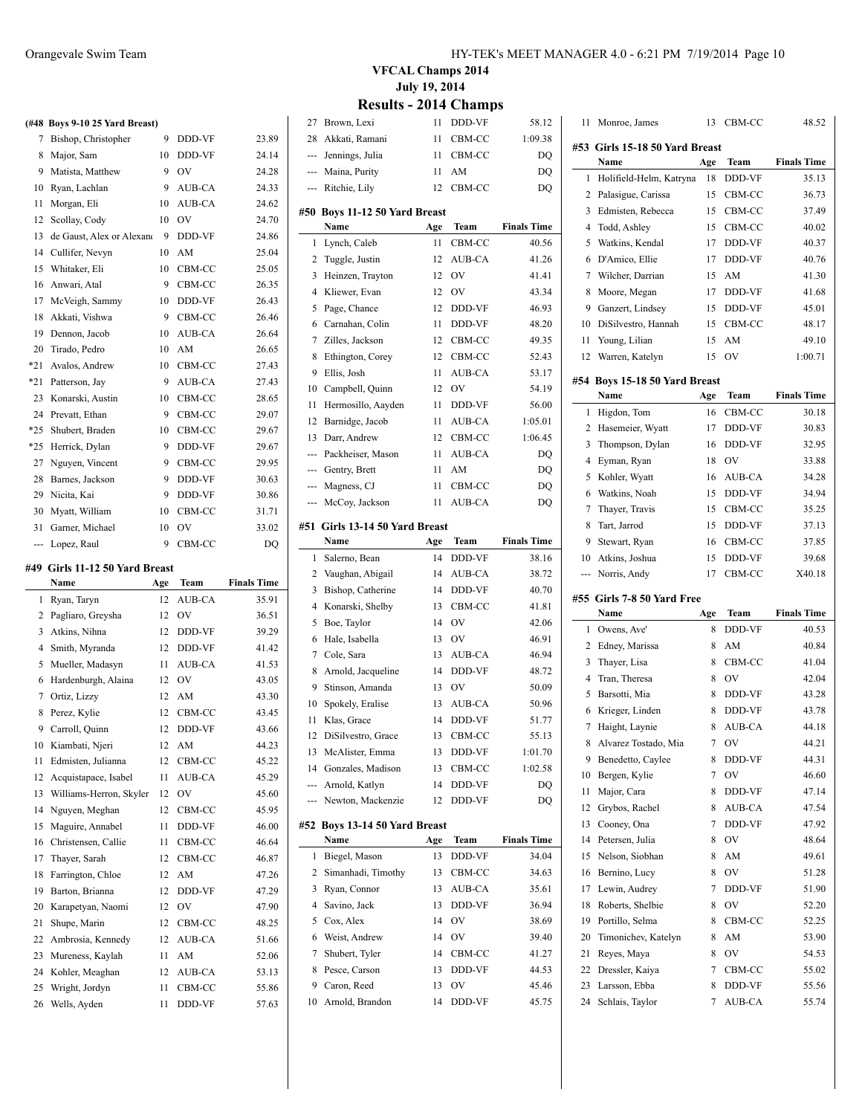|       | (#48 Boys 9-10 25 Yard Breast) |    |        |       |
|-------|--------------------------------|----|--------|-------|
| 7     | Bishop, Christopher            | 9  | DDD-VF | 23.89 |
| 8     | Major, Sam                     | 10 | DDD-VF | 24.14 |
| 9     | Matista, Matthew               | 9  | OV     | 24.28 |
| 10    | Ryan, Lachlan                  | 9  | AUB-CA | 24.33 |
| 11    | Morgan, Eli                    | 10 | AUB-CA | 24.62 |
| 12    | Scollay, Cody                  | 10 | OV     | 24.70 |
| 13    | de Gaust, Alex or Alexano      | 9  | DDD-VF | 24.86 |
| 14    | Cullifer, Nevyn                | 10 | AM     | 25.04 |
| 15    | Whitaker, Eli                  | 10 | CBM-CC | 25.05 |
| 16    | Anwari, Atal                   | 9  | CBM-CC | 26.35 |
| 17    | McVeigh, Sammy                 | 10 | DDD-VF | 26.43 |
| 18    | Akkati, Vishwa                 | 9  | CBM-CC | 26.46 |
| 19    | Dennon, Jacob                  | 10 | AUB-CA | 26.64 |
| 20    | Tirado, Pedro                  | 10 | AM     | 26.65 |
| $*21$ | Avalos, Andrew                 | 10 | CBM-CC | 27.43 |
| $*21$ | Patterson, Jay                 | 9  | AUB-CA | 27.43 |
| 23    | Konarski, Austin               | 10 | CBM-CC | 28.65 |
| 24    | Prevatt, Ethan                 | 9  | CBM-CC | 29.07 |
| $*25$ | Shubert, Braden                | 10 | CBM-CC | 29.67 |
| $*25$ | Herrick, Dylan                 | 9  | DDD-VF | 29.67 |
| 27    | Nguyen, Vincent                | 9  | CBM-CC | 29.95 |
| 28    | Barnes, Jackson                | 9  | DDD-VF | 30.63 |
| 29    | Nicita, Kai                    | 9  | DDD-VF | 30.86 |
| 30    | Myatt, William                 | 10 | CBM-CC | 31.71 |
| 31    | Garner, Michael                | 10 | OV     | 33.02 |
| ---   | Lopez, Raul                    | 9  | CBM-CC | DQ    |

#### **#49 Girls 11-12 50 Yard Breast**

 $\overline{a}$ 

|    | Name                    | Age | Team   | <b>Finals Time</b> |
|----|-------------------------|-----|--------|--------------------|
| 1  | Ryan, Taryn             | 12  | AUB-CA | 35.91              |
| 2  | Pagliaro, Greysha       | 12  | OV     | 36.51              |
| 3  | Atkins, Nihna           | 12  | DDD-VF | 39.29              |
| 4  | Smith, Myranda          | 12  | DDD-VF | 41.42              |
| 5  | Mueller, Madasyn        | 11  | AUB-CA | 41.53              |
| 6  | Hardenburgh, Alaina     | 12  | OV     | 43.05              |
| 7  | Ortiz, Lizzy            | 12  | AM     | 43.30              |
| 8  | Perez, Kylie            | 12  | CBM-CC | 43.45              |
| 9  | Carroll, Quinn          | 12  | DDD-VF | 43.66              |
| 10 | Kiambati, Njeri         | 12  | AM     | 44.23              |
| 11 | Edmisten, Julianna      | 12  | CBM-CC | 45.22              |
| 12 | Acquistapace, Isabel    | 11  | AUB-CA | 45.29              |
| 13 | Williams-Herron, Skyler | 12  | OV     | 45.60              |
| 14 | Nguyen, Meghan          | 12  | CBM-CC | 45.95              |
| 15 | Maguire, Annabel        | 11  | DDD-VF | 46.00              |
| 16 | Christensen, Callie     | 11  | CBM-CC | 46.64              |
| 17 | Thayer, Sarah           | 12  | CBM-CC | 46.87              |
| 18 | Farrington, Chloe       | 12  | AM     | 47.26              |
| 19 | Barton, Brianna         | 12  | DDD-VF | 47.29              |
| 20 | Karapetyan, Naomi       | 12  | OV     | 47.90              |
| 21 | Shupe, Marin            | 12  | CBM-CC | 48.25              |
| 22 | Ambrosia, Kennedy       | 12  | AUB-CA | 51.66              |
| 23 | Mureness, Kaylah        | 11  | AM     | 52.06              |
| 24 | Kohler, Meaghan         | 12  | AUB-CA | 53.13              |
| 25 | Wright, Jordyn          | 11  | CBM-CC | 55.86              |
| 26 | Wells, Ayden            | 11  | DDD-VF | 57.63              |

### Orangevale Swim Team HY-TEK's MEET MANAGER 4.0 - 6:21 PM 7/19/2014 Page 10

**VFCAL Champs 2014 July 19, 2014**

### **Results - 2014 Champs**

| 27      | Brown, Lexi                              | 11       | DDD-VF         | 58.12              |
|---------|------------------------------------------|----------|----------------|--------------------|
| 28      | Akkati, Ramani                           | 11       | CBM-CC         | 1:09.38            |
| ---     | Jennings, Julia                          | 11       | CBM-CC         | DQ                 |
| ---     | Maina, Purity                            | 11       | AM             | DQ                 |
| ---     | Ritchie, Lily                            | 12       | CBM-CC         | DQ                 |
|         |                                          |          |                |                    |
| #50     | <b>Boys 11-12 50 Yard Breast</b><br>Name | Age      | Team           | <b>Finals Time</b> |
| 1       | Lynch, Caleb                             | 11       | CBM-CC         | 40.56              |
| 2       | Tuggle, Justin                           | 12       | AUB-CA         | 41.26              |
| 3       | Heinzen, Trayton                         | 12       | O <sub>V</sub> | 41.41              |
| 4       | Kliewer, Evan                            | 12       | OV             | 43.34              |
| 5       | Page, Chance                             | 12       | DDD-VF         | 46.93              |
| 6       | Carnahan, Colin                          | 11       | DDD-VF         | 48.20              |
| 7       | Zilles, Jackson                          | 12       | CBM-CC         | 49.35              |
| 8       | Ethington, Corey                         | 12       | CBM-CC         | 52.43              |
| 9       | Ellis, Josh                              | 11       | AUB-CA         |                    |
| 10      | Campbell, Quinn                          | 12       | OV             | 53.17<br>54.19     |
| 11      |                                          | 11       | DDD-VF         | 56.00              |
| 12      | Hermosillo, Aayden                       |          |                |                    |
|         | Barnidge, Jacob                          | 11       | AUB-CA         | 1:05.01            |
| 13      | Darr, Andrew                             | 12       | CBM-CC         | 1:06.45            |
| ---     | Packheiser, Mason                        | 11       | <b>AUB-CA</b>  | DQ                 |
| ---     | Gentry, Brett                            | 11       | AM             | DQ                 |
| ---     | Magness, CJ                              | 11       | CBM-CC         | DQ                 |
| ---     | McCoy, Jackson                           | 11       | <b>AUB-CA</b>  | DQ                 |
| #51     | Girls 13-14 50 Yard Breast               |          |                |                    |
|         | Name                                     | Age      | Team           | <b>Finals Time</b> |
| 1       | Salerno, Bean                            | 14       | DDD-VF         | 38.16              |
| 2       | Vaughan, Abigail                         | 14       | AUB-CA         | 38.72              |
| 3       | Bishop, Catherine                        | 14       | DDD-VF         | 40.70              |
| 4       | Konarski, Shelby                         | 13       | CBM-CC         | 41.81              |
|         |                                          |          |                |                    |
| 5       | Boe, Taylor                              | 14       | OV             | 42.06              |
| 6       | Hale, Isabella                           | 13       | OV             | 46.91              |
| 7       | Cole, Sara                               | 13       | AUB-CA         | 46.94              |
| 8       | Arnold, Jacqueline                       | 14       | DDD-VF         | 48.72              |
| 9       | Stinson, Amanda                          | 13       | OV             | 50.09              |
| 10      | Spokely, Eralise                         | 13       | AUB-CA         | 50.96              |
| 11      | Klas, Grace                              | 14       | DDD-VF         | 51.77              |
| 12      | DiSilvestro, Grace                       | 13       | CBM-CC         | 55.13              |
| 13      | McAlister, Emma                          | 13       | DDD-VF         | 1:01.70            |
| 14      | Gonzales, Madison                        | 13       | CBM-CC         | 1:02.58            |
| ---     | Arnold, Katlyn                           | 14       | DDD-VF         | DQ                 |
| ---     | Newton, Mackenzie                        | 12       | DDD-VF         | DQ                 |
|         |                                          |          |                |                    |
| #52     | Boys 13-14 50 Yard Breast                |          |                |                    |
|         | Name                                     | Age      | Team           | <b>Finals Time</b> |
| 1       | Biegel, Mason                            | 13       | DDD-VF         | 34.04              |
| 2       | Simanhadi, Timothy                       | 13       | CBM-CC         | 34.63              |
| 3       | Ryan, Connor                             | 13       | AUB-CA         | 35.61              |
| 4       | Savino, Jack                             | 13       | DDD-VF         | 36.94              |
| 5       | Cox, Alex                                | 14       | OV             | 38.69              |
| 6       | Weist, Andrew                            | 14       | OV             | 39.40              |
| 7       | Shubert, Tyler                           | 14       | CBM-CC         | 41.27              |
| 8       | Pesce, Carson                            | 13       | DDD-VF         | 44.53              |
| 9<br>10 | Caron, Reed<br>Arnold, Brandon           | 13<br>14 | OV<br>DDD-VF   | 45.46<br>45.75     |

| 11                       | Monroe, James                  | 13  | CBM-CC | 48.52              |
|--------------------------|--------------------------------|-----|--------|--------------------|
|                          | #53 Girls 15-18 50 Yard Breast |     |        |                    |
|                          | Name                           | Age | Team   | <b>Finals Time</b> |
| 1                        | Holifield-Helm, Katryna        | 18  | DDD-VF | 35.13              |
| 2                        | Palasigue, Carissa             | 15  | CBM-CC | 36.73              |
| 3                        | Edmisten, Rebecca              | 15  | CBM-CC | 37.49              |
| 4                        | Todd, Ashley                   | 15  | CBM-CC | 40.02              |
| 5                        | Watkins, Kendal                | 17  | DDD-VF | 40.37              |
| 6                        | D'Amico, Ellie                 | 17  | DDD-VF | 40.76              |
| 7                        | Wilcher, Darrian               | 15  | AM     | 41.30              |
| 8                        | Moore, Megan                   | 17  | DDD-VF | 41.68              |
| 9                        | Ganzert, Lindsey               | 15  | DDD-VF | 45.01              |
| 10                       | DiSilvestro, Hannah            | 15  | CBM-CC | 48.17              |
| 11                       | Young, Lilian                  | 15  | AM     | 49.10              |
| 12                       | Warren, Katelyn                | 15  | OV     | 1:00.71            |
|                          |                                |     |        |                    |
|                          | #54 Boys 15-18 50 Yard Breast  |     |        |                    |
|                          | Name                           | Age | Team   | <b>Finals Time</b> |
| 1                        | Higdon, Tom                    | 16  | CBM-CC | 30.18              |
| 2                        | Hasemeier, Wyatt               | 17  | DDD-VF | 30.83              |
| 3                        | Thompson, Dylan                | 16  | DDD-VF | 32.95              |
| 4                        | Eyman, Ryan                    | 18  | OV     | 33.88              |
| 5                        | Kohler, Wyatt                  | 16  | AUB-CA | 34.28              |
| 6                        | Watkins, Noah                  | 15  | DDD-VF | 34.94              |
| $\overline{\mathcal{I}}$ | Thayer, Travis                 | 15  | CBM-CC | 35.25              |
| 8                        | Tart, Jarrod                   | 15  | DDD-VF | 37.13              |
| 9                        | Stewart, Ryan                  | 16  | CBM-CC | 37.85              |
| 10                       | Atkins, Joshua                 | 15  | DDD-VF | 39.68              |
|                          |                                |     |        |                    |
| ---                      | Norris, Andy                   | 17  | CBM-CC | X40.18             |
|                          | #55 Girls 7-8 50 Yard Free     |     |        |                    |
|                          | Name                           | Age | Team   | <b>Finals Time</b> |
| 1                        | Owens, Ave'                    | 8   | DDD-VF | 40.53              |
| 2                        | Edney, Marissa                 | 8   | AM     | 40.84              |
| 3                        | Thayer, Lisa                   | 8   | CBM-CC | 41.04              |
| 4                        | Tran, Theresa                  | 8   | OV     | 42.04              |
| 5                        | Barsotti, Mia                  | 8   | DDD-VF | 43.28              |
| 6                        | Krieger, Linden                | 8   | DDD-VF | 43.78              |
| 7                        | Haight, Laynie                 | 8   | AUB-CA | 44.18              |
| 8                        | Alvarez Tostado, Mia           | 7   | OV     | 44.21              |
| 9                        | Benedetto, Caylee              | 8   | DDD-VF | 44.31              |
| 10                       | Bergen, Kylie                  | 7   | OV     | 46.60              |
| 11                       | Major, Cara                    | 8   | DDD-VF | 47.14              |
| 12                       | Grybos, Rachel                 | 8   | AUB-CA | 47.54              |
| 13                       | Cooney, Ona                    | 7   | DDD-VF | 47.92              |
| 14                       | Petersen, Julia                | 8   | OV     | 48.64              |
| 15                       | Nelson, Siobhan                | 8   | AM     | 49.61              |
| 16                       | Bernino, Lucy                  | 8   | OV     | 51.28              |
| 17                       | Lewin, Audrey                  | 7   | DDD-VF | 51.90              |
| 18                       | Roberts, Shelbie               | 8   | OV     | 52.20              |
| 19                       | Portillo, Selma                | 8   | CBM-CC | 52.25              |
| 20                       | Timonichev, Katelyn            | 8   | AM     | 53.90              |
| 21                       | Reyes, Maya                    | 8   | OV     | 54.53              |
| 22                       | Dressler, Kaiya                | 7   | CBM-CC | 55.02              |
| 23                       | Larsson, Ebba                  | 8   | DDD-VF | 55.56              |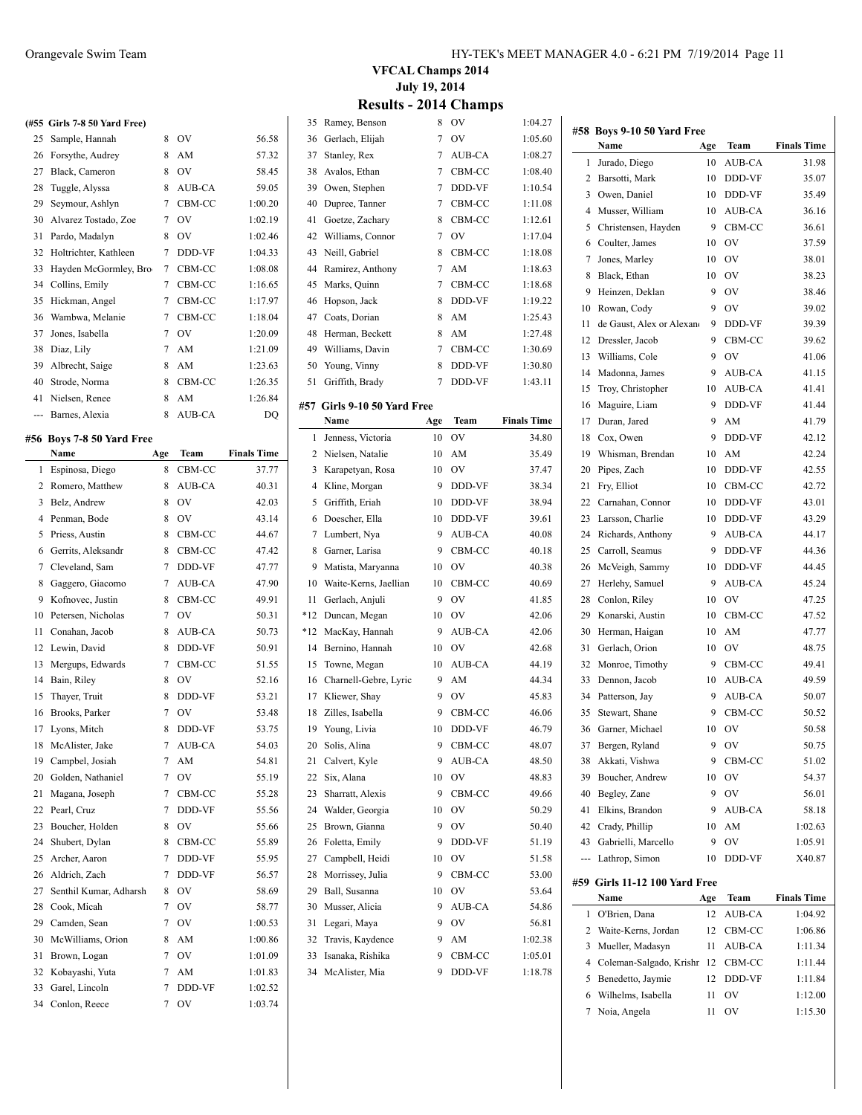|         | (#55 Girls 7-8 50 Yard Free) |   |               |         |
|---------|------------------------------|---|---------------|---------|
| 25      | Sample, Hannah               | 8 | OV            | 56.58   |
| 26      | Forsythe, Audrey             | 8 | AM            | 57.32   |
| 27      | Black, Cameron               | 8 | OV            | 58.45   |
| 28      | Tuggle, Alyssa               | 8 | AUB-CA        | 59.05   |
| 29      | Seymour, Ashlyn              | 7 | CBM-CC        | 1:00.20 |
| 30      | Alvarez Tostado, Zoe         | 7 | OV            | 1:02.19 |
| 31      | Pardo, Madalyn               | 8 | OV            | 1:02.46 |
| 32      | Holtrichter, Kathleen        | 7 | <b>DDD-VF</b> | 1:04.33 |
| 33      | Hayden McGormley, Bro        | 7 | CBM-CC        | 1:08.08 |
| 34      | Collins, Emily               | 7 | CBM-CC        | 1:16.65 |
| 35      | Hickman, Angel               | 7 | CBM-CC        | 1:17.97 |
| 36      | Wambwa, Melanie              | 7 | CBM-CC        | 1:18.04 |
| 37      | Jones, Isabella              | 7 | OV            | 1:20.09 |
| 38      | Diaz, Lily                   | 7 | AM            | 1:21.09 |
| 39      | Albrecht, Saige              | 8 | AM            | 1:23.63 |
| 40      | Strode, Norma                | 8 | CBM-CC        | 1:26.35 |
| 41      | Nielsen, Renee               | 8 | AM            | 1:26.84 |
| $- - -$ | Barnes, Alexia               | 8 | <b>AUB-CA</b> | DQ      |

#### **#56 Boys 7-8 50 Yard Free**

 $\overline{a}$ 

|    | Name                   | Age | Team   | <b>Finals Time</b> |
|----|------------------------|-----|--------|--------------------|
| 1  | Espinosa, Diego        | 8   | CBM-CC | 37.77              |
| 2  | Romero, Matthew        | 8   | AUB-CA | 40.31              |
| 3  | Belz, Andrew           | 8   | OV     | 42.03              |
| 4  | Penman, Bode           | 8   | OV     | 43.14              |
| 5  | Priess, Austin         | 8   | CBM-CC | 44.67              |
| 6  | Gerrits, Aleksandr     | 8   | CBM-CC | 47.42              |
| 7  | Cleveland, Sam         | 7   | DDD-VF | 47.77              |
| 8  | Gaggero, Giacomo       | 7   | AUB-CA | 47.90              |
| 9  | Kofnovec, Justin       | 8   | CBM-CC | 49.91              |
| 10 | Petersen, Nicholas     | 7   | OV     | 50.31              |
| 11 | Conahan, Jacob         | 8   | AUB-CA | 50.73              |
| 12 | Lewin, David           | 8   | DDD-VF | 50.91              |
| 13 | Mergups, Edwards       | 7   | CBM-CC | 51.55              |
| 14 | Bain, Riley            | 8   | OV     | 52.16              |
| 15 | Thaver, Truit          | 8   | DDD-VF | 53.21              |
| 16 | Brooks, Parker         | 7   | OV     | 53.48              |
| 17 | Lyons, Mitch           | 8   | DDD-VF | 53.75              |
| 18 | McAlister, Jake        | 7   | AUB-CA | 54.03              |
| 19 | Campbel, Josiah        | 7   | AM     | 54.81              |
| 20 | Golden, Nathaniel      | 7   | OV     | 55.19              |
| 21 | Magana, Joseph         | 7   | CBM-CC | 55.28              |
| 22 | Pearl, Cruz            | 7   | DDD-VF | 55.56              |
| 23 | Boucher, Holden        | 8   | OV     | 55.66              |
| 24 | Shubert, Dylan         | 8   | CBM-CC | 55.89              |
| 25 | Archer, Aaron          | 7   | DDD-VF | 55.95              |
| 26 | Aldrich, Zach          | 7   | DDD-VF | 56.57              |
| 27 | Senthil Kumar, Adharsh | 8   | OV     | 58.69              |
| 28 | Cook, Micah            | 7   | OV     | 58.77              |
| 29 | Camden, Sean           | 7   | OV     | 1:00.53            |
| 30 | McWilliams, Orion      | 8   | AM     | 1:00.86            |
| 31 | Brown, Logan           | 7   | OV     | 1:01.09            |
| 32 | Kobayashi, Yuta        | 7   | AM     | 1:01.83            |
| 33 | Garel, Lincoln         | 7   | DDD-VF | 1:02.52            |
| 34 | Conlon, Reece          | 7   | OV     | 1:03.74            |

**VFCAL Champs 2014 July 19, 2014**

### **Results - 2014 Champs**

| 35    | Ramey, Benson               | 8               | OV             | 1:04.27            |
|-------|-----------------------------|-----------------|----------------|--------------------|
| 36    | Gerlach, Elijah             | $7\overline{ }$ | OV             | 1:05.60            |
| 37    | Stanley, Rex                | $\overline{7}$  | $AUB-CA$       | 1:08.27            |
| 38    | Avalos, Ethan               | $7\overline{ }$ | CBM-CC         | 1:08.40            |
| 39    | Owen, Stephen               | $7\overline{ }$ | DDD-VF         | 1:10.54            |
| 40    | Dupree, Tanner              | $7\overline{ }$ | CBM-CC         | 1:11.08            |
| 41    | Goetze, Zachary             | 8               | CBM-CC         | 1:12.61            |
| 42    | Williams, Connor            | 7               | OV.            | 1:17.04            |
| 43    | Neill. Gabriel              | 8               | CBM-CC         | 1:18.08            |
| 44    | Ramirez, Anthony            | 7               | AM             | 1:18.63            |
| 45    | Marks, Quinn                | 7               | CBM-CC         | 1:18.68            |
| 46    | Hopson, Jack                | 8               | DDD-VF         | 1:19.22            |
| 47    | Coats, Dorian               | 8               | AM             | 1:25.43            |
| 48    | Herman, Beckett             | 8               | AM             | 1:27.48            |
|       |                             |                 |                |                    |
| 49    | Williams, Davin             | $7\overline{ }$ | CBM-CC         | 1:30.69            |
|       | 50 Young, Vinny             | 8               | DDD-VF         | 1:30.80            |
| 51    | Griffith, Brady             | 7               | DDD-VF         | 1:43.11            |
|       | #57 Girls 9-10 50 Yard Free |                 |                |                    |
|       | Name                        | Age             | Team           | <b>Finals Time</b> |
| 1     | Jenness, Victoria           | 10              | OV             | 34.80              |
| 2     | Nielsen, Natalie            | 10              | AM             | 35.49              |
| 3     | Karapetyan, Rosa            | 10              | O <sub>V</sub> | 37.47              |
| 4     | Kline, Morgan               | 9               | DDD-VF         | 38.34              |
| 5     | Griffith, Eriah             | 10              | DDD-VF         | 38.94              |
| 6     | Doescher, Ella              | 10              | DDD-VF         | 39.61              |
| 7     | Lumbert, Nya                | 9               | AUB-CA         | 40.08              |
| 8     | Garner, Larisa              | 9               | CBM-CC         | 40.18              |
| 9     | Matista, Maryanna           | 10              | OV             | 40.38              |
| 10    | Waite-Kerns, Jaellian       | 10              | CBM-CC         | 40.69              |
| 11    | Gerlach, Anjuli             | 9               | OV             | 41.85              |
| $*12$ |                             |                 | OV             |                    |
|       | Duncan, Megan               | 10              |                | 42.06              |
| *12   | MacKay, Hannah              | 9               | AUB-CA         | 42.06              |
| 14    | Bernino, Hannah             | 10              | OV             | 42.68              |
| 15    | Towne, Megan                | 10              | AUB-CA         | 44.19              |
| 16    | Charnell-Gebre, Lyric       | 9               | AM             | 44.34              |
|       | 17 Kliewer, Shay            | 9               | OV             | 45.83              |
|       | 18 Zilles, Isabella         | 9               | CBM-CC         | 46.06              |
|       | 19 Young, Livia             | 10              | DDD-VF         | 46.79              |
| 20    | Solis, Alina                | 9               | $CBM-CC$       | 48.07              |
| 21    | Calvert, Kyle               | 9               | AUB-CA         | 48.50              |
| 22    | Six, Alana                  | 10              | OV             | 48.83              |
| 23    | Sharratt, Alexis            | 9               | CBM-CC         | 49.66              |
| 24    | Walder, Georgia             | 10              | OV             | 50.29              |
| 25    | Brown, Gianna               | 9               | OV             | 50.40              |
| 26    | Foletta, Emily              | 9               | DDD-VF         | 51.19              |
| 27    | Campbell, Heidi             | 10              | OV             | 51.58              |
| 28    | Morrissey, Julia            | 9               | CBM-CC         | 53.00              |
| 29    | Ball, Susanna               | 10              | OV             | 53.64              |
| 30    | Musser, Alicia              | 9               | AUB-CA         | 54.86              |
| 31    | Legari, Maya                | 9               | OV             | 56.81              |
| 32    | Travis, Kaydence            | 9               | AM             | 1:02.38            |
| 33    | Isanaka, Rishika            | 9               | CBM-CC         | 1:05.01            |
| 34    | McAlister, Mia              | 9               | DDD-VF         | 1:18.78            |
|       |                             |                 |                |                    |
|       |                             |                 |                |                    |

|     | #58 Boys 9-10 50 Yard Free            |         |               |                    |
|-----|---------------------------------------|---------|---------------|--------------------|
|     | Name                                  | Age     | Team          | <b>Finals Time</b> |
| 1   | Jurado, Diego                         | 10      | <b>AUB-CA</b> | 31.98              |
| 2   | Barsotti, Mark                        | 10      | DDD-VF        | 35.07              |
| 3   | Owen, Daniel                          | 10      | DDD-VF        | 35.49              |
| 4   | Musser, William                       | 10      | AUB-CA        | 36.16              |
| 5   | Christensen, Hayden                   | 9       | CBM-CC        | 36.61              |
| 6   | Coulter, James                        | 10      | OV            | 37.59              |
| 7   | Jones, Marley                         | 10      | OV            | 38.01              |
| 8   | Black, Ethan                          | 10      | OV            | 38.23              |
| 9   | Heinzen, Deklan                       | 9       | OV            | 38.46              |
| 10  | Rowan, Cody                           | 9       | <b>OV</b>     | 39.02              |
| 11  | de Gaust, Alex or Alexano             | 9       | DDD-VF        | 39.39              |
| 12  | Dressler, Jacob                       | 9       | CBM-CC        | 39.62              |
| 13  | Williams, Cole                        | 9       | OV            | 41.06              |
| 14  | Madonna, James                        | 9       | AUB-CA        | 41.15              |
| 15  | Troy, Christopher                     | 10      | AUB-CA        | 41.41              |
| 16  | Maguire, Liam                         | 9       | DDD-VF        | 41.44              |
| 17  | Duran, Jared                          | 9       | AM            | 41.79              |
| 18  | Cox, Owen                             | 9       | DDD-VF        | 42.12              |
| 19  | Whisman, Brendan                      | 10      | AM            | 42.24              |
| 20  | Pipes, Zach                           | 10      | DDD-VF        | 42.55              |
| 21  | Fry, Elliot                           | 10      | CBM-CC        | 42.72              |
| 22  | Carnahan, Connor                      |         | DDD-VF        | 43.01              |
|     |                                       | 10      |               |                    |
| 23  | Larsson, Charlie<br>Richards, Anthony | 10<br>9 | DDD-VF        | 43.29              |
| 24  |                                       |         | AUB-CA        | 44.17              |
| 25  | Carroll, Seamus                       | 9       | DDD-VF        | 44.36              |
| 26  | McVeigh, Sammy                        | 10      | DDD-VF        | 44.45              |
| 27  | Herlehy, Samuel                       | 9       | AUB-CA        | 45.24              |
| 28  | Conlon, Riley                         | 10      | OV            | 47.25              |
| 29  | Konarski, Austin                      | 10      | CBM-CC        | 47.52              |
| 30  | Herman, Haigan                        | 10      | AM            | 47.77              |
| 31  | Gerlach, Orion                        | 10      | OV            | 48.75              |
| 32  | Monroe, Timothy                       | 9       | CBM-CC        | 49.41              |
| 33  | Dennon, Jacob                         | 10      | AUB-CA        | 49.59              |
| 34  | Patterson, Jay                        | 9       | AUB-CA        | 50.07              |
| 35  | Stewart, Shane                        | 9       | CBM-CC        | 50.52              |
| 36  | Garner, Michael                       | 10      | OV            | 50.58              |
| 37  | Bergen, Ryland                        | 9       | OV            | 50.75              |
| 38  | Akkati, Vishwa                        | 9       | CBM-CC        | 51.02              |
| 39  | Boucher, Andrew                       | 10      | OV            | 54.37              |
| 40  | Begley, Zane                          | 9       | OV            | 56.01              |
| 41  | Elkins, Brandon                       | 9       | AUB-CA        | 58.18              |
| 42  | Crady, Phillip                        | 10      | AM            | 1:02.63            |
| 43  | Gabrielli, Marcello                   | 9       | OV            | 1:05.91            |
| --- | Lathrop, Simon                        | 10      | DDD-VF        | X40.87             |
|     | #59 Girls 11-12 100 Yard Free         |         |               |                    |
|     | Name                                  | Age     | Team          | <b>Finals Time</b> |
| 1   | O'Brien, Dana                         | 12      | AUB-CA        | 1:04.92            |
| 2   | Waite-Kerns, Jordan                   | 12      | CBM-CC        | 1:06.86            |
| 3   | Mueller, Madasyn                      | 11      | AUB-CA        | 1:11.34            |
| 4   | Coleman-Salgado, Krishr               | 12      | CBM-CC        | 1:11.44            |
| 5   | Benedetto, Jaymie                     | 12      | DDD-VF        | 1:11.84            |
| 6   | Wilhelms, Isabella                    | 11      | OV            | 1:12.00            |
| 7   | Noia, Angela                          | 11      | OV            | 1:15.30            |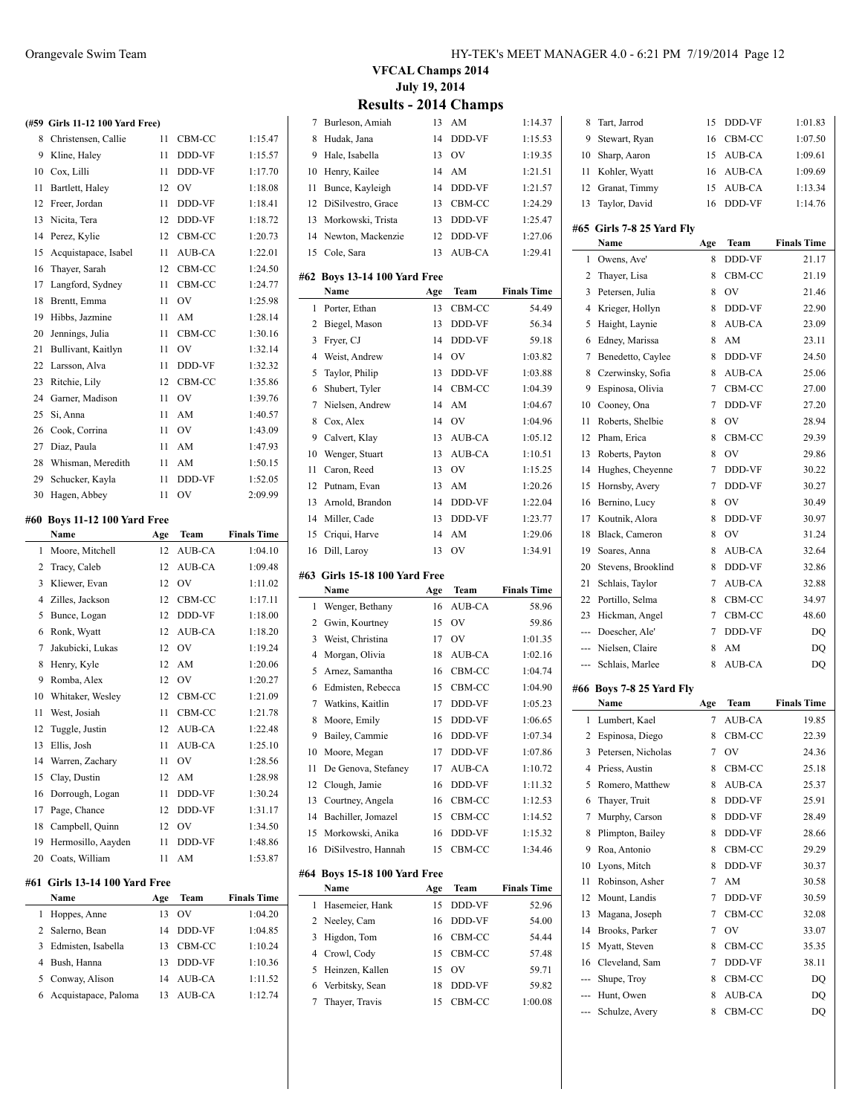|     | (#59 Girls 11-12 100 Yard Free) |     |           |                    |
|-----|---------------------------------|-----|-----------|--------------------|
| 8   | Christensen, Callie             | 11  | CBM-CC    | 1:15.47            |
|     | 9 Kline, Haley                  | 11  | DDD-VF    | 1:15.57            |
|     | 10 Cox, Lilli                   | 11  | DDD-VF    | 1:17.70            |
| 11  | Bartlett, Haley                 | 12  | OV        | 1:18.08            |
| 12  | Freer, Jordan                   | 11  | DDD-VF    | 1:18.41            |
| 13  | Nicita, Tera                    | 12  | DDD-VF    | 1:18.72            |
| 14  | Perez, Kylie                    | 12  | CBM-CC    | 1:20.73            |
| 15  | Acquistapace, Isabel            | 11  | AUB-CA    | 1:22.01            |
| 16  | Thayer, Sarah                   | 12  | CBM-CC    | 1:24.50            |
| 17  | Langford, Sydney                | 11  | CBM-CC    | 1:24.77            |
| 18  | Brentt, Emma                    | 11  | OV        | 1:25.98            |
| 19  | Hibbs, Jazmine                  | 11  | AM        | 1:28.14            |
| 20  | Jennings, Julia                 | 11  | CBM-CC    | 1:30.16            |
| 21  | Bullivant, Kaitlyn              | 11  | <b>OV</b> | 1:32.14            |
| 22  | Larsson, Alva                   | 11  | DDD-VF    | 1:32.32            |
| 23  | Ritchie, Lily                   | 12  | CBM-CC    | 1:35.86            |
| 24  | Garner, Madison                 | 11  | <b>OV</b> | 1:39.76            |
| 25  | Si, Anna                        | 11  | AM        | 1:40.57            |
| 26  | Cook, Corrina                   | 11  | <b>OV</b> | 1:43.09            |
| 27  | Diaz, Paula                     | 11  | AM        | 1:47.93            |
| 28  | Whisman, Meredith               | 11  | AM        | 1:50.15            |
| 29  |                                 | 11  | DDD-VF    | 1:52.05            |
|     | Schucker, Kayla                 |     |           |                    |
| 30  | Hagen, Abbey                    | 11  | <b>OV</b> | 2:09.99            |
| #60 | <b>Boys 11-12 100 Yard Free</b> |     |           |                    |
|     | Name                            | Age | Team      | <b>Finals Time</b> |
| 1   | Moore, Mitchell                 | 12  | AUB-CA    | 1:04.10            |
| 2   | Tracy, Caleb                    | 12  | AUB-CA    | 1:09.48            |
| 3   | Kliewer, Evan                   | 12  | <b>OV</b> | 1:11.02            |
| 4   | Zilles, Jackson                 | 12  | CBM-CC    | 1:17.11            |
| 5   | Bunce, Logan                    | 12  | DDD-VF    | 1:18.00            |
| 6   | Ronk, Wyatt                     | 12  | AUB-CA    | 1:18.20            |
| 7   | Jakubicki, Lukas                | 12  | <b>OV</b> | 1:19.24            |
| 8   | Henry, Kyle                     | 12  | AM        | 1:20.06            |
| 9   | Romba, Alex                     | 12  | OV        | 1:20.27            |
| 10  | Whitaker, Wesley                | 12  | CBM-CC    | 1:21.09            |
| 11  | West, Josiah                    | 11  | CBM-CC    | 1:21.78            |
| 12  | Tuggle, Justin                  | 12  | AUB-CA    | 1:22.48            |
| 13  | Ellis, Josh                     | 11  | AUB-CA    | 1:25.10            |
| 14  | Warren, Zachary                 | 11  | OV        | 1:28.56            |
| 15  | Clay, Dustin                    | 12  | AM        | 1:28.98            |
| 16  | Dorrough, Logan                 | 11  | DDD-VF    | 1:30.24            |
| 17  | Page, Chance                    | 12  | DDD-VF    | 1:31.17            |
| 18  | Campbell, Quinn                 | 12  | OV        | 1:34.50            |
| 19  | Hermosillo, Aayden              | 11  | DDD-VF    | 1:48.86            |
| 20  | Coats, William                  | 11  | AM        | 1:53.87            |
|     |                                 |     |           |                    |
| #61 | Girls 13-14 100 Yard Free       |     |           |                    |
|     | Name                            | Age | Team      | <b>Finals Time</b> |
| 1   | Hoppes, Anne                    | 13  | OV        | 1:04.20            |
| 2   | Salerno, Bean                   | 14  | DDD-VF    | 1:04.85            |
| 3   |                                 |     |           |                    |
|     | Edmisten, Isabella              | 13  | CBM-CC    | 1:10.24            |
| 4   | Bush, Hanna                     | 13  | DDD-VF    | 1:10.36            |
| 5   | Conway, Alison                  | 14  | AUB-CA    | 1:11.52            |
| 6   | Acquistapace, Paloma            | 13  | AUB-CA    | 1:12.74            |

### **VFCAL Champs 2014 July 19, 2014 Results - 2014 Champs**

| 7              | Burleson, Amiah                         | 13        | AM            | 1:14.37            |
|----------------|-----------------------------------------|-----------|---------------|--------------------|
| 8              | Hudak, Jana                             | 14        | DDD-VF        | 1:15.53            |
|                |                                         |           |               |                    |
| 9              | Hale, Isabella                          | 13        | OV            | 1:19.35            |
| 10             | Henry, Kailee                           | 14        | AM            | 1:21.51            |
| 11             | Bunce, Kayleigh                         | 14        | DDD-VF        | 1:21.57            |
| 12             | DiSilvestro, Grace                      | 13        | CBM-CC        | 1:24.29            |
| 13             | Morkowski, Trista                       | 13        | DDD-VF        | 1:25.47            |
| 14             | Newton, Mackenzie                       | 12        | DDD-VF        | 1:27.06            |
| 15             | Cole, Sara                              | 13        | AUB-CA        | 1:29.41            |
| #62            |                                         |           |               |                    |
|                | <b>Boys 13-14 100 Yard Free</b><br>Name |           | Team          | <b>Finals Time</b> |
| 1              |                                         | Age<br>13 | CBM-CC        | 54.49              |
|                | Porter, Ethan                           |           |               |                    |
| 2              | Biegel, Mason                           | 13        | DDD-VF        | 56.34              |
| 3              | Fryer, CJ                               | 14        | DDD-VF        | 59.18              |
| 4              | Weist, Andrew                           | 14        | OV            | 1:03.82            |
| 5              | Taylor, Philip                          | 13        | DDD-VF        | 1:03.88            |
| 6              | Shubert, Tyler                          | 14        | CBM-CC        | 1:04.39            |
| 7              | Nielsen, Andrew                         | 14        | AM            | 1:04.67            |
| 8              | Cox, Alex                               | 14        | OV            | 1:04.96            |
| 9              | Calvert, Klay                           | 13        | AUB-CA        | 1:05.12            |
| 10             | Wenger, Stuart                          | 13        | AUB-CA        | 1:10.51            |
| 11             | Caron, Reed                             | 13        | OV            | 1:15.25            |
| 12             | Putnam, Evan                            | 13        | AM            | 1:20.26            |
| 13             | Arnold, Brandon                         | 14        | DDD-VF        | 1:22.04            |
| 14             | Miller, Cade                            | 13        | DDD-VF        | 1:23.77            |
| 15             | Criqui, Harve                           | 14        | AM            | 1:29.06            |
| 16             | Dill, Laroy                             | 13        | OV            | 1:34.91            |
|                |                                         |           |               |                    |
|                |                                         |           |               |                    |
| #63            | Girls 15-18 100 Yard Free               |           |               |                    |
|                | Name                                    | Age       | Team          | <b>Finals Time</b> |
| 1              | Wenger, Bethany                         | 16        | AUB-CA        | 58.96              |
| 2              | Gwin, Kourtney                          | 15        | OV            | 59.86              |
| 3              | Weist, Christina                        | 17        | OV            | 1:01.35            |
| $\overline{4}$ | Morgan, Olivia                          | 18        | AUB-CA        | 1:02.16            |
| 5              | Arnez, Samantha                         | 16        | CBM-CC        | 1:04.74            |
| 6              | Edmisten, Rebecca                       | 15        | CBM-CC        | 1:04.90            |
| 7              | Watkins, Kaitlin                        | 17        | DDD-VF        | 1:05.23            |
| 8              | Moore, Emily                            | 15        | DDD-VF        | 1:06.65            |
| 9              | Bailey, Cammie                          | 16        | <b>DDD-VF</b> | 1:07.34            |
| 10             | Moore, Megan                            | 17        | DDD-VF        | 1:07.86            |
| 11             | De Genova, Stefaney                     | 17        | AUB-CA        | 1:10.72            |
| 12             | Clough, Jamie                           | 16        | DDD-VF        | 1:11.32            |
| 13             | Courtney, Angela                        | 16        | CBM-CC        | 1:12.53            |
| 14             | Bachiller, Jomazel                      | 15        | CBM-CC        | 1:14.52            |
| 15             | Morkowski, Anika                        | 16        | DDD-VF        | 1:15.32            |
| 16             | DiSilvestro, Hannah                     | 15        | CBM-CC        | 1:34.46            |
|                |                                         |           |               |                    |
| #64            | <b>Boys 15-18 100 Yard Free</b>         |           |               |                    |
|                | Name                                    | Age       | Team          | <b>Finals Time</b> |
| 1              | Hasemeier, Hank                         | 15        | DDD-VF        | 52.96              |
| 2              | Neeley, Cam                             | 16        | DDD-VF        | 54.00              |
| 3              | Higdon, Tom                             | 16        | CBM-CC        | 54.44              |
| 4              | Crowl, Cody                             | 15        | CBM-CC        | 57.48              |
| 5              | Heinzen, Kallen                         | 15        | OV            | 59.71              |
| 6              | Verbitsky, Sean                         | 18        | DDD-VF        | 59.82              |
| 7              | Thayer, Travis                          | 15        | CBM-CC        | 1:00.08            |

| 8        | Tart, Jarrod              | 15  | DDD-VF                    | 1:01.83            |
|----------|---------------------------|-----|---------------------------|--------------------|
| 9        | Stewart, Ryan             | 16  | CBM-CC                    | 1:07.50            |
| 10       | Sharp, Aaron              | 15  | AUB-CA                    | 1:09.61            |
| 11       | Kohler, Wyatt             | 16  | AUB-CA                    | 1:09.69            |
|          | 12 Granat, Timmy          | 15  | AUB-CA                    | 1:13.34            |
| 13       | Taylor, David             | 16  | DDD-VF                    | 1:14.76            |
|          | #65 Girls 7-8 25 Yard Fly |     |                           |                    |
|          | Name                      | Age | Team                      | <b>Finals Time</b> |
| 1        | Owens, Ave'               | 8   | DDD-VF                    | 21.17              |
| 2        | Thayer, Lisa              | 8   | CBM-CC                    | 21.19              |
| 3        | Petersen, Julia           | 8   | OV                        | 21.46              |
| 4        | Krieger, Hollyn           | 8   | DDD-VF                    | 22.90              |
| 5        | Haight, Laynie            | 8   | <b>AUB-CA</b>             | 23.09              |
| 6        | Edney, Marissa            | 8   | AM                        | 23.11              |
| 7        | Benedetto, Caylee         | 8   | DDD-VF                    | 24.50              |
| 8        | Czerwinsky, Sofia         | 8   | AUB-CA                    | 25.06              |
| 9        | Espinosa, Olivia          | 7   | CBM-CC                    | 27.00              |
| 10       | Cooney, Ona               | 7   | DDD-VF                    | 27.20              |
| 11       | Roberts, Shelbie          | 8   | OV                        | 28.94              |
| 12       | Pham, Erica               | 8   | CBM-CC                    | 29.39              |
|          |                           | 8   | OV                        |                    |
| 13<br>14 | Roberts, Payton           |     |                           | 29.86              |
|          | Hughes, Cheyenne          | 7   | DDD-VF                    | 30.22              |
| 15       | Hornsby, Avery            | 7   | DDD-VF                    | 30.27              |
| 16       | Bernino, Lucy             | 8   | OV                        | 30.49              |
| 17       | Koutnik, Alora            | 8   | DDD-VF                    | 30.97              |
| 18       | Black, Cameron            | 8   | OV                        | 31.24              |
| 19       | Soares, Anna              | 8   | AUB-CA                    | 32.64              |
| 20       | Stevens, Brooklind        | 8   | DDD-VF                    | 32.86              |
| 21       | Schlais, Taylor           | 7   | AUB-CA                    | 32.88              |
|          |                           |     |                           |                    |
| 22       | Portillo, Selma           | 8   | CBM-CC                    | 34.97              |
| 23       | Hickman, Angel            | 7   | CBM-CC                    | 48.60              |
| $---$    | Doescher, Ale'            | 7   | DDD-VF                    | DQ                 |
| ---      | Nielsen, Claire           | 8   | AM                        | DQ                 |
| $\cdots$ | Schlais, Marlee           | 8   | AUB-CA                    | DQ                 |
|          | #66 Boys 7-8 25 Yard Fly  |     |                           |                    |
|          | Name                      | Age | Team                      | <b>Finals Time</b> |
| 1        | Lumbert, Kael             | 7   | AUB-CA                    | 19.85              |
|          | 2 Espinosa, Diego         | 8   | CBM-CC                    | 22.39              |
| 3        | Petersen, Nicholas        | 7   | $\hbox{O\hspace{-.1em}V}$ | 24.36              |
| 4        | Priess, Austin            | 8   | CBM-CC                    | 25.18              |
| 5        | Romero, Matthew           | 8   | AUB-CA                    | 25.37              |
| 6        | Thayer, Truit             | 8   | DDD-VF                    | 25.91              |
| 7        | Murphy, Carson            | 8   | DDD-VF                    | 28.49              |
| 8        | Plimpton, Bailey          | 8   | DDD-VF                    | 28.66              |
| 9        | Roa, Antonio              | 8   | CBM-CC                    | 29.29              |
| 10       | Lyons, Mitch              | 8   | DDD-VF                    | 30.37              |
| 11       | Robinson, Asher           | 7   | AM                        | 30.58              |
| 12       | Mount, Landis             | 7   | DDD-VF                    | 30.59              |
| 13       | Magana, Joseph            | 7   | CBM-CC                    | 32.08              |
| 14       | Brooks, Parker            | 7   | OV                        | 33.07              |
| 15       | Myatt, Steven             | 8   | CBM-CC                    | 35.35              |
| 16       | Cleveland, Sam            | 7   | DDD-VF                    | 38.11              |
|          | Shupe, Troy               | 8   | CBM-CC                    | DQ                 |
|          | --- Hunt, Owen            | 8   | AUB-CA                    | DQ                 |
| ---      | Schulze, Avery            | 8   | CBM-CC                    | DQ                 |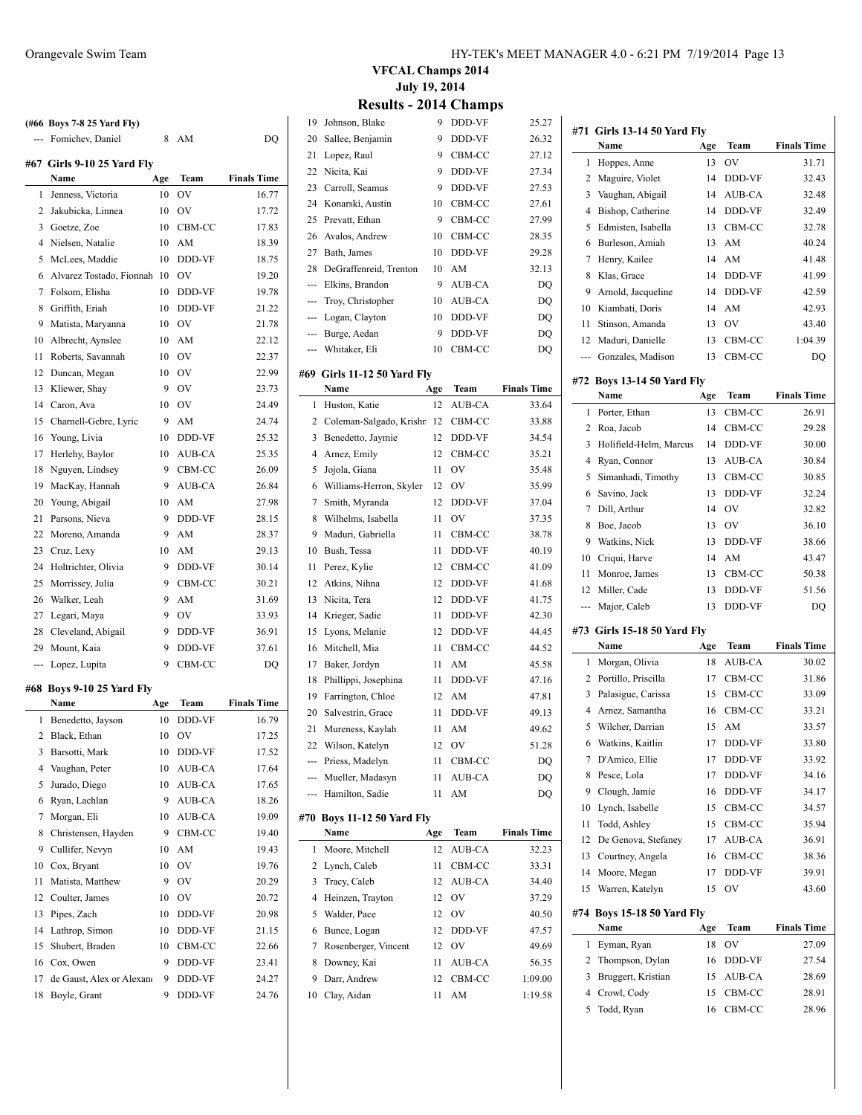|     | (#66 Boys 7-8 25 Yard Fly) |     |               |                    |
|-----|----------------------------|-----|---------------|--------------------|
| --- | Fomichev, Daniel           | 8   | AM            | DO                 |
|     | #67 Girls 9-10 25 Yard Fly |     |               |                    |
|     | Name                       | Age | Team          | <b>Finals Time</b> |
| 1   | Jenness, Victoria          | 10  | OV            | 16.77              |
| 2   | Jakubicka, Linnea          | 10  | OV            | 17.72              |
| 3   | Goetze, Zoe                | 10  | CBM-CC        | 17.83              |
| 4   | Nielsen, Natalie           | 10  | AM            | 18.39              |
| 5   | McLees, Maddie             | 10  | DDD-VF        | 18.75              |
| 6   | Alvarez Tostado, Fionnah   | 10  | OV            | 19.20              |
| 7   | Folsom, Elisha             | 10  | DDD-VF        | 19.78              |
| 8   | Griffith, Eriah            | 10  | DDD-VF        | 21.22              |
| 9   | Matista, Maryanna          | 10  | OV            | 21.78              |
| 10  | Albrecht, Aynslee          | 10  | AM            | 22.12              |
| 11  | Roberts, Savannah          | 10  | OV            | 22.37              |
| 12  | Duncan, Megan              | 10  | OV            | 22.99              |
| 13  | Kliewer, Shay              | 9   | OV            | 23.73              |
| 14  | Caron, Ava                 | 10  | OV            | 24.49              |
| 15  | Charnell-Gebre, Lyric      | 9   | AM            | 24.74              |
| 16  | Young, Livia               | 10  | DDD-VF        | 25.32              |
| 17  | Herlehy, Baylor            | 10  | AUB-CA        | 25.35              |
| 18  | Nguyen, Lindsey            | 9   | CBM-CC        | 26.09              |
| 19  | MacKay, Hannah             | 9   | AUB-CA        | 26.84              |
| 20  | Young, Abigail             | 10  | AM            | 27.98              |
| 21  | Parsons, Nieva             | 9   | DDD-VF        | 28.15              |
| 22  | Moreno, Amanda             | 9   | AM            | 28.37              |
| 23  | Cruz, Lexy                 | 10  | AM            | 29.13              |
| 24  | Holtrichter, Olivia        | 9   | DDD-VF        | 30.14              |
| 25  | Morrissey, Julia           | 9   | CBM-CC        | 30.21              |
| 26  | Walker, Leah               | 9   | AM            | 31.69              |
| 27  | Legari, Maya               | 9   | OV            | 33.93              |
| 28  | Cleveland, Abigail         | 9   | DDD-VF        | 36.91              |
| 29  | Mount, Kaia                | 9   | DDD-VF        | 37.61              |
| --- | Lopez, Lupita              | 9   | CBM-CC        | DO                 |
|     |                            |     |               |                    |
|     | #68 Bovs 9-10 25 Yard Flv  |     |               |                    |
|     | Name                       | Age | Team          | <b>Finals Time</b> |
| 1   | Benedetto, Jayson          | 10  | <b>DDD-VF</b> | 16.79              |
| 2   | Black, Ethan               | 10  | OV            | 17.25              |
| 3   | Barsotti, Mark             | 10  | DDD-VF        | 17.52              |
| 4   | Vaughan, Peter             | 10  | AUB-CA        | 17.64              |
| 5   | Jurado, Diego              | 10  | AUB-CA        | 17.65              |
| 6   | Ryan, Lachlan              | 9   | AUB-CA        | 18.26              |
| 7   | Morgan, Eli                | 10  | AUB-CA        | 19.09              |
| 8   | Christensen, Hayden        | 9   | CBM-CC        | 19.40              |
| 9   | Cullifer, Nevyn            | 10  | AM            | 19.43              |
| 10  | Cox, Bryant                | 10  | OV            | 19.76              |
| 11  | Matista, Matthew           | 9   | OV            | 20.29              |
| 12  | Coulter, James             | 10  | OV            | 20.72              |
| 13  | Pipes, Zach                | 10  | DDD-VF        | 20.98              |
|     |                            |     |               |                    |
| 14  | Lathrop, Simon             | 10  | DDD-VF        | 21.15              |
| 15  | Shubert, Braden            | 10  | CBM-CC        | 22.66              |
| 16  | Cox, Owen                  | 9   | DDD-VF        | 23.41              |
| 17  | de Gaust, Alex or Alexano  | 9   | DDD-VF        | 24.27              |

**VFCAL Champs 2014 July 19, 2014**

# **Results - 2014 Champs**

| 19  | Johnson, Blake                        | 9   | <b>DDD-VF</b> | 25.27              |
|-----|---------------------------------------|-----|---------------|--------------------|
| 20  | Sallee, Benjamin                      | 9   | DDD-VF        | 26.32              |
| 21  | Lopez, Raul                           | 9   | CBM-CC        | 27.12              |
| 22  | Nicita, Kai                           | 9   | DDD-VF        | 27.34              |
| 23  | Carroll, Seamus                       | 9   | DDD-VF        | 27.53              |
| 24  | Konarski, Austin                      | 10  | CBM-CC        | 27.61              |
| 25  | Prevatt, Ethan                        | 9   | CBM-CC        | 27.99              |
| 26  | Avalos, Andrew                        | 10  | CBM-CC        | 28.35              |
| 27  | Bath, James                           | 10  | DDD-VF        | 29.28              |
| 28  | DeGraffenreid, Trenton                | 10  | AM            | 32.13              |
| --- | Elkins, Brandon                       | 9   | AUB-CA        | DQ                 |
| --- | Troy, Christopher                     | 10  | AUB-CA        | DQ                 |
| --- | Logan, Clayton                        | 10  | DDD-VF        | DQ                 |
| --- | Burge, Aedan                          | 9   | DDD-VF        | DQ                 |
| --- | Whitaker, Eli                         | 10  | CBM-CC        | DQ                 |
|     |                                       |     |               |                    |
|     | #69   Girls 11-12 50 Yard Fly<br>Name |     | Team          | <b>Finals Time</b> |
|     |                                       | Age |               |                    |
| 1   | Huston, Katie                         | 12  | AUB-CA        | 33.64              |
| 2   | Coleman-Salgado, Krishn               | 12  | CBM-CC        | 33.88              |
| 3   | Benedetto, Jaymie                     | 12  | DDD-VF        | 34.54              |
| 4   | Arnez, Emily                          | 12  | CBM-CC        | 35.21              |
| 5   | Jojola, Giana                         | 11  | <b>OV</b>     | 35.48              |
| 6   | Williams-Herron, Skyler               | 12  | OV            | 35.99              |
| 7   | Smith, Myranda                        | 12  | DDD-VF        | 37.04              |
| 8   | Wilhelms, Isabella                    | 11  | <b>OV</b>     | 37.35              |
| 9   | Maduri, Gabriella                     | 11  | CBM-CC        | 38.78              |
| 10  | Bush, Tessa                           | 11  | DDD-VF        | 40.19              |
| 11  | Perez, Kylie                          | 12  | CBM-CC        | 41.09              |
| 12  | Atkins, Nihna                         | 12  | DDD-VF        | 41.68              |
| 13  | Nicita, Tera                          | 12  | DDD-VF        | 41.75              |
| 14  | Krieger, Sadie                        | 11  | DDD-VF        | 42.30              |
| 15  | Lyons, Melanie                        | 12  | DDD-VF        | 44.45              |
| 16  | Mitchell, Mia                         | 11  | CBM-CC        | 44.52              |
| 17  | Baker, Jordyn                         | 11  | AM            | 45.58              |
| 18  | Phillippi, Josephina                  | 11  | DDD-VF        | 47.16              |
| 19  | Farrington, Chloe                     | 12  | AM            | 47.81              |
| 20  | Salvestrin, Grace                     | 11  | DDD-VF        | 49.13              |
| 21  | Mureness, Kaylah                      | 11  | AM            | 49.62              |
| 22  | Wilson, Katelyn                       | 12  | OV            | 51.28              |
| --- | Priess, Madelyn                       | 11  | CBM-CC        | DQ                 |
|     | Mueller, Madasyn                      | 11  | AUB-CA        | DQ                 |
| --- | Hamilton, Sadie                       | 11  | AM            | DQ                 |
| #70 | <b>Boys 11-12 50 Yard Fly</b>         |     |               |                    |
|     | Name                                  | Age | Team          | <b>Finals Time</b> |
| 1   | Moore, Mitchell                       | 12  | AUB-CA        | 32.23              |
| 2   | Lynch, Caleb                          | 11  | CBM-CC        | 33.31              |
| 3   | Tracy, Caleb                          | 12  | AUB-CA        | 34.40              |
| 4   | Heinzen, Trayton                      | 12  | OV            | 37.29              |
| 5   | Walder, Pace                          | 12  | OV            | 40.50              |
| 6   | Bunce, Logan                          | 12  | DDD-VF        | 47.57              |
| 7   | Rosenberger, Vincent                  | 12  | OV            | 49.69              |
| 8   | Downey, Kai                           | 11  | AUB-CA        | 56.35              |
| 9   | Darr, Andrew                          | 12  | CBM-CC        | 1:09.00            |
| 10  | Clay, Aidan                           | 11  | AM            | 1:19.58            |
|     |                                       |     |               |                    |

 $\overline{\phantom{0}}$ 

 $\overline{\phantom{a}}$ 

|                | #71  Girls 13-14 50 Yard Fly<br>Name   | Age | Team                   | <b>Finals Time</b>          |
|----------------|----------------------------------------|-----|------------------------|-----------------------------|
| 1              | Hoppes, Anne                           | 13  | OV                     | 31.71                       |
| 2              | Maguire, Violet                        | 14  | DDD-VF                 | 32.43                       |
| 3              | Vaughan, Abigail                       | 14  | AUB-CA                 | 32.48                       |
| 4              | Bishop, Catherine                      | 14  | DDD-VF                 | 32.49                       |
| 5              | Edmisten, Isabella                     | 13  | CBM-CC                 | 32.78                       |
| 6              | Burleson, Amiah                        | 13  | AM                     | 40.24                       |
| 7              | Henry, Kailee                          | 14  | AM                     | 41.48                       |
| 8              | Klas, Grace                            | 14  | DDD-VF                 | 41.99                       |
| 9              | Arnold, Jacqueline                     | 14  | DDD-VF                 | 42.59                       |
|                | 10 Kiambati, Doris                     | 14  | AM                     | 42.93                       |
| 11             | Stinson, Amanda                        | 13  | OV                     | 43.40                       |
| 12             | Maduri, Danielle                       | 13  | CBM-CC                 | 1:04.39                     |
| ---            | Gonzales, Madison                      | 13  | CBM-CC                 | DQ                          |
|                |                                        |     |                        |                             |
|                | #72 Boys 13-14 50 Yard Fly<br>Name     | Age | Team                   | <b>Finals Time</b>          |
| 1              | Porter, Ethan                          | 13  | CBM-CC                 | 26.91                       |
| 2              |                                        | 14  | CBM-CC                 |                             |
| 3              | Roa, Jacob                             |     |                        | 29.28<br>30.00              |
|                | Holifield-Helm, Marcus<br>Ryan, Connor | 14  | DDD-VF<br>AUB-CA       |                             |
| 4              |                                        | 13  |                        | 30.84                       |
| 5              | Simanhadi, Timothy                     | 13  | CBM-CC                 | 30.85                       |
| 6              | Savino, Jack                           | 13  | DDD-VF                 | 32.24                       |
| 7              | Dill, Arthur                           | 14  | OV                     | 32.82                       |
| 8              | Boe, Jacob                             | 13  | OV                     | 36.10                       |
| 9              | Watkins, Nick                          | 13  | DDD-VF                 | 38.66                       |
| 10             | Criqui, Harve                          | 14  | AM                     | 43.47                       |
| 11             | Monroe, James                          | 13  | CBM-CC                 | 50.38                       |
| 12             | Miller, Cade                           | 13  | DDD-VF<br>DDD-VF       | 51.56                       |
| ---            | Major, Caleb                           | 13  |                        | DQ                          |
|                |                                        |     |                        |                             |
|                | #73 Girls 15-18 50 Yard Fly            |     |                        |                             |
|                | Name                                   | Age | <b>Team</b>            |                             |
| 1              | Morgan, Olivia                         | 18  | AUB-CA                 | <b>Finals Time</b><br>30.02 |
| 2              | Portillo, Priscilla                    | 17  | CBM-CC                 | 31.86                       |
| 3              | Palasigue, Carissa                     | 15  | CBM-CC                 | 33.09                       |
| $\overline{4}$ | Arnez, Samantha                        | 16  | CBM-CC                 | 33.21                       |
| 5              | Wilcher, Darrian                       | 15  | $\mathbf{A}\mathbf{M}$ | 33.57                       |
| 6              | Watkins, Kaitlin                       | 17  | DDD-VF                 | 33.80                       |
| 7              | D'Amico, Ellie                         | 17  | DDD-VF                 | 33.92                       |
| 8              | Pesce, Lola                            | 17  | DDD-VF                 | 34.16                       |
| 9              | Clough, Jamie                          | 16  | DDD-VF                 | 34.17                       |
| 10             | Lynch, Isabelle                        | 15  | CBM-CC                 | 34.57                       |
| 11             | Todd, Ashley                           | 15  | CBM-CC                 | 35.94                       |
| 12             | De Genova, Stefaney                    | 17  | AUB-CA                 | 36.91                       |
| 13             | Courtney, Angela                       | 16  | CBM-CC                 | 38.36                       |
| 14             | Moore, Megan                           | 17  | DDD-VF                 | 39.91                       |
| 15             | Warren, Katelyn                        | 15  | OV                     | 43.60                       |
|                | #74 Boys 15-18 50 Yard Fly             |     |                        |                             |
|                | <b>Name</b>                            | Age | Team                   | <b>Finals Time</b>          |
| 1              | Eyman, Ryan                            | 18  | OV                     | 27.09                       |
| 2              | Thompson, Dylan                        | 16  | DDD-VF                 | 27.54                       |
| 3              | Bruggert, Kristian                     | 15  | AUB-CA                 | 28.69                       |
| 4              | Crowl, Cody                            | 15  | CBM-CC                 | 28.91                       |
| 5              | Todd, Ryan                             | 16  | CBM-CC                 | 28.96                       |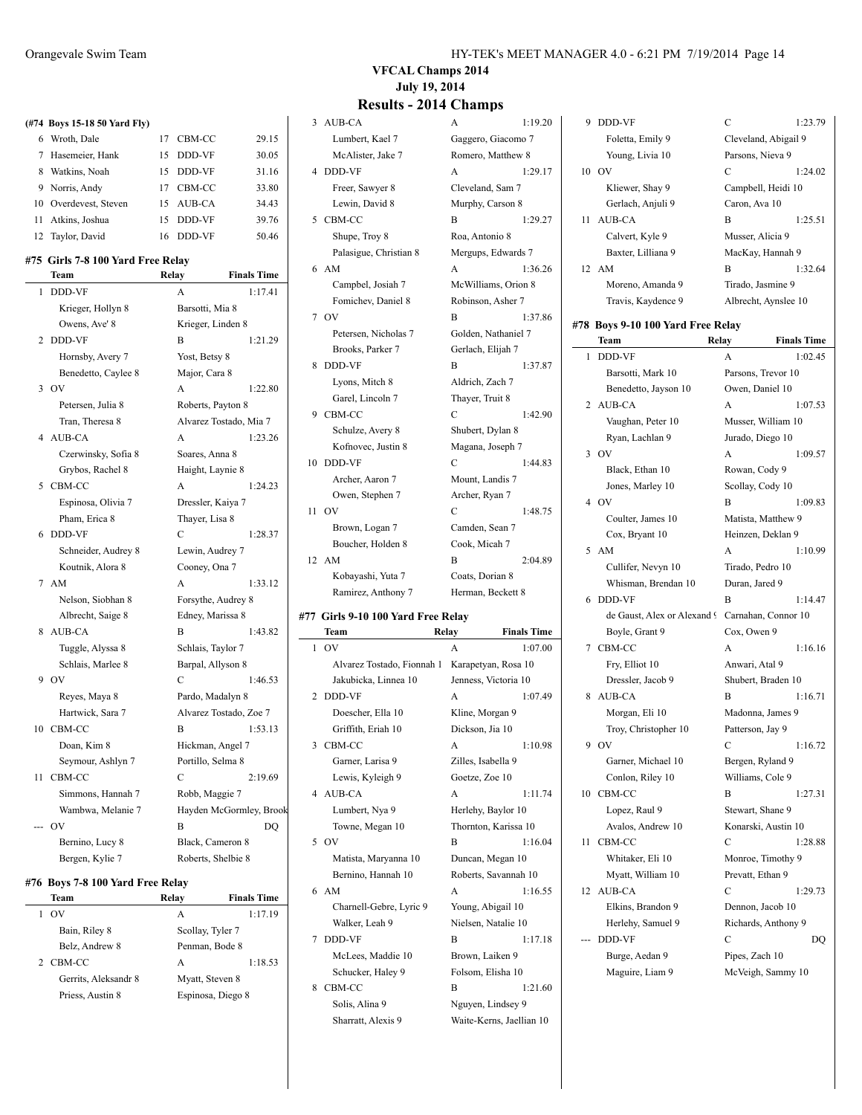|    | (#74 Boys 15-18 50 Yard Fly)      |       |                                                                    |                    |
|----|-----------------------------------|-------|--------------------------------------------------------------------|--------------------|
|    | 6 Wroth, Dale                     |       | 17 CBM-CC                                                          | 29.15              |
|    | 7 Hasemeier, Hank                 | 15    | DDD-VF                                                             | 30.05              |
|    | 8 Watkins, Noah                   |       | 15 DDD-VF                                                          | 31.16              |
|    | 9 Norris, Andy                    |       | 17 CBM-CC                                                          | 33.80              |
|    | 10 Overdevest, Steven             | 15    | AUB-CA                                                             | 34.43              |
|    | 11 Atkins, Joshua                 | 15    | DDD-VF                                                             | 39.76              |
|    | 12 Taylor, David                  | 16    | DDD-VF                                                             | 50.46              |
|    | #75 Girls 7-8 100 Yard Free Relay |       |                                                                    |                    |
|    | Team                              | Relay |                                                                    | <b>Finals Time</b> |
| 1  | <b>DDD-VF</b>                     |       | A                                                                  | 1:17.41            |
|    | Krieger, Hollyn 8                 |       | Barsotti, Mia 8                                                    |                    |
|    | Owens, Ave' 8                     |       | Krieger, Linden 8                                                  |                    |
| 2  | DDD-VF                            |       | B                                                                  | 1:21.29            |
|    | Hornsby, Avery 7                  |       | Yost, Betsy 8                                                      |                    |
|    | Benedetto, Caylee 8               |       | Major, Cara 8                                                      |                    |
| 3  | OV                                |       | A                                                                  | 1:22.80            |
|    | Petersen, Julia 8                 |       | Roberts, Payton 8                                                  |                    |
|    | Tran, Theresa 8                   |       | Alvarez Tostado, Mia 7                                             |                    |
|    | 4 AUB-CA                          |       | A                                                                  | 1:23.26            |
|    | Czerwinsky, Sofia 8               |       | Soares, Anna 8                                                     |                    |
|    | Grybos, Rachel 8                  |       | Haight, Laynie 8                                                   |                    |
|    | 5 CBM-CC                          |       | A                                                                  | 1:24.23            |
|    | Espinosa, Olivia 7                |       | Dressler, Kaiya 7                                                  |                    |
|    | Pham, Erica 8                     |       | Thayer, Lisa 8                                                     |                    |
| 6  | DDD-VF                            |       | C                                                                  | 1:28.37            |
|    | Schneider, Audrey 8               |       | Lewin, Audrey 7                                                    |                    |
|    | Koutnik, Alora 8                  |       | Cooney, Ona 7                                                      |                    |
|    | 7 AM                              |       | A                                                                  | 1:33.12            |
|    | Nelson, Siobhan 8                 |       | Forsythe, Audrey 8                                                 |                    |
|    | Albrecht, Saige 8                 |       | Edney, Marissa 8                                                   |                    |
|    | 8 AUB-CA                          |       | B                                                                  | 1:43.82            |
|    | Tuggle, Alyssa 8                  |       | Schlais, Taylor 7                                                  |                    |
|    | Schlais, Marlee 8                 |       | Barpal, Allyson 8                                                  |                    |
| 9  | OV                                |       | $\mathcal{C}$                                                      | 1:46.53            |
|    | Reyes, Maya 8                     |       | Pardo, Madalyn 8                                                   |                    |
|    | Hartwick, Sara 7                  |       | Alvarez Tostado, Zoe 7                                             |                    |
|    | 10 CBM-CC                         |       | B                                                                  | 1:53.13            |
|    | Doan, Kim 8                       |       | Hickman, Angel 7                                                   |                    |
|    | Seymour, Ashlyn 7                 |       | Portillo, Selma 8                                                  |                    |
| 11 | CBM-CC                            |       | C                                                                  | 2:19.69            |
|    | Cimmons Honnah 7                  |       | $D_0$ <sub>b</sub> $h_0$ $A_0$ $a$ $a$ $a$ $a$ $a$ $a$ $a$ $a$ $a$ |                    |

|                | тсаш                | ілсіау             | гинатэ типе             |
|----------------|---------------------|--------------------|-------------------------|
| 1              | <b>DDD-VF</b>       | A                  | 1:17.41                 |
|                | Krieger, Hollyn 8   | Barsotti, Mia 8    |                         |
|                | Owens, Ave' 8       | Krieger, Linden 8  |                         |
| $\overline{c}$ | <b>DDD-VF</b>       | B                  | 1:21.29                 |
|                | Hornsby, Avery 7    | Yost, Betsy 8      |                         |
|                | Benedetto, Caylee 8 | Major, Cara 8      |                         |
| 3              | OV                  | A                  | 1:22.80                 |
|                | Petersen, Julia 8   | Roberts, Payton 8  |                         |
|                | Tran, Theresa 8     |                    | Alvarez Tostado, Mia 7  |
|                | 4 AUB-CA            | A                  | 1:23.26                 |
|                | Czerwinsky, Sofia 8 | Soares, Anna 8     |                         |
|                | Grybos, Rachel 8    | Haight, Laynie 8   |                         |
| 5              | CBM-CC              | A                  | 1:24.23                 |
|                | Espinosa, Olivia 7  | Dressler, Kaiya 7  |                         |
|                | Pham, Erica 8       | Thayer, Lisa 8     |                         |
| 6              | <b>DDD-VF</b>       | C                  | 1:28.37                 |
|                | Schneider, Audrey 8 | Lewin, Audrey 7    |                         |
|                | Koutnik, Alora 8    | Cooney, Ona 7      |                         |
| 7              | AM                  | A                  | 1:33.12                 |
|                | Nelson, Siobhan 8   | Forsythe, Audrey 8 |                         |
|                | Albrecht, Saige 8   | Edney, Marissa 8   |                         |
| 8              | AUB-CA              | B                  | 1:43.82                 |
|                | Tuggle, Alyssa 8    | Schlais, Taylor 7  |                         |
|                | Schlais, Marlee 8   | Barpal, Allyson 8  |                         |
|                | $9$ OV              | C                  | 1:46.53                 |
|                | Reyes, Maya 8       | Pardo, Madalyn 8   |                         |
|                | Hartwick, Sara 7    |                    | Alvarez Tostado, Zoe 7  |
| 10             | CBM-CC              | B                  | 1:53.13                 |
|                | Doan, Kim 8         | Hickman, Angel 7   |                         |
|                | Seymour, Ashlyn 7   | Portillo, Selma 8  |                         |
| 11             | CBM-CC              | C                  | 2:19.69                 |
|                | Simmons, Hannah 7   | Robb, Maggie 7     |                         |
|                | Wambwa, Melanie 7   |                    | Hayden McGormley, Brook |
|                | ov                  | B                  | DQ                      |
|                | Bernino, Lucy 8     | Black, Cameron 8   |                         |
|                | Bergen, Kylie 7     | Roberts, Shelbie 8 |                         |
|                |                     |                    |                         |

#### **#76 Boys 7-8 100 Yard Free Relay**

| Team                 | Relay            | <b>Finals Time</b> |
|----------------------|------------------|--------------------|
| OV                   | А                | 1:17.19            |
| Bain, Riley 8        | Scollay, Tyler 7 |                    |
| Belz, Andrew 8       | Penman, Bode 8   |                    |
| 2 CBM-CC             | А                | 1:18.53            |
| Gerrits, Aleksandr 8 | Myatt, Steven 8  |                    |
| Priess, Austin 8     |                  | Espinosa, Diego 8  |
|                      |                  |                    |

### **VFCAL Champs 2014 July 19, 2014**

### **Results - 2014 Champs**

| 3 AUB-CA                                       | A                    | 1:19.20            | 9 DDD-VF                                        | $\mathbf C$      | 1:23.79              |
|------------------------------------------------|----------------------|--------------------|-------------------------------------------------|------------------|----------------------|
| Lumbert, Kael 7                                | Gaggero, Giacomo 7   |                    | Foletta, Emily 9                                |                  | Cleveland, Abigail 9 |
| McAlister, Jake 7                              | Romero, Matthew 8    |                    | Young, Livia 10                                 | Parsons, Nieva 9 |                      |
| 4 DDD-VF                                       | A                    | 1:29.17            | 10 OV                                           | $\mathbf C$      | 1:24.02              |
| Freer, Sawyer 8                                | Cleveland, Sam 7     |                    | Kliewer, Shay 9                                 |                  | Campbell, Heidi 10   |
| Lewin, David 8                                 | Murphy, Carson 8     |                    | Gerlach, Anjuli 9                               | Caron, Ava 10    |                      |
| 5 CBM-CC                                       | B                    | 1:29.27            | 11 AUB-CA                                       | B                | 1:25.51              |
| Shupe, Troy 8                                  | Roa, Antonio 8       |                    | Calvert, Kyle 9                                 | Musser, Alicia 9 |                      |
| Palasigue, Christian 8                         | Mergups, Edwards 7   |                    | Baxter, Lilliana 9                              |                  | MacKay, Hannah 9     |
| 6 AM                                           | A                    | 1:36.26            | 12 AM                                           | B                | 1:32.64              |
| Campbel, Josiah 7                              | McWilliams, Orion 8  |                    | Moreno, Amanda 9                                |                  | Tirado, Jasmine 9    |
| Fomichev, Daniel 8                             | Robinson, Asher 7    |                    | Travis, Kaydence 9                              |                  | Albrecht, Aynslee 10 |
| 7 OV                                           | B                    | 1:37.86            |                                                 |                  |                      |
| Petersen, Nicholas 7                           | Golden, Nathaniel 7  |                    | #78 Boys 9-10 100 Yard Free Relay<br>Team       | Relay            | <b>Finals Time</b>   |
| Brooks, Parker 7                               | Gerlach, Elijah 7    |                    | 1 DDD-VF                                        | A                | 1:02.45              |
| 8 DDD-VF                                       | B                    | 1:37.87            | Barsotti, Mark 10                               |                  | Parsons, Trevor 10   |
| Lyons, Mitch 8                                 | Aldrich, Zach 7      |                    | Benedetto, Jayson 10                            | Owen, Daniel 10  |                      |
| Garel, Lincoln 7                               | Thayer, Truit 8      |                    | 2 AUB-CA                                        | A                | 1:07.53              |
| 9 CBM-CC                                       | $\mathbf C$          | 1:42.90            | Vaughan, Peter 10                               |                  | Musser, William 10   |
| Schulze, Avery 8                               | Shubert, Dylan 8     |                    | Ryan, Lachlan 9                                 | Jurado, Diego 10 |                      |
| Kofnovec, Justin 8                             | Magana, Joseph 7     |                    | $3$ OV                                          | A                | 1:09.57              |
| 10 DDD-VF                                      | $\mathcal{C}$        | 1:44.83            | Black, Ethan 10                                 | Rowan, Cody 9    |                      |
| Archer, Aaron 7                                | Mount, Landis 7      |                    | Jones, Marley 10                                | Scollay, Cody 10 |                      |
| Owen, Stephen 7                                | Archer, Ryan 7       |                    | 4 OV                                            | B                | 1:09.83              |
| 11 OV                                          | $\mathbf C$          | 1:48.75            | Coulter, James 10                               |                  | Matista, Matthew 9   |
| Brown, Logan 7                                 | Camden, Sean 7       |                    | Cox, Bryant 10                                  |                  | Heinzen, Deklan 9    |
| Boucher, Holden 8                              | Cook, Micah 7        |                    | 5 AM                                            | A                | 1:10.99              |
| 12 AM                                          | B                    | 2:04.89            | Cullifer, Nevyn 10                              | Tirado, Pedro 10 |                      |
| Kobayashi, Yuta 7                              | Coats, Dorian 8      |                    | Whisman, Brendan 10                             | Duran, Jared 9   |                      |
| Ramirez, Anthony 7                             | Herman, Beckett 8    |                    | 6 DDD-VF                                        | B                | 1:14.47              |
| #77 Girls 9-10 100 Yard Free Relay             |                      |                    | de Gaust, Alex or Alexand 9 Carnahan, Connor 10 |                  |                      |
| Team                                           | Relay                | <b>Finals Time</b> | Boyle, Grant 9                                  | Cox, Owen 9      |                      |
| $1$ OV                                         | A                    | 1:07.00            | 7 CBM-CC                                        | A                | 1:16.16              |
| Alvarez Tostado, Fionnah 1 Karapetyan, Rosa 10 |                      |                    | Fry, Elliot 10                                  | Anwari, Atal 9   |                      |
| Jakubicka, Linnea 10                           | Jenness, Victoria 10 |                    | Dressler, Jacob 9                               |                  | Shubert, Braden 10   |

2 DDD-VF A 1:07.49 Doescher, Ella 10 Kline, Morgan 9 Griffith, Eriah 10 Dickson, Jia 10 3 CBM-CC A 1:10.98 Garner, Larisa 9 Zilles, Isabella 9 Lewis, Kyleigh 9 Goetze, Zoe 10 4 AUB-CA A 1:11.74 Lumbert, Nya 9 Herlehy, Baylor 10 Towne, Megan 10 Thornton, Karissa 10 5 OV B 1:16.04 Matista, Maryanna 10 Duncan, Megan 10 Bernino, Hannah 10 Roberts, Savannah 10 6 AM A 1:16.55 Charnell-Gebre, Lyric 9 Young, Abigail 10 Walker, Leah 9 Nielsen, Natalie 10 7 DDD-VF B 1:17.18 McLees, Maddie 10 Brown, Laiken 9 Schucker, Haley 9 Folsom, Elisha 10 8 CBM-CC B 1:21.60

Solis, Alina 9 Nguyen, Lindsey 9 Sharratt, Alexis 9 Waite-Kerns, Jaellian 10

|                | 118813, 188940100                |                | THUICHI, TYHSICC TO |
|----------------|----------------------------------|----------------|---------------------|
|                | 78 Boys 9-10 100 Yard Free Relay |                |                     |
|                | Team                             | Relay          | <b>Finals Time</b>  |
| 1              | DDD-VF                           | A              | 1:02.45             |
|                | Barsotti, Mark 10                |                | Parsons, Trevor 10  |
|                | Benedetto, Jayson 10             |                | Owen, Daniel 10     |
| 2              | AUB-CA                           | A              | 1:07.53             |
|                | Vaughan, Peter 10                |                | Musser, William 10  |
|                | Ryan, Lachlan 9                  |                | Jurado, Diego 10    |
| 3              | OV                               | A              | 1:09.57             |
|                | Black, Ethan 10                  |                | Rowan, Cody 9       |
|                | Jones, Marley 10                 |                | Scollay, Cody 10    |
| $\overline{4}$ | OV                               | B              | 1:09.83             |
|                | Coulter, James 10                |                | Matista, Matthew 9  |
|                | Cox, Bryant 10                   |                | Heinzen, Deklan 9   |
| 5              | AM                               | A              | 1:10.99             |
|                | Cullifer, Nevyn 10               |                | Tirado, Pedro 10    |
|                | Whisman, Brendan 10              |                | Duran, Jared 9      |
| 6              | DDD-VF                           | B              | 1:14.47             |
|                | de Gaust, Alex or Alexand 9      |                | Carnahan, Connor 10 |
|                | Boyle, Grant 9                   | Cox, Owen 9    |                     |
| 7              | CBM-CC                           | A              | 1:16.16             |
|                | Fry, Elliot 10                   |                | Anwari, Atal 9      |
|                | Dressler, Jacob 9                |                | Shubert, Braden 10  |
| 8              | AUB-CA                           | B              | 1:16.71             |
|                | Morgan, Eli 10                   |                | Madonna, James 9    |
|                | Troy, Christopher 10             |                | Patterson, Jay 9    |
| 9              | OV                               | $\overline{C}$ | 1:16.72             |
|                | Garner, Michael 10               |                | Bergen, Ryland 9    |
|                | Conlon, Riley 10                 |                | Williams, Cole 9    |
| 10             | CBM-CC                           | B              | 1:27.31             |
|                | Lopez, Raul 9                    |                | Stewart, Shane 9    |
|                | Avalos, Andrew 10                |                | Konarski, Austin 10 |
| 11             | CBM-CC                           | C              | 1:28.88             |
|                | Whitaker, Eli 10                 |                | Monroe, Timothy 9   |
|                | Myatt, William 10                |                | Prevatt, Ethan 9    |
| 12             | <b>AUB-CA</b>                    | C              | 1:29.73             |
|                | Elkins, Brandon 9                |                | Dennon, Jacob 10    |
|                | Herlehy, Samuel 9                |                | Richards, Anthony 9 |
|                | DDD-VF                           | C              | DQ                  |
|                | Burge, Aedan 9                   |                | Pipes, Zach 10      |
|                | Maguire, Liam 9                  |                | McVeigh, Sammy 10   |
|                |                                  |                |                     |

 $1:23.79$